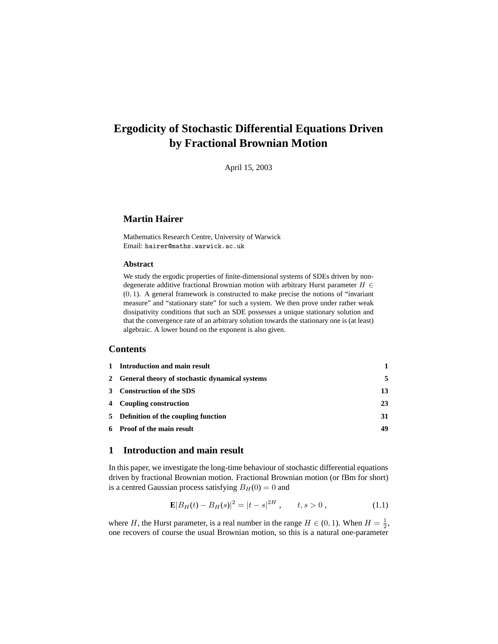# **Ergodicity of Stochastic Differential Equations Driven by Fractional Brownian Motion**

April 15, 2003

# **Martin Hairer**

Mathematics Research Centre, University of Warwick Email: hairer@maths.warwick.ac.uk

# **Abstract**

We study the ergodic properties of finite-dimensional systems of SDEs driven by nondegenerate additive fractional Brownian motion with arbitrary Hurst parameter  $H \in$ (0, 1). A general framework is constructed to make precise the notions of "invariant measure" and "stationary state" for such a system. We then prove under rather weak dissipativity conditions that such an SDE possesses a unique stationary solution and that the convergence rate of an arbitrary solution towards the stationary one is (at least) algebraic. A lower bound on the exponent is also given.

# **Contents**

| 1 Introduction and main result                   |    |
|--------------------------------------------------|----|
| 2 General theory of stochastic dynamical systems | 5  |
| 3 Construction of the SDS                        | 13 |
| 4 Coupling construction                          | 23 |
| 5 Definition of the coupling function            | 31 |
| 6 Proof of the main result                       | 49 |

# **1 Introduction and main result**

In this paper, we investigate the long-time behaviour of stochastic differential equations driven by fractional Brownian motion. Fractional Brownian motion (or fBm for short) is a centred Gaussian process satisfying  $B_H(0) = 0$  and

$$
\mathbf{E}|B_H(t) - B_H(s)|^2 = |t - s|^{2H}, \qquad t, s > 0,
$$
\n(1.1)

where H, the Hurst parameter, is a real number in the range  $H \in (0, 1)$ . When  $H = \frac{1}{2}$ , one recovers of course the usual Brownian motion, so this is a natural one-parameter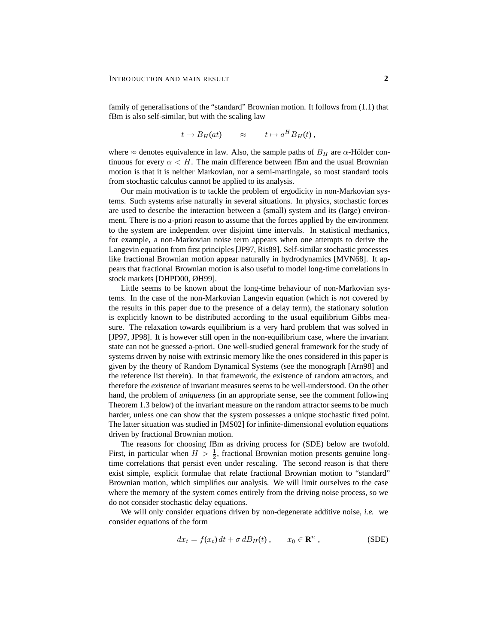family of generalisations of the "standard" Brownian motion. It follows from (1.1) that fBm is also self-similar, but with the scaling law

$$
t \mapsto B_H(at) \approx t \mapsto a^H B_H(t)
$$
,

where  $\approx$  denotes equivalence in law. Also, the sample paths of  $B_H$  are  $\alpha$ -Hölder continuous for every  $\alpha < H$ . The main difference between fBm and the usual Brownian motion is that it is neither Markovian, nor a semi-martingale, so most standard tools from stochastic calculus cannot be applied to its analysis.

Our main motivation is to tackle the problem of ergodicity in non-Markovian systems. Such systems arise naturally in several situations. In physics, stochastic forces are used to describe the interaction between a (small) system and its (large) environment. There is no a-priori reason to assume that the forces applied by the environment to the system are independent over disjoint time intervals. In statistical mechanics, for example, a non-Markovian noise term appears when one attempts to derive the Langevin equation from first principles [JP97, Ris89]. Self-similar stochastic processes like fractional Brownian motion appear naturally in hydrodynamics [MVN68]. It appears that fractional Brownian motion is also useful to model long-time correlations in stock markets [DHPD00, ØH99].

Little seems to be known about the long-time behaviour of non-Markovian systems. In the case of the non-Markovian Langevin equation (which is *not* covered by the results in this paper due to the presence of a delay term), the stationary solution is explicitly known to be distributed according to the usual equilibrium Gibbs measure. The relaxation towards equilibrium is a very hard problem that was solved in [JP97, JP98]. It is however still open in the non-equilibrium case, where the invariant state can not be guessed a-priori. One well-studied general framework for the study of systems driven by noise with extrinsic memory like the ones considered in this paper is given by the theory of Random Dynamical Systems (see the monograph [Arn98] and the reference list therein). In that framework, the existence of random attractors, and therefore the *existence* of invariant measures seems to be well-understood. On the other hand, the problem of *uniqueness* (in an appropriate sense, see the comment following Theorem 1.3 below) of the invariant measure on the random attractor seems to be much harder, unless one can show that the system possesses a unique stochastic fixed point. The latter situation was studied in [MS02] for infinite-dimensional evolution equations driven by fractional Brownian motion.

The reasons for choosing fBm as driving process for (SDE) below are twofold. First, in particular when  $H > \frac{1}{2}$ , fractional Brownian motion presents genuine longtime correlations that persist even under rescaling. The second reason is that there exist simple, explicit formulae that relate fractional Brownian motion to "standard" Brownian motion, which simplifies our analysis. We will limit ourselves to the case where the memory of the system comes entirely from the driving noise process, so we do not consider stochastic delay equations.

We will only consider equations driven by non-degenerate additive noise, *i.e.* we consider equations of the form

$$
dx_t = f(x_t) dt + \sigma dB_H(t) , \qquad x_0 \in \mathbf{R}^n , \qquad (SDE)
$$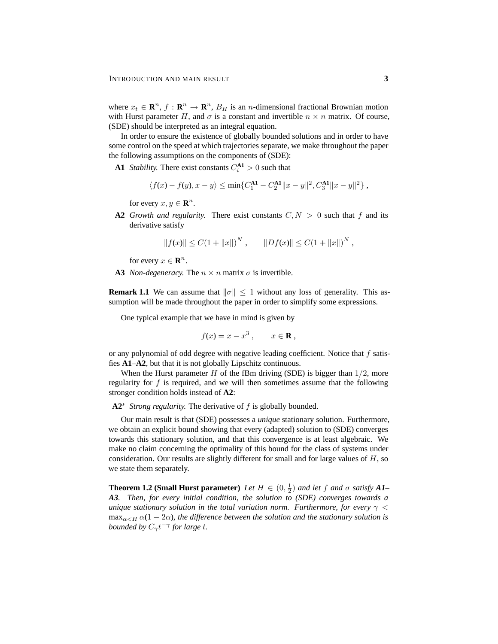where  $x_t \in \mathbb{R}^n$ ,  $f : \mathbb{R}^n \to \mathbb{R}^n$ ,  $B_H$  is an *n*-dimensional fractional Brownian motion with Hurst parameter H, and  $\sigma$  is a constant and invertible  $n \times n$  matrix. Of course, (SDE) should be interpreted as an integral equation.

In order to ensure the existence of globally bounded solutions and in order to have some control on the speed at which trajectories separate, we make throughout the paper the following assumptions on the components of (SDE):

**A1** *Stability*. There exist constants  $C_i^{A1} > 0$  such that

$$
\langle f(x) - f(y), x - y \rangle \le \min\{C_1^{\mathbf{A1}} - C_2^{\mathbf{A1}} ||x - y||^2, C_3^{\mathbf{A1}} ||x - y||^2\},\,
$$

for every  $x, y \in \mathbf{R}^n$ .

**A2** *Growth and regularity.* There exist constants  $C, N > 0$  such that f and its derivative satisfy

$$
||f(x)|| \le C(1 + ||x||)^N, \qquad ||Df(x)|| \le C(1 + ||x||)^N,
$$

for every  $x \in \mathbf{R}^n$ .

**A3** *Non-degeneracy*. The  $n \times n$  matrix  $\sigma$  is invertible.

**Remark 1.1** We can assume that  $\|\sigma\| \leq 1$  without any loss of generality. This assumption will be made throughout the paper in order to simplify some expressions.

One typical example that we have in mind is given by

$$
f(x) = x - x^3 , \qquad x \in \mathbf{R} ,
$$

or any polynomial of odd degree with negative leading coefficient. Notice that  $f$  satisfies **A1**–**A2**, but that it is not globally Lipschitz continuous.

When the Hurst parameter H of the fBm driving (SDE) is bigger than  $1/2$ , more regularity for  $f$  is required, and we will then sometimes assume that the following stronger condition holds instead of **A2**:

**A2'** *Strong regularity.* The derivative of f is globally bounded.

Our main result is that (SDE) possesses a *unique* stationary solution. Furthermore, we obtain an explicit bound showing that every (adapted) solution to (SDE) converges towards this stationary solution, and that this convergence is at least algebraic. We make no claim concerning the optimality of this bound for the class of systems under consideration. Our results are slightly different for small and for large values of  $H$ , so we state them separately.

**Theorem 1.2 (Small Hurst parameter)** *Let*  $H \in (0, \frac{1}{2})$  *and let*  $f$  *and*  $\sigma$  *satisfy*  $AI$ *A3. Then, for every initial condition, the solution to (SDE) converges towards a unique stationary solution in the total variation norm. Furthermore, for every*  $\gamma$  <  $\max_{\alpha \leq H} \alpha(1 - 2\alpha)$ , the difference between the solution and the stationary solution is *bounded by*  $C_{\gamma}t^{-\gamma}$  for large t.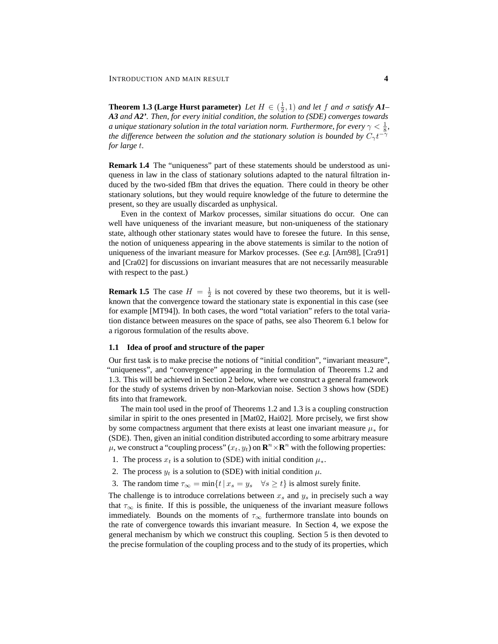**Theorem 1.3 (Large Hurst parameter)** *Let*  $H \in (\frac{1}{2}, 1)$  *and let*  $f$  *and*  $\sigma$  *satisfy*  $AI$ *A3 and A2'. Then, for every initial condition, the solution to (SDE) converges towards a unique stationary solution in the total variation norm. Furthermore, for every*  $\gamma < \frac{1}{8}$ , *the difference between the solution and the stationary solution is bounded by*  $C_{\gamma}t^{-\gamma}$ *for large* t*.*

**Remark 1.4** The "uniqueness" part of these statements should be understood as uniqueness in law in the class of stationary solutions adapted to the natural filtration induced by the two-sided fBm that drives the equation. There could in theory be other stationary solutions, but they would require knowledge of the future to determine the present, so they are usually discarded as unphysical.

Even in the context of Markov processes, similar situations do occur. One can well have uniqueness of the invariant measure, but non-uniqueness of the stationary state, although other stationary states would have to foresee the future. In this sense, the notion of uniqueness appearing in the above statements is similar to the notion of uniqueness of the invariant measure for Markov processes. (See *e.g.* [Arn98], [Cra91] and [Cra02] for discussions on invariant measures that are not necessarily measurable with respect to the past.)

**Remark 1.5** The case  $H = \frac{1}{2}$  is not covered by these two theorems, but it is wellknown that the convergence toward the stationary state is exponential in this case (see for example [MT94]). In both cases, the word "total variation" refers to the total variation distance between measures on the space of paths, see also Theorem 6.1 below for a rigorous formulation of the results above.

## **1.1 Idea of proof and structure of the paper**

Our first task is to make precise the notions of "initial condition", "invariant measure", "uniqueness", and "convergence" appearing in the formulation of Theorems 1.2 and 1.3. This will be achieved in Section 2 below, where we construct a general framework for the study of systems driven by non-Markovian noise. Section 3 shows how (SDE) fits into that framework.

The main tool used in the proof of Theorems 1.2 and 1.3 is a coupling construction similar in spirit to the ones presented in [Mat02, Hai02]. More prcisely, we first show by some compactness argument that there exists at least one invariant measure  $\mu_*$  for (SDE). Then, given an initial condition distributed according to some arbitrary measure  $\mu$ , we construct a "coupling process"  $(x_t, y_t)$  on  $\mathbb{R}^n \times \mathbb{R}^n$  with the following properties:

- 1. The process  $x_t$  is a solution to (SDE) with initial condition  $\mu_*$ .
- 2. The process  $y_t$  is a solution to (SDE) with initial condition  $\mu$ .
- 3. The random time  $\tau_{\infty} = \min\{t \mid x_s = y_s \quad \forall s \ge t\}$  is almost surely finite.

The challenge is to introduce correlations between  $x_s$  and  $y_s$  in precisely such a way that  $\tau_{\infty}$  is finite. If this is possible, the uniqueness of the invariant measure follows immediately. Bounds on the moments of  $\tau_{\infty}$  furthermore translate into bounds on the rate of convergence towards this invariant measure. In Section 4, we expose the general mechanism by which we construct this coupling. Section 5 is then devoted to the precise formulation of the coupling process and to the study of its properties, which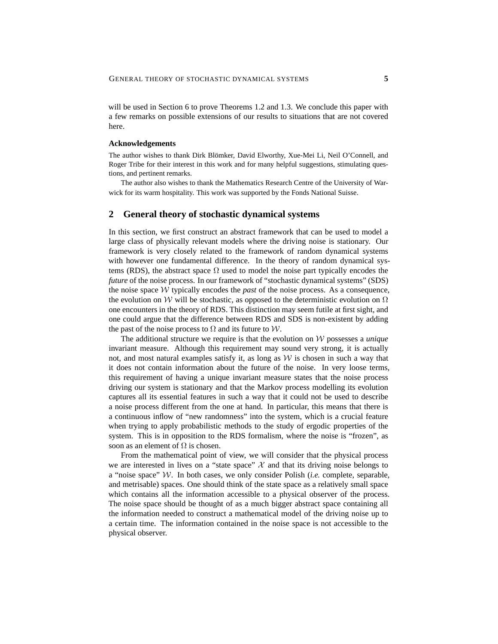will be used in Section 6 to prove Theorems 1.2 and 1.3. We conclude this paper with a few remarks on possible extensions of our results to situations that are not covered here.

#### **Acknowledgements**

The author wishes to thank Dirk Blömker, David Elworthy, Xue-Mei Li, Neil O'Connell, and Roger Tribe for their interest in this work and for many helpful suggestions, stimulating questions, and pertinent remarks.

The author also wishes to thank the Mathematics Research Centre of the University of Warwick for its warm hospitality. This work was supported by the Fonds National Suisse.

# **2 General theory of stochastic dynamical systems**

In this section, we first construct an abstract framework that can be used to model a large class of physically relevant models where the driving noise is stationary. Our framework is very closely related to the framework of random dynamical systems with however one fundamental difference. In the theory of random dynamical systems (RDS), the abstract space  $\Omega$  used to model the noise part typically encodes the *future* of the noise process. In our framework of "stochastic dynamical systems" (SDS) the noise space W typically encodes the *past* of the noise process. As a consequence, the evolution on W will be stochastic, as opposed to the deterministic evolution on  $\Omega$ one encounters in the theory of RDS. This distinction may seem futile at first sight, and one could argue that the difference between RDS and SDS is non-existent by adding the past of the noise process to  $\Omega$  and its future to W.

The additional structure we require is that the evolution on W possesses a *unique* invariant measure. Although this requirement may sound very strong, it is actually not, and most natural examples satisfy it, as long as  $W$  is chosen in such a way that it does not contain information about the future of the noise. In very loose terms, this requirement of having a unique invariant measure states that the noise process driving our system is stationary and that the Markov process modelling its evolution captures all its essential features in such a way that it could not be used to describe a noise process different from the one at hand. In particular, this means that there is a continuous inflow of "new randomness" into the system, which is a crucial feature when trying to apply probabilistic methods to the study of ergodic properties of the system. This is in opposition to the RDS formalism, where the noise is "frozen", as soon as an element of  $\Omega$  is chosen.

From the mathematical point of view, we will consider that the physical process we are interested in lives on a "state space"  $X$  and that its driving noise belongs to a "noise space" W. In both cases, we only consider Polish (*i.e.* complete, separable, and metrisable) spaces. One should think of the state space as a relatively small space which contains all the information accessible to a physical observer of the process. The noise space should be thought of as a much bigger abstract space containing all the information needed to construct a mathematical model of the driving noise up to a certain time. The information contained in the noise space is not accessible to the physical observer.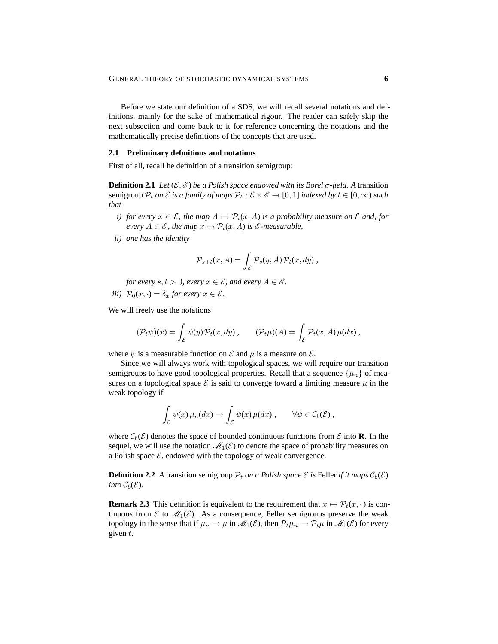Before we state our definition of a SDS, we will recall several notations and definitions, mainly for the sake of mathematical rigour. The reader can safely skip the next subsection and come back to it for reference concerning the notations and the mathematically precise definitions of the concepts that are used.

#### **2.1 Preliminary definitions and notations**

First of all, recall he definition of a transition semigroup:

**Definition 2.1** *Let*  $(\mathcal{E}, \mathcal{E})$  *be a Polish space endowed with its Borel*  $\sigma$ -field. A transition semigroup  $\mathcal{P}_t$  *on*  $\mathcal E$  *is a family of maps*  $\mathcal{P}_t : \mathcal E \times \mathcal E \to [0,1]$  *indexed by*  $t \in [0,\infty)$  *such that*

- *i) for every*  $x \in \mathcal{E}$ *, the map*  $A \mapsto \mathcal{P}_t(x, A)$  *is a probability measure on*  $\mathcal E$  *and, for every*  $A \in \mathcal{E}$ , the map  $x \mapsto \mathcal{P}_t(x, A)$  *is*  $\mathcal{E}$ *-measurable,*
- *ii) one has the identity*

$$
\mathcal{P}_{s+t}(x, A) = \int_{\mathcal{E}} \mathcal{P}_s(y, A) \mathcal{P}_t(x, dy),
$$

*for every*  $s, t > 0$ *, every*  $x \in \mathcal{E}$ *, and every*  $A \in \mathcal{E}$ *. iii*)  $P_0(x, \cdot) = \delta_x$  *for every*  $x \in \mathcal{E}$ *.* 

We will freely use the notations

$$
(\mathcal{P}_t\psi)(x) = \int_{\mathcal{E}} \psi(y) \mathcal{P}_t(x, dy) , \qquad (\mathcal{P}_t\mu)(A) = \int_{\mathcal{E}} \mathcal{P}_t(x, A) \mu(dx) ,
$$

where  $\psi$  is a measurable function on  $\mathcal E$  and  $\mu$  is a measure on  $\mathcal E$ .

Since we will always work with topological spaces, we will require our transition semigroups to have good topological properties. Recall that a sequence  $\{\mu_n\}$  of measures on a topological space  $\mathcal E$  is said to converge toward a limiting measure  $\mu$  in the weak topology if

$$
\int_{\mathcal{E}} \psi(x) \mu_n(dx) \to \int_{\mathcal{E}} \psi(x) \mu(dx) , \qquad \forall \psi \in \mathcal{C}_b(\mathcal{E}) ,
$$

where  $\mathcal{C}_b(\mathcal{E})$  denotes the space of bounded continuous functions from  $\mathcal{E}$  into **R**. In the sequel, we will use the notation  $\mathcal{M}_1(\mathcal{E})$  to denote the space of probability measures on a Polish space  $\mathcal{E}$ , endowed with the topology of weak convergence.

**Definition 2.2** *A* transition semigroup  $P_t$  *on a Polish space*  $\mathcal{E}$  *is* Feller *if it maps*  $C_b(\mathcal{E})$ *into*  $C_b(\mathcal{E})$ *.* 

**Remark 2.3** This definition is equivalent to the requirement that  $x \mapsto \mathcal{P}_t(x, \cdot)$  is continuous from  $\mathcal E$  to  $\mathcal M_1(\mathcal E)$ . As a consequence, Feller semigroups preserve the weak topology in the sense that if  $\mu_n \to \mu$  in  $\mathcal{M}_1(\mathcal{E})$ , then  $\mathcal{P}_t \mu_n \to \mathcal{P}_t \mu$  in  $\mathcal{M}_1(\mathcal{E})$  for every given  $t$ .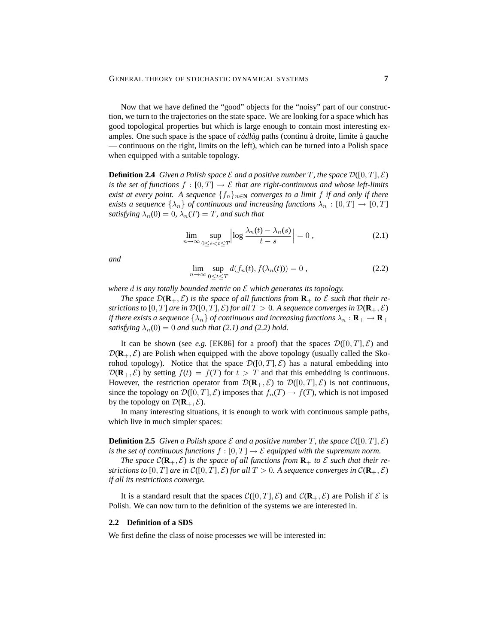Now that we have defined the "good" objects for the "noisy" part of our construction, we turn to the trajectories on the state space. We are looking for a space which has good topological properties but which is large enough to contain most interesting examples. One such space is the space of *cadlag* paths (continu a droite, limite a gauche — continuous on the right, limits on the left), which can be turned into a Polish space when equipped with a suitable topology.

**Definition 2.4** *Given a Polish space*  $\mathcal E$  *and a positive number*  $T$ *, the space*  $\mathcal D([0, T], \mathcal E)$ *is the set of functions*  $f : [0, T] \rightarrow \mathcal{E}$  *that are right-continuous and whose left-limits exist at every point.* A sequence  $\{f_n\}_{n\in\mathbb{N}}$  *converges to a limit* f *if and only if there exists a sequence*  $\{\lambda_n\}$  *of continuous and increasing functions*  $\lambda_n : [0, T] \to [0, T]$ *satisfying*  $\lambda_n(0) = 0$ ,  $\lambda_n(T) = T$ , and such that

$$
\lim_{n \to \infty} \sup_{0 \le s < t \le T} \left| \log \frac{\lambda_n(t) - \lambda_n(s)}{t - s} \right| = 0 \,, \tag{2.1}
$$

*and*

$$
\lim_{n \to \infty} \sup_{0 \le t \le T} d(f_n(t), f(\lambda_n(t))) = 0,
$$
\n(2.2)

*where* d *is any totally bounded metric on* E *which generates its topology.*

*The space*  $\mathcal{D}(\mathbf{R}_+,\mathcal{E})$  *is the space of all functions from*  $\mathbf{R}_+$  *to*  $\mathcal E$  *such that their restrictions to*  $[0, T]$  *are in*  $\mathcal{D}([0, T], \mathcal{E})$  *for all*  $T > 0$ *. A sequence converges in*  $\mathcal{D}(\mathbf{R}_+, \mathcal{E})$ *if there exists a sequence*  $\{\lambda_n\}$  *of continuous and increasing functions*  $\lambda_n$  :  $\mathbf{R}_+ \to \mathbf{R}_+$ *satisfying*  $\lambda_n(0) = 0$  *and such that* (2.1) *and* (2.2) *hold.* 

It can be shown (see *e.g.* [EK86] for a proof) that the spaces  $\mathcal{D}([0, T], \mathcal{E})$  and  $\mathcal{D}(\mathbf{R}_+,\mathcal{E})$  are Polish when equipped with the above topology (usually called the Skorohod topology). Notice that the space  $\mathcal{D}([0,T],\mathcal{E})$  has a natural embedding into  $\mathcal{D}(\mathbf{R}_+,\mathcal{E})$  by setting  $f(t) = f(T)$  for  $t > T$  and that this embedding is continuous. However, the restriction operator from  $\mathcal{D}(\mathbf{R}_+,\mathcal{E})$  to  $\mathcal{D}([0,T],\mathcal{E})$  is not continuous, since the topology on  $\mathcal{D}([0, T], \mathcal{E})$  imposes that  $f_n(T) \to f(T)$ , which is not imposed by the topology on  $\mathcal{D}(\mathbf{R}_+,\mathcal{E})$ .

In many interesting situations, it is enough to work with continuous sample paths, which live in much simpler spaces:

**Definition 2.5** *Given a Polish space*  $\mathcal E$  *and a positive number*  $T$ *, the space*  $\mathcal C([0,T], \mathcal E)$ *is the set of continuous functions*  $f : [0, T] \rightarrow \mathcal{E}$  *equipped with the supremum norm.* 

*The space*  $C(\mathbf{R}_+,\mathcal{E})$  *is the space of all functions from*  $\mathbf{R}_+$  *to*  $\mathcal E$  *such that their restrictions to*  $[0, T]$  *are in*  $\mathcal{C}([0, T], \mathcal{E})$  *for all*  $T > 0$ *. A sequence converges in*  $\mathcal{C}(\mathbf{R}_+, \mathcal{E})$ *if all its restrictions converge.*

It is a standard result that the spaces  $C([0, T], \mathcal{E})$  and  $C(\mathbf{R}_+, \mathcal{E})$  are Polish if  $\mathcal E$  is Polish. We can now turn to the definition of the systems we are interested in.

#### **2.2 Definition of a SDS**

We first define the class of noise processes we will be interested in: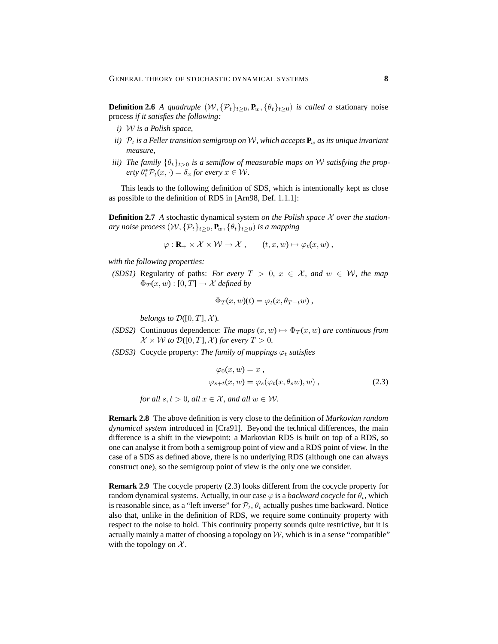**Definition 2.6** *A quadruple*  $(W, \{P_t\}_{t\geq 0}, P_w, \{\theta_t\}_{t\geq 0})$  *is called a stationary noise* process *if it satisfies the following:*

- *i)* W *is a Polish space,*
- *ii)*  $P_t$  *is a Feller transition semigroup on* W, which accepts  $P_w$  *as its unique invariant measure,*
- *iii*) The family  $\{\theta_t\}_{t>0}$  *is a semiflow of measurable maps on* W *satisfying the prop-* $\partial_t^* \mathcal{P}_t(x, \cdot) = \delta_x$  *for every*  $x \in \mathcal{W}$ .

This leads to the following definition of SDS, which is intentionally kept as close as possible to the definition of RDS in [Arn98, Def. 1.1.1]:

**Definition 2.7** *A* stochastic dynamical system *on the Polish space X over the stationary noise process*  $(W, \{P_t\}_{t>0}, P_w, \{\theta_t\}_{t>0})$  *is a mapping* 

$$
\varphi : \mathbf{R}_{+} \times \mathcal{X} \times \mathcal{W} \to \mathcal{X} , \qquad (t, x, w) \mapsto \varphi_{t}(x, w) ,
$$

*with the following properties:*

*(SDS1)* Regularity of paths: *For every*  $T > 0$ ,  $x \in \mathcal{X}$ *, and*  $w \in \mathcal{W}$ *, the map*  $\Phi_T(x, w) : [0, T] \to \mathcal{X}$  *defined by* 

$$
\Phi_T(x, w)(t) = \varphi_t(x, \theta_{T-t}w),
$$

*belongs to*  $\mathcal{D}([0,T], \mathcal{X})$ *.* 

- *(SDS2)* Continuous dependence: *The maps*  $(x, w) \mapsto \Phi_T(x, w)$  *are continuous from*  $\mathcal{X} \times \mathcal{W}$  *to*  $\mathcal{D}([0, T], \mathcal{X})$  *for every*  $T > 0$ *.*
- *(SDS3)* Cocycle property: *The family of mappings*  $\varphi_t$  *satisfies*

$$
\varphi_0(x, w) = x ,
$$
  
\n
$$
\varphi_{s+t}(x, w) = \varphi_s(\varphi_t(x, \theta_s w), w) ,
$$
\n(2.3)

*for all*  $s, t > 0$ *, all*  $x \in \mathcal{X}$ *, and all*  $w \in \mathcal{W}$ *.* 

**Remark 2.8** The above definition is very close to the definition of *Markovian random dynamical system* introduced in [Cra91]. Beyond the technical differences, the main difference is a shift in the viewpoint: a Markovian RDS is built on top of a RDS, so one can analyse it from both a semigroup point of view and a RDS point of view. In the case of a SDS as defined above, there is no underlying RDS (although one can always construct one), so the semigroup point of view is the only one we consider.

**Remark 2.9** The cocycle property (2.3) looks different from the cocycle property for random dynamical systems. Actually, in our case  $\varphi$  is a *backward cocycle* for  $\theta_t$ , which is reasonable since, as a "left inverse" for  $\mathcal{P}_t$ ,  $\theta_t$  actually pushes time backward. Notice also that, unlike in the definition of RDS, we require some continuity property with respect to the noise to hold. This continuity property sounds quite restrictive, but it is actually mainly a matter of choosing a topology on  $W$ , which is in a sense "compatible" with the topology on  $X$ .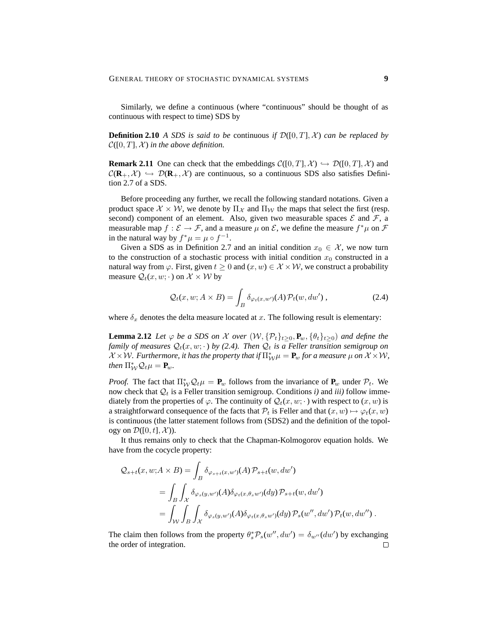Similarly, we define a continuous (where "continuous" should be thought of as continuous with respect to time) SDS by

**Definition 2.10** *A SDS is said to be* continuous *if*  $\mathcal{D}([0, T], \mathcal{X})$  *can be replaced by*  $C([0, T], \mathcal{X})$  *in the above definition.* 

**Remark 2.11** One can check that the embeddings  $C([0, T], \mathcal{X}) \hookrightarrow \mathcal{D}([0, T], \mathcal{X})$  and  $C(\mathbf{R}_+,\mathcal{X}) \hookrightarrow \mathcal{D}(\mathbf{R}_+,\mathcal{X})$  are continuous, so a continuous SDS also satisfies Definition 2.7 of a SDS.

Before proceeding any further, we recall the following standard notations. Given a product space  $\mathcal{X} \times \mathcal{W}$ , we denote by  $\Pi_{\mathcal{X}}$  and  $\Pi_{\mathcal{W}}$  the maps that select the first (resp. second) component of an element. Also, given two measurable spaces  $\mathcal E$  and  $\mathcal F$ , a measurable map  $f : \mathcal{E} \to \mathcal{F}$ , and a measure  $\mu$  on  $\mathcal{E}$ , we define the measure  $f^*\mu$  on  $\mathcal{F}$ in the natural way by  $f^*\mu = \mu \circ f^{-1}$ .

Given a SDS as in Definition 2.7 and an initial condition  $x_0 \in \mathcal{X}$ , we now turn to the construction of a stochastic process with initial condition  $x_0$  constructed in a natural way from  $\varphi$ . First, given  $t \geq 0$  and  $(x, w) \in \mathcal{X} \times \mathcal{W}$ , we construct a probability measure  $\mathcal{Q}_t(x, w; \cdot)$  on  $\mathcal{X} \times \mathcal{W}$  by

$$
Q_t(x, w; A \times B) = \int_B \delta_{\varphi_t(x, w')} (A) \mathcal{P}_t(w, dw') , \qquad (2.4)
$$

where  $\delta_x$  denotes the delta measure located at x. The following result is elementary:

**Lemma 2.12** *Let*  $\varphi$  *be a SDS on* X *over*  $(W, {\{P_t\}_{t \geq 0}, P_w, {\{\theta_t\}_{t \geq 0}}})$  *and define the family of measures*  $Q_t(x, w; \cdot)$  *by (2.4). Then*  $Q_t$  *is a Feller transition semigroup on*  $\mathcal{X} \times \mathcal{W}$ . Furthermore, it has the property that if  $\Pi_{\mathcal{W}}^* \mu = \mathbf{P}_w$  for a measure  $\mu$  on  $\mathcal{X} \times \mathcal{W}$ , *then*  $\Pi^*_{\mathcal{W}} \mathcal{Q}_t \mu = \mathbf{P}_w$ *.* 

*Proof.* The fact that  $\Pi^*_{\mathcal{W}} \mathcal{Q}_t \mu = \mathbf{P}_w$  follows from the invariance of  $\mathbf{P}_w$  under  $\mathcal{P}_t$ . We now check that  $Q_t$  is a Feller transition semigroup. Conditions *i*) and *iii*) follow immediately from the properties of  $\varphi$ . The continuity of  $\mathcal{Q}_t(x, w; \cdot)$  with respect to  $(x, w)$  is a straightforward consequence of the facts that  $\mathcal{P}_t$  is Feller and that  $(x, w) \mapsto \varphi_t(x, w)$ is continuous (the latter statement follows from (SDS2) and the definition of the topology on  $\mathcal{D}([0, t], \mathcal{X})$ ).

It thus remains only to check that the Chapman-Kolmogorov equation holds. We have from the cocycle property:

$$
\mathcal{Q}_{s+t}(x, w; A \times B) = \int_B \delta_{\varphi_{s+t}(x, w')} (A) \mathcal{P}_{s+t}(w, dw')
$$
  
= 
$$
\int_B \int_X \delta_{\varphi_s(y, w')} (A) \delta_{\varphi_t(x, \theta_s w')} (dy) \mathcal{P}_{s+t}(w, dw')
$$
  
= 
$$
\int_W \int_B \int_X \delta_{\varphi_s(y, w')} (A) \delta_{\varphi_t(x, \theta_s w')} (dy) \mathcal{P}_s(w'', dw') \mathcal{P}_t(w, dw'')
$$
.

The claim then follows from the property  $\theta_s^* \mathcal{P}_s(w'', dw') = \delta_{w''}(dw')$  by exchanging the order of integration. $\Box$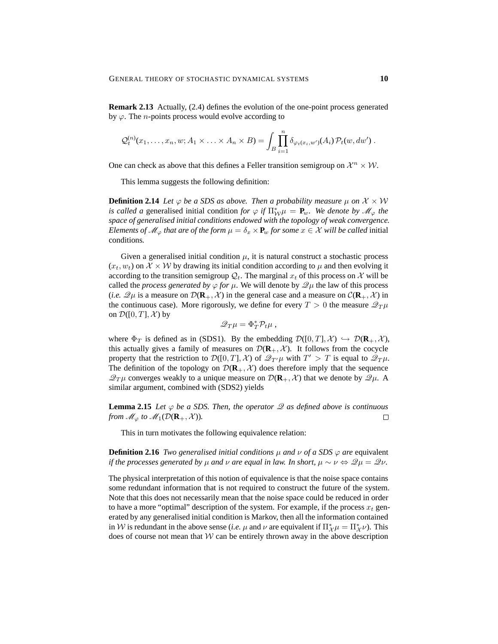**Remark 2.13** Actually, (2.4) defines the evolution of the one-point process generated by  $\varphi$ . The *n*-points process would evolve according to

$$
\mathcal{Q}_t^{(n)}(x_1,\ldots,x_n,w;A_1\times\ldots\times A_n\times B)=\int_B\prod_{i=1}^n\delta_{\varphi_t(x_i,w')}(A_i)\,\mathcal{P}_t(w,dw')\;.
$$

One can check as above that this defines a Feller transition semigroup on  $\mathcal{X}^n \times \mathcal{W}$ .

This lemma suggests the following definition:

**Definition 2.14** *Let*  $\varphi$  *be a SDS as above. Then a probability measure*  $\mu$  *on*  $\mathcal{X} \times \mathcal{W}$ *is called a* generalised initial condition *for*  $\varphi$  *if*  $\Pi_{\mathcal{W}}^* \mu = \mathbf{P}_w$ *. We denote by*  $\mathcal{M}_{\varphi}$  *the space of generalised initial conditions endowed with the topology of weak convergence. Elements of*  $\mathcal{M}_{\varphi}$  *that are of the form*  $\mu = \delta_x \times \mathbf{P}_w$  *for some*  $x \in \mathcal{X}$  *will be called* initial conditions*.*

Given a generalised initial condition  $\mu$ , it is natural construct a stochastic process  $(x_t, w_t)$  on  $\mathcal{X} \times \mathcal{W}$  by drawing its initial condition according to  $\mu$  and then evolving it according to the transition semigroup  $\mathcal{Q}_t$ . The marginal  $x_t$  of this process on X will be called the *process generated by*  $\varphi$  *for*  $\mu$ . We will denote by  $\mathscr{Q}\mu$  the law of this process (*i.e.*  $\mathscr{Q}_{\mu}$  is a measure on  $\mathcal{D}(\mathbf{R}_{+}, \mathcal{X})$  in the general case and a measure on  $\mathcal{C}(\mathbf{R}_{+}, \mathcal{X})$  in the continuous case). More rigorously, we define for every  $T > 0$  the measure  $\mathcal{Q}_T \mu$ on  $\mathcal{D}([0,T],\mathcal{X})$  by

$$
\mathscr{Q}_T\mu=\Phi_T^*\mathcal{P}_t\mu\;,
$$

where  $\Phi_T$  is defined as in (SDS1). By the embedding  $\mathcal{D}([0,T], \mathcal{X}) \hookrightarrow \mathcal{D}(\mathbf{R}_+, \mathcal{X})$ , this actually gives a family of measures on  $\mathcal{D}(\mathbf{R}_+, \mathcal{X})$ . It follows from the cocycle property that the restriction to  $\mathcal{D}([0,T],\mathcal{X})$  of  $\mathcal{Q}_{T}\mu$  with  $T' > T$  is equal to  $\mathcal{Q}_{T}\mu$ . The definition of the topology on  $\mathcal{D}(\mathbf{R}_+, \mathcal{X})$  does therefore imply that the sequence  $\mathscr{Q}_T\mu$  converges weakly to a unique measure on  $\mathcal{D}(\mathbf{R}_+, \mathcal{X})$  that we denote by  $\mathscr{Q}\mu$ . A similar argument, combined with (SDS2) yields

**Lemma 2.15** *Let*  $\varphi$  *be a SDS. Then, the operator*  $\mathscr Q$  *as defined above is continuous from*  $\mathcal{M}_{\varphi}$  *to*  $\mathcal{M}_1(\mathcal{D}(\mathbf{R}_+,\mathcal{X}))$ *.*  $\Box$ 

This in turn motivates the following equivalence relation:

**Definition 2.16** *Two generalised initial conditions*  $\mu$  *and*  $\nu$  *of a SDS*  $\varphi$  *are* equivalent *if the processes generated by*  $\mu$  *and*  $\nu$  *are equal in law. In short,*  $\mu \sim \nu \Leftrightarrow \mathcal{Q}\mu = \mathcal{Q}\nu$ .

The physical interpretation of this notion of equivalence is that the noise space contains some redundant information that is not required to construct the future of the system. Note that this does not necessarily mean that the noise space could be reduced in order to have a more "optimal" description of the system. For example, if the process  $x_t$  generated by any generalised initial condition is Markov, then all the information contained in W is redundant in the above sense (*i.e.*  $\mu$  and  $\nu$  are equivalent if  $\Pi^*_{\mathcal{X}}\mu = \Pi^*_{\mathcal{X}}\nu$ ). This does of course not mean that  $W$  can be entirely thrown away in the above description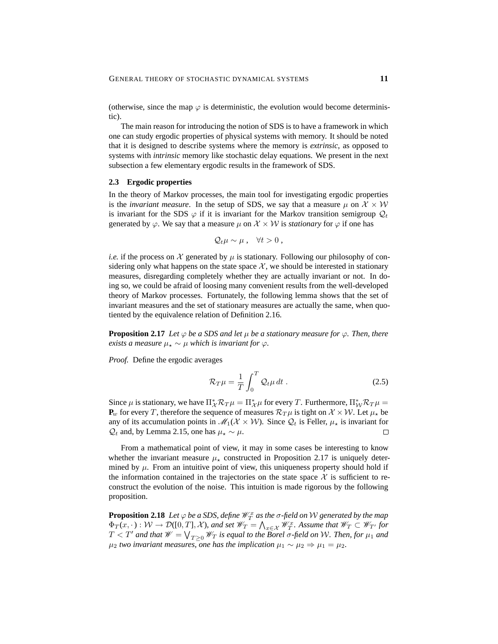(otherwise, since the map  $\varphi$  is deterministic, the evolution would become deterministic).

The main reason for introducing the notion of SDS is to have a framework in which one can study ergodic properties of physical systems with memory. It should be noted that it is designed to describe systems where the memory is *extrinsic*, as opposed to systems with *intrinsic* memory like stochastic delay equations. We present in the next subsection a few elementary ergodic results in the framework of SDS.

#### **2.3 Ergodic properties**

In the theory of Markov processes, the main tool for investigating ergodic properties is the *invariant measure*. In the setup of SDS, we say that a measure  $\mu$  on  $\mathcal{X} \times \mathcal{W}$ is invariant for the SDS  $\varphi$  if it is invariant for the Markov transition semigroup  $\mathcal{Q}_t$ generated by  $\varphi$ . We say that a measure  $\mu$  on  $\mathcal{X} \times \mathcal{W}$  is *stationary* for  $\varphi$  if one has

$$
Q_t\mu\sim\mu\ ,\quad \forall t>0\ ,
$$

*i.e.* if the process on X generated by  $\mu$  is stationary. Following our philosophy of considering only what happens on the state space  $\mathcal{X}$ , we should be interested in stationary measures, disregarding completely whether they are actually invariant or not. In doing so, we could be afraid of loosing many convenient results from the well-developed theory of Markov processes. Fortunately, the following lemma shows that the set of invariant measures and the set of stationary measures are actually the same, when quotiented by the equivalence relation of Definition 2.16.

**Proposition 2.17** *Let*  $\varphi$  *be a SDS and let*  $\mu$  *be a stationary measure for*  $\varphi$ *. Then, there exists a measure*  $\mu_* \sim \mu$  *which is invariant for*  $\varphi$ *.* 

*Proof.* Define the ergodic averages

$$
\mathcal{R}_T \mu = \frac{1}{T} \int_0^T \mathcal{Q}_t \mu \, dt \,. \tag{2.5}
$$

Since  $\mu$  is stationary, we have  $\Pi^*_{\mathcal{X}} \mathcal{R}_T \mu = \Pi^*_{\mathcal{X}} \mu$  for every T. Furthermore,  $\Pi^*_{\mathcal{W}} \mathcal{R}_T \mu =$  ${\bf P}_w$  for every T, therefore the sequence of measures  $\mathcal{R}_T\mu$  is tight on  $\mathcal{X} \times \mathcal{W}$ . Let  $\mu_\star$  be any of its accumulation points in  $\mathcal{M}_1(\mathcal{X} \times \mathcal{W})$ . Since  $\mathcal{Q}_t$  is Feller,  $\mu_{\star}$  is invariant for  $Q_t$  and, by Lemma 2.15, one has  $\mu_\star \sim \mu$ .  $\Box$ 

From a mathematical point of view, it may in some cases be interesting to know whether the invariant measure  $\mu_{\star}$  constructed in Proposition 2.17 is uniquely determined by  $\mu$ . From an intuitive point of view, this uniqueness property should hold if the information contained in the trajectories on the state space  $X$  is sufficient to reconstruct the evolution of the noise. This intuition is made rigorous by the following proposition.

**Proposition 2.18** Let  $\varphi$  be a SDS, define  $\mathscr{W}^x_T$  as the  $\sigma$ -field on  $\mathcal W$  generated by the map  $\Phi_T(x, \cdot): \mathcal{W} \to \mathcal{D}([0,T], \mathcal{X})$ , and set  $\mathscr{W}_T = \bigwedge_{x \in \mathcal{X}} \mathscr{W}_T^x$ . Assume that  $\mathscr{W}_T \subset \mathscr{W}_{T'}$  for  $T < T'$  and that  $W = \bigvee_{T \geq 0} W_T$  is equal to the Borel σ-field on W. Then, for  $μ_1$  and  $μ_2$  *two invariant measures, one has the implication*  $μ_1 ∼ μ_2 ⇒ μ_1 = μ_2$ .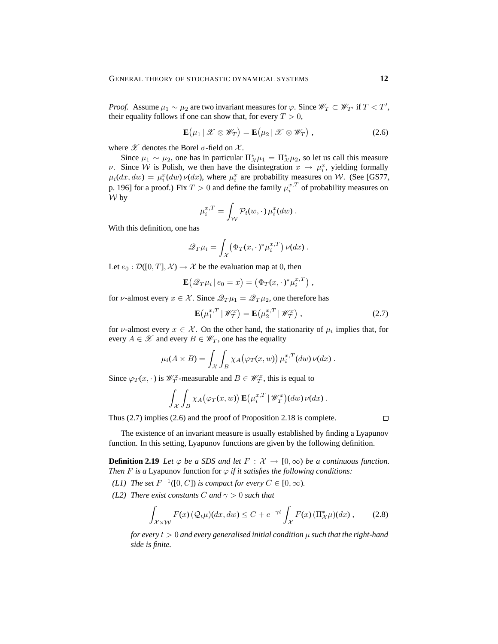*Proof.* Assume  $\mu_1 \sim \mu_2$  are two invariant measures for  $\varphi$ . Since  $\mathscr{W}_T \subset \mathscr{W}_{T'}$  if  $T < T'$ , their equality follows if one can show that, for every  $T > 0$ ,

$$
\mathbf{E}(\mu_1 \,|\, \mathscr{X} \otimes \mathscr{W}_T) = \mathbf{E}(\mu_2 \,|\, \mathscr{X} \otimes \mathscr{W}_T) , \qquad (2.6)
$$

where  $\mathscr X$  denotes the Borel  $\sigma$ -field on  $\mathscr X$ .

Since  $\mu_1 \sim \mu_2$ , one has in particular  $\Pi_{\mathcal{X}}^* \mu_1 = \Pi_{\mathcal{X}}^* \mu_2$ , so let us call this measure *v*. Since *W* is Polish, we then have the disintegration  $x \mapsto \mu_i^x$ , yielding formally  $\mu_i(dx, dw) = \mu_i^x(dw) \nu(dx)$ , where  $\mu_i^x$  are probability measures on W. (See [GS77, p. 196] for a proof.) Fix  $T > 0$  and define the family  $\mu_i^{x,T}$  of probability measures on  $W$  by

$$
\mu_i^{x,T} = \int_{\mathcal{W}} \mathcal{P}_t(w,\cdot) \mu_i^x(dw) .
$$

With this definition, one has

$$
\mathscr{Q}_T\mu_i = \int_{\mathcal{X}} \left( \Phi_T(x,\cdot) \, \mu_i^{x,T} \right) \nu(dx) \, .
$$

Let  $e_0 : \mathcal{D}([0,T], \mathcal{X}) \to \mathcal{X}$  be the evaluation map at 0, then

$$
\mathbf{E}(\mathscr{Q}_T\mu_i | e_0 = x) = (\Phi_T(x, \cdot)^* \mu_i^{x, T}),
$$

for *ν*-almost every  $x \in \mathcal{X}$ . Since  $\mathcal{Q}_T \mu_1 = \mathcal{Q}_T \mu_2$ , one therefore has

$$
\mathbf{E}\left(\mu_1^{x,T} \mid \mathscr{W}_T^x\right) = \mathbf{E}\left(\mu_2^{x,T} \mid \mathscr{W}_T^x\right),\tag{2.7}
$$

for v-almost every  $x \in \mathcal{X}$ . On the other hand, the stationarity of  $\mu_i$  implies that, for every  $A \in \mathcal{X}$  and every  $B \in \mathcal{W}_T$ , one has the equality

$$
\mu_i(A \times B) = \int_{\mathcal{X}} \int_B \chi_A(\varphi_T(x, w)) \mu_i^{x, T}(dw) \nu(dx).
$$

Since  $\varphi_T(x, \cdot)$  is  $\mathcal{W}_T^x$ -measurable and  $B \in \mathcal{W}_T^x$ , this is equal to

$$
\int_{\mathcal{X}} \int_{B} \chi_A(\varphi_T(x,w)) \mathbf{E}(\mu_i^{x,T} | \mathscr{W}_T^x) (dw) \nu(dx).
$$

Thus (2.7) implies (2.6) and the proof of Proposition 2.18 is complete.

 $\Box$ 

The existence of an invariant measure is usually established by finding a Lyapunov function. In this setting, Lyapunov functions are given by the following definition.

**Definition 2.19** *Let*  $\varphi$  *be a SDS and let*  $F : \mathcal{X} \to [0, \infty)$  *be a continuous function. Then F is a* Lyapunov function for  $\varphi$  *if it satisfies the following conditions:* 

- *(L1) The set*  $F^{-1}([0, C])$  *is compact for every*  $C \in [0, \infty)$ *.*
- *(L2) There exist constants C and*  $\gamma > 0$  *such that*

$$
\int_{\mathcal{X}\times\mathcal{W}} F(x)\left(\mathcal{Q}_t\mu\right)(dx,dw) \le C + e^{-\gamma t} \int_{\mathcal{X}} F(x)\left(\Pi_{\mathcal{X}}^*\mu\right)(dx),\tag{2.8}
$$

*for every* t > 0 *and every generalised initial condition* µ *such that the right-hand side is finite.*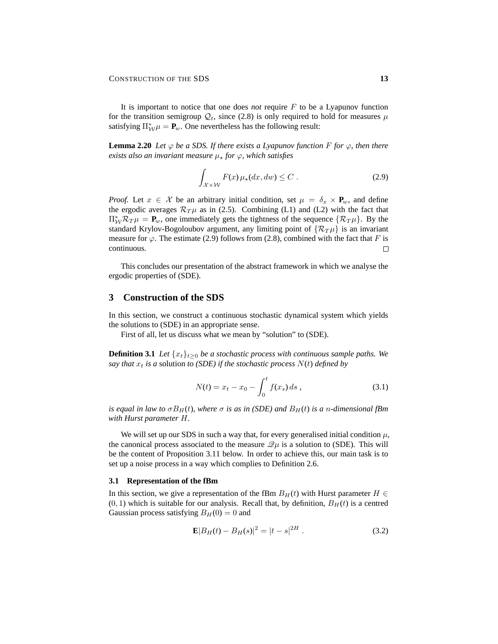It is important to notice that one does *not* require F to be a Lyapunov function for the transition semigroup  $\mathcal{Q}_t$ , since (2.8) is only required to hold for measures  $\mu$ satisfying  $\Pi^*_{\mathcal{W}} \mu = \mathbf{P}_w$ . One nevertheless has the following result:

**Lemma 2.20** *Let*  $\varphi$  *be a SDS. If there exists a Lyapunov function* F *for*  $\varphi$ *, then there exists also an invariant measure*  $\mu_*$  *for*  $\varphi$ *, which satisfies* 

$$
\int_{\mathcal{X}\times\mathcal{W}} F(x)\,\mu_{\star}(dx,dw) \leq C\,. \tag{2.9}
$$

*Proof.* Let  $x \in \mathcal{X}$  be an arbitrary initial condition, set  $\mu = \delta_x \times \mathbf{P}_w$ , and define the ergodic averages  $\mathcal{R}_T\mu$  as in (2.5). Combining (L1) and (L2) with the fact that  $\Pi^*_{\mathcal{W}} \mathcal{R}_T \mu = \mathbf{P}_w$ , one immediately gets the tightness of the sequence  $\{\mathcal{R}_T \mu\}$ . By the standard Krylov-Bogoloubov argument, any limiting point of  $\{R_T\mu\}$  is an invariant measure for  $\varphi$ . The estimate (2.9) follows from (2.8), combined with the fact that F is continuous.  $\Box$ 

This concludes our presentation of the abstract framework in which we analyse the ergodic properties of (SDE).

# **3 Construction of the SDS**

In this section, we construct a continuous stochastic dynamical system which yields the solutions to (SDE) in an appropriate sense.

First of all, let us discuss what we mean by "solution" to (SDE).

**Definition 3.1** *Let*  $\{x_t\}_{t>0}$  *be a stochastic process with continuous sample paths. We say that*  $x_t$  *is a* solution *to (SDE) if the stochastic process*  $N(t)$  *defined by* 

$$
N(t) = x_t - x_0 - \int_0^t f(x_s) \, ds \,,\tag{3.1}
$$

*is equal in law to*  $\sigma B_H(t)$ *, where*  $\sigma$  *is as in (SDE) and*  $B_H(t)$  *is a n*-dimensional fBm *with Hurst parameter* H*.*

We will set up our SDS in such a way that, for every generalised initial condition  $\mu$ , the canonical process associated to the measure  $\mathcal{Q}_{\mu}$  is a solution to (SDE). This will be the content of Proposition 3.11 below. In order to achieve this, our main task is to set up a noise process in a way which complies to Definition 2.6.

#### **3.1 Representation of the fBm**

In this section, we give a representation of the fBm  $B_H(t)$  with Hurst parameter  $H \in$  $(0, 1)$  which is suitable for our analysis. Recall that, by definition,  $B_H(t)$  is a centred Gaussian process satisfying  $B_H(0) = 0$  and

$$
\mathbf{E}|B_H(t) - B_H(s)|^2 = |t - s|^{2H}.
$$
\n(3.2)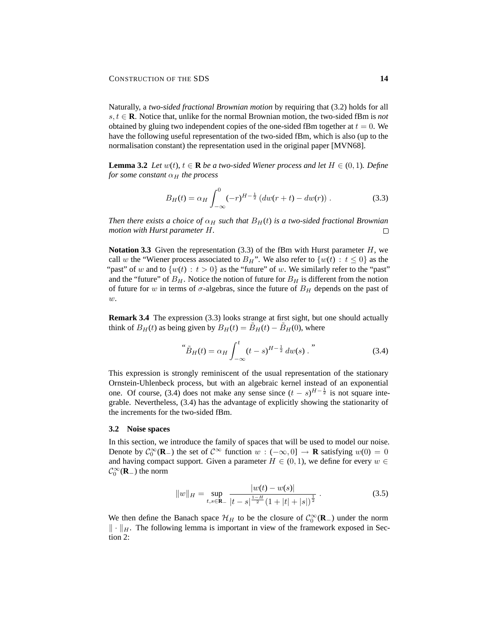Naturally, a *two-sided fractional Brownian motion* by requiring that (3.2) holds for all s, t ∈ **R**. Notice that, unlike for the normal Brownian motion, the two-sided fBm is *not* obtained by gluing two independent copies of the one-sided fBm together at  $t = 0$ . We have the following useful representation of the two-sided fBm, which is also (up to the normalisation constant) the representation used in the original paper [MVN68].

**Lemma 3.2** *Let*  $w(t)$ *,*  $t \in \mathbb{R}$  *be a two-sided Wiener process and let*  $H \in (0, 1)$ *. Define for some constant*  $\alpha_H$  *the process* 

$$
B_H(t) = \alpha_H \int_{-\infty}^0 (-r)^{H-\frac{1}{2}} \left( dw(r+t) - dw(r) \right). \tag{3.3}
$$

*Then there exists a choice of*  $\alpha_H$  *such that*  $B_H(t)$  *is a two-sided fractional Brownian motion with Hurst parameter* H*.*  $\Box$ 

**Notation 3.3** Given the representation  $(3.3)$  of the fBm with Hurst parameter  $H$ , we call w the "Wiener process associated to  $B_H$ ". We also refer to  $\{w(t) : t \leq 0\}$  as the "past" of w and to  $\{w(t): t > 0\}$  as the "future" of w. We similarly refer to the "past" and the "future" of  $B_H$ . Notice the notion of future for  $B_H$  is different from the notion of future for w in terms of  $\sigma$ -algebras, since the future of  $B_H$  depends on the past of  $\overline{w}$ .

**Remark 3.4** The expression (3.3) looks strange at first sight, but one should actually think of  $B_H(t)$  as being given by  $B_H(t) = \tilde{B}_H(t) - \tilde{B}_H(0)$ , where

$$
\stackrel{\text{``}}{B}_H(t) = \alpha_H \int_{-\infty}^t (t - s)^{H - \frac{1}{2}} \, dw(s) \, . \tag{3.4}
$$

This expression is strongly reminiscent of the usual representation of the stationary Ornstein-Uhlenbeck process, but with an algebraic kernel instead of an exponential one. Of course, (3.4) does not make any sense since  $(t - s)^{H-\frac{1}{2}}$  is not square integrable. Nevertheless, (3.4) has the advantage of explicitly showing the stationarity of the increments for the two-sided fBm.

## **3.2 Noise spaces**

In this section, we introduce the family of spaces that will be used to model our noise. Denote by  $C_0^{\infty}(\mathbf{R}_-)$  the set of  $C^{\infty}$  function  $w: (-\infty, 0] \to \mathbf{R}$  satisfying  $w(0) = 0$ and having compact support. Given a parameter  $H \in (0, 1)$ , we define for every  $w \in$  $C_0^{\infty}(\mathbf{R}_-)$  the norm

$$
||w||_H = \sup_{t,s \in \mathbf{R}_-} \frac{|w(t) - w(s)|}{|t - s|^{\frac{1 - H}{2}} (1 + |t| + |s|)^{\frac{1}{2}}}.
$$
 (3.5)

We then define the Banach space  $\mathcal{H}_H$  to be the closure of  $\mathcal{C}_0^{\infty}(\mathbf{R}_-)$  under the norm  $\Vert \cdot \Vert_H$ . The following lemma is important in view of the framework exposed in Section 2: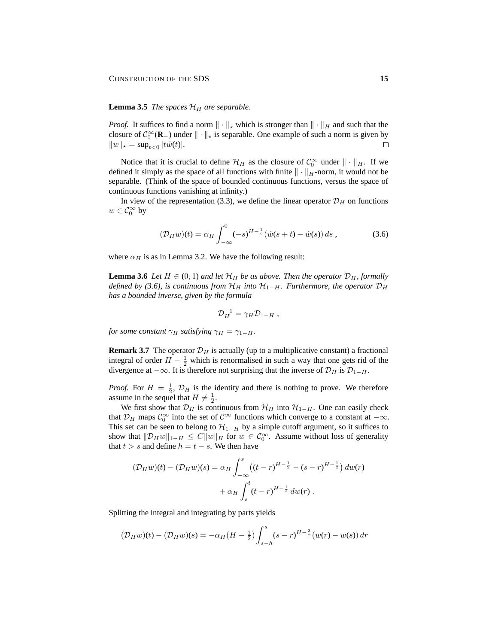## **Lemma 3.5** *The spaces*  $\mathcal{H}_H$  *are separable.*

*Proof.* It suffices to find a norm  $\|\cdot\|_{*}$  which is stronger than  $\|\cdot\|_{H}$  and such that the closure of  $C_0^{\infty}(\mathbf{R}_-)$  under  $\|\cdot\|_{\star}$  is separable. One example of such a norm is given by  $||w||_{\star} = \sup_{t < 0} |tw(t)|.$  $\Box$ 

Notice that it is crucial to define  $\mathcal{H}_H$  as the closure of  $\mathcal{C}_0^{\infty}$  under  $\|\cdot\|_H$ . If we defined it simply as the space of all functions with finite  $\|\cdot\|_H$ -norm, it would not be separable. (Think of the space of bounded continuous functions, versus the space of continuous functions vanishing at infinity.)

In view of the representation (3.3), we define the linear operator  $\mathcal{D}_H$  on functions  $w\in \mathcal{C}_0^\infty$  by

$$
(\mathcal{D}_H w)(t) = \alpha_H \int_{-\infty}^0 (-s)^{H-\frac{1}{2}} (\dot{w}(s+t) - \dot{w}(s)) ds , \qquad (3.6)
$$

where  $\alpha_H$  is as in Lemma 3.2. We have the following result:

**Lemma 3.6** *Let*  $H \in (0, 1)$  *and let*  $\mathcal{H}_H$  *be as above. Then the operator*  $\mathcal{D}_H$ *, formally defined by (3.6), is continuous from*  $\mathcal{H}_H$  *into*  $\mathcal{H}_{1-H}$ *. Furthermore, the operator*  $\mathcal{D}_H$ *has a bounded inverse, given by the formula*

$$
\mathcal{D}_H^{-1} = \gamma_H \mathcal{D}_{1-H} ,
$$

*for some constant*  $\gamma_H$  *satisfying*  $\gamma_H = \gamma_{1-H}$ *.* 

**Remark 3.7** The operator  $\mathcal{D}_H$  is actually (up to a multiplicative constant) a fractional integral of order  $H - \frac{1}{2}$  which is renormalised in such a way that one gets rid of the divergence at  $-\infty$ . It is therefore not surprising that the inverse of  $\mathcal{D}_H$  is  $\mathcal{D}_{1-H}$ .

*Proof.* For  $H = \frac{1}{2}$ ,  $\mathcal{D}_H$  is the identity and there is nothing to prove. We therefore assume in the sequel that  $H \neq \frac{1}{2}$ .

We first show that  $\mathcal{D}_H$  is continuous from  $\mathcal{H}_H$  into  $\mathcal{H}_{1-H}$ . One can easily check that  $\mathcal{D}_H$  maps  $\mathcal{C}_0^{\infty}$  into the set of  $\mathcal{C}^{\infty}$  functions which converge to a constant at  $-\infty$ . This set can be seen to belong to  $\mathcal{H}_{1-H}$  by a simple cutoff argument, so it suffices to show that  $||\mathcal{D}_H w||_{1-H} \leq C||w||_H$  for  $w \in C_0^{\infty}$ . Assume without loss of generality that  $t > s$  and define  $h = t - s$ . We then have

$$
(\mathcal{D}_H w)(t) - (\mathcal{D}_H w)(s) = \alpha_H \int_{-\infty}^s ((t - r)^{H - \frac{1}{2}} - (s - r)^{H - \frac{1}{2}}) dw(r)
$$

$$
+ \alpha_H \int_s^t (t - r)^{H - \frac{1}{2}} dw(r) .
$$

Splitting the integral and integrating by parts yields

$$
(\mathcal{D}_H w)(t) - (\mathcal{D}_H w)(s) = -\alpha_H (H - \frac{1}{2}) \int_{s-h}^s (s-r)^{H-\frac{3}{2}} (w(r) - w(s)) \, dr
$$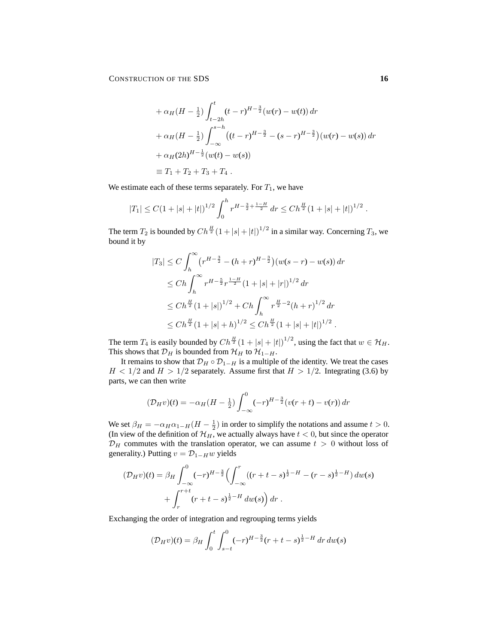CONSTRUCTION OF THE SDS **16** 

$$
+\alpha_H(H - \frac{1}{2}) \int_{t-2h}^t (t-r)^{H-\frac{3}{2}} (w(r) - w(t)) dr
$$
  
+  $\alpha_H(H - \frac{1}{2}) \int_{-\infty}^{s-h} ((t-r)^{H-\frac{3}{2}} - (s-r)^{H-\frac{3}{2}}) (w(r) - w(s)) dr$   
+  $\alpha_H(2h)^{H-\frac{1}{2}} (w(t) - w(s))$   
 $\equiv T_1 + T_2 + T_3 + T_4.$ 

We estimate each of these terms separately. For  $T_1$ , we have

$$
|T_1| \leq C \left(1 + |s| + |t|\right)^{1/2} \int_0^h r^{H - \frac{3}{2} + \frac{1-H}{2}} \, dr \leq C h^{\frac{H}{2}} \left(1 + |s| + |t|\right)^{1/2} \, .
$$

The term  $T_2$  is bounded by  $Ch^{\frac{H}{2}}(1+|s|+|t|)^{1/2}$  in a similar way. Concerning  $T_3$ , we bound it by

$$
|T_3| \le C \int_h^{\infty} (r^{H - \frac{3}{2}} - (h + r)^{H - \frac{3}{2}}) (w(s - r) - w(s)) dr
$$
  
\n
$$
\le Ch \int_h^{\infty} r^{H - \frac{5}{2}} r^{\frac{1-H}{2}} (1 + |s| + |r|)^{1/2} dr
$$
  
\n
$$
\le Ch^{\frac{H}{2}} (1 + |s|)^{1/2} + Ch \int_h^{\infty} r^{\frac{H}{2} - 2} (h + r)^{1/2} dr
$$
  
\n
$$
\le Ch^{\frac{H}{2}} (1 + |s| + h)^{1/2} \le Ch^{\frac{H}{2}} (1 + |s| + |t|)^{1/2} .
$$

The term  $T_4$  is easily bounded by  $Ch^{\frac{H}{2}}(1+|s|+|t|)^{1/2}$ , using the fact that  $w \in \mathcal{H}_H$ . This shows that  $\mathcal{D}_H$  is bounded from  $\mathcal{H}_H$  to  $\mathcal{H}_{1-H}$ .

It remains to show that  $\mathcal{D}_H \circ \mathcal{D}_{1-H}$  is a multiple of the identity. We treat the cases  $H < 1/2$  and  $H > 1/2$  separately. Assume first that  $H > 1/2$ . Integrating (3.6) by parts, we can then write

$$
(\mathcal{D}_H v)(t) = -\alpha_H (H - \frac{1}{2}) \int_{-\infty}^0 (-r)^{H - \frac{3}{2}} (v(r + t) - v(r)) dr
$$

We set  $\beta_H = -\alpha_H \alpha_{1-H}(H - \frac{1}{2})$  in order to simplify the notations and assume  $t > 0$ . (In view of the definition of  $\mathcal{H}_H$ , we actually always have  $t < 0$ , but since the operator  $\mathcal{D}_H$  commutes with the translation operator, we can assume  $t > 0$  without loss of generality.) Putting  $v = \mathcal{D}_{1-H}w$  yields

$$
(\mathcal{D}_H v)(t) = \beta_H \int_{-\infty}^0 (-r)^{H-\frac{3}{2}} \left( \int_{-\infty}^r ((r+t-s)^{\frac{1}{2}-H} - (r-s)^{\frac{1}{2}-H}) dw(s) + \int_r^{r+t} (r+t-s)^{\frac{1}{2}-H} dw(s) dr \right).
$$

Exchanging the order of integration and regrouping terms yields

$$
(\mathcal{D}_H v)(t) = \beta_H \int_0^t \int_{s-t}^0 (-r)^{H-\frac{3}{2}} (r+t-s)^{\frac{1}{2}-H} \, dr \, dw(s)
$$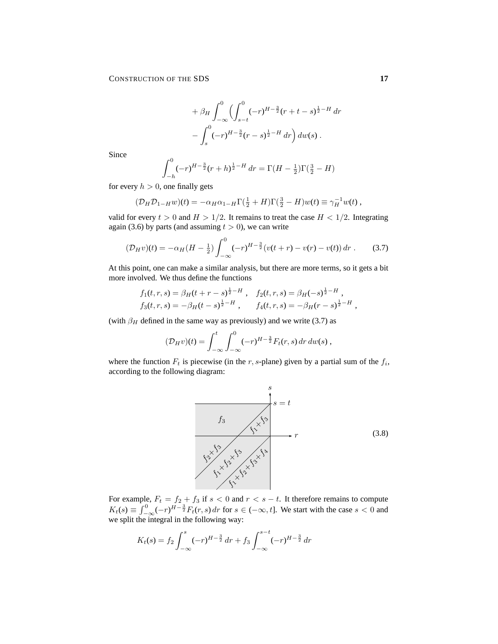$$
+ \beta_H \int_{-\infty}^0 \left( \int_{s-t}^0 (-r)^{H-\frac{3}{2}} (r+t-s)^{\frac{1}{2}-H} \, dr \right. - \int_s^0 (-r)^{H-\frac{3}{2}} (r-s)^{\frac{1}{2}-H} \, dr \right) dw(s) \, .
$$

Since

$$
\int_{-h}^{0} (-r)^{H-\frac{3}{2}} (r+h)^{\frac{1}{2}-H} dr = \Gamma(H-\frac{1}{2})\Gamma(\frac{3}{2}-H)
$$

for every  $h > 0$ , one finally gets

$$
(\mathcal{D}_H \mathcal{D}_{1-H} w)(t) = -\alpha_H \alpha_{1-H} \Gamma(\frac{1}{2} + H) \Gamma(\frac{3}{2} - H) w(t) \equiv \gamma_H^{-1} w(t) ,
$$

valid for every  $t > 0$  and  $H > 1/2$ . It remains to treat the case  $H < 1/2$ . Integrating again (3.6) by parts (and assuming  $t > 0$ ), we can write

$$
(\mathcal{D}_H v)(t) = -\alpha_H (H - \frac{1}{2}) \int_{-\infty}^0 (-r)^{H - \frac{3}{2}} (v(t+r) - v(r) - v(t)) \, dr \,. \tag{3.7}
$$

At this point, one can make a similar analysis, but there are more terms, so it gets a bit more involved. We thus define the functions

$$
f_1(t, r, s) = \beta_H(t + r - s)^{\frac{1}{2} - H} , \quad f_2(t, r, s) = \beta_H(-s)^{\frac{1}{2} - H} ,\n f_3(t, r, s) = -\beta_H(t - s)^{\frac{1}{2} - H} , \quad f_4(t, r, s) = -\beta_H(r - s)^{\frac{1}{2} - H} ,
$$

(with  $\beta_H$  defined in the same way as previously) and we write (3.7) as

$$
(\mathcal{D}_H v)(t) = \int_{-\infty}^t \int_{-\infty}^0 (-r)^{H-\frac{3}{2}} F_t(r, s) \, dr \, dw(s) \,,
$$

where the function  $F_t$  is piecewise (in the r, s-plane) given by a partial sum of the  $f_i$ , according to the following diagram:



For example,  $F_t = f_2 + f_3$  if  $s < 0$  and  $r < s - t$ . It therefore remains to compute  $K_t(s) \equiv \int_{-\infty}^0 (-r)^{H-\frac{3}{2}} F_t(r, s) dr$  for  $s \in (-\infty, t]$ . We start with the case  $s < 0$  and we split the integral in the following way:

$$
K_t(s) = f_2 \int_{-\infty}^s (-r)^{H-\frac{3}{2}} dr + f_3 \int_{-\infty}^{s-t} (-r)^{H-\frac{3}{2}} dr
$$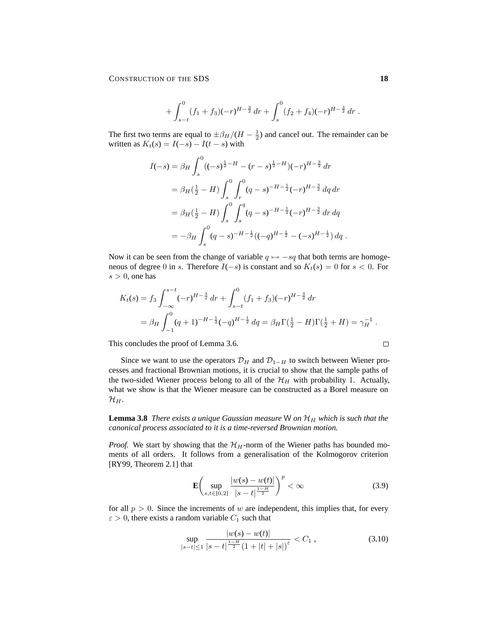CONSTRUCTION OF THE SDS **18** 

$$
+\int_{s-t}^0 (f_1+f_3)(-r)^{H-\frac{3}{2}} dr + \int_s^0 (f_2+f_4)(-r)^{H-\frac{3}{2}} dr.
$$

The first two terms are equal to  $\pm \beta_H/(H - \frac{1}{2})$  and cancel out. The remainder can be written as  $K_t(s) = I(-s) - I(t - s)$  with

$$
I(-s) = \beta_H \int_s^0 ((-s)^{\frac{1}{2}-H} - (r-s)^{\frac{1}{2}-H})(-r)^{H-\frac{3}{2}} dr
$$
  
\n
$$
= \beta_H(\frac{1}{2}-H) \int_s^0 \int_r^0 (q-s)^{-H-\frac{1}{2}} (-r)^{H-\frac{3}{2}} dq dr
$$
  
\n
$$
= \beta_H(\frac{1}{2}-H) \int_s^0 \int_s^q (q-s)^{-H-\frac{1}{2}} (-r)^{H-\frac{3}{2}} dr dq
$$
  
\n
$$
= -\beta_H \int_s^0 (q-s)^{-H-\frac{1}{2}} ((-q)^{H-\frac{1}{2}} - (-s)^{H-\frac{1}{2}}) dq.
$$

Now it can be seen from the change of variable  $q \mapsto -sq$  that both terms are homogeneous of degree 0 in s. Therefore  $I(-s)$  is constant and so  $K_t(s) = 0$  for  $s < 0$ . For  $s > 0$ , one has

$$
K_t(s) = f_3 \int_{-\infty}^{s-t} (-r)^{H-\frac{3}{2}} dr + \int_{s-t}^0 (f_1 + f_3)(-r)^{H-\frac{3}{2}} dr
$$
  
=  $\beta_H \int_{-1}^0 (q+1)^{-H-\frac{1}{2}} (-q)^{H-\frac{1}{2}} dq = \beta_H \Gamma(\frac{1}{2} - H) \Gamma(\frac{1}{2} + H) = \gamma_H^{-1}.$ 

This concludes the proof of Lemma 3.6.

Since we want to use the operators  $\mathcal{D}_H$  and  $\mathcal{D}_{1-H}$  to switch between Wiener processes and fractional Brownian motions, it is crucial to show that the sample paths of the two-sided Wiener process belong to all of the  $\mathcal{H}_H$  with probability 1. Actually, what we show is that the Wiener measure can be constructed as a Borel measure on  $\mathcal{H}_H$ .

**Lemma 3.8** *There exists a unique Gaussian measure* W *on*  $\mathcal{H}_H$  *which is such that the canonical process associated to it is a time-reversed Brownian motion.*

*Proof.* We start by showing that the  $\mathcal{H}_H$ -norm of the Wiener paths has bounded moments of all orders. It follows from a generalisation of the Kolmogorov criterion [RY99, Theorem 2.1] that

$$
\mathbf{E}\left(\sup_{s,t\in[0,2]} \frac{|w(s) - w(t)|}{|s - t|^{\frac{1 - H}{2}}}\right)^p < \infty\tag{3.9}
$$

for all  $p > 0$ . Since the increments of w are independent, this implies that, for every  $\varepsilon > 0$ , there exists a random variable  $C_1$  such that

$$
\sup_{|s-t| \le 1} \frac{|w(s) - w(t)|}{|s-t|^{\frac{1-H}{2}} (1+|t|+|s|)^{\varepsilon}} < C_1 ,
$$
\n(3.10)

 $\Box$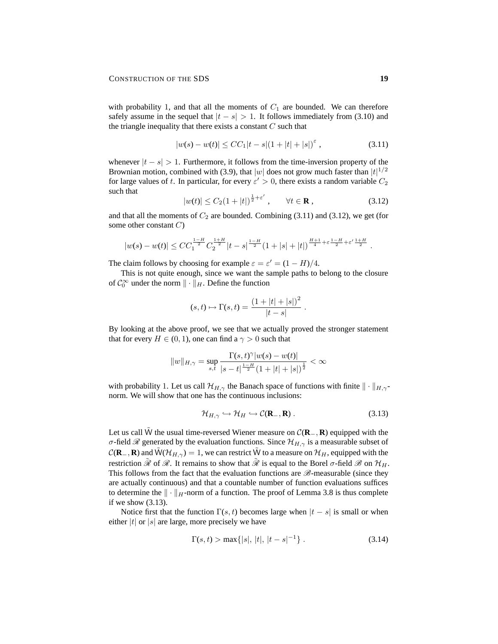with probability 1, and that all the moments of  $C_1$  are bounded. We can therefore safely assume in the sequel that  $|t - s| > 1$ . It follows immediately from (3.10) and the triangle inequality that there exists a constant  $C$  such that

$$
|w(s) - w(t)| \le CC_1|t - s|(1 + |t| + |s|)^{\varepsilon}, \tag{3.11}
$$

whenever  $|t - s| > 1$ . Furthermore, it follows from the time-inversion property of the Brownian motion, combined with (3.9), that  $|w|$  does not grow much faster than  $|t|^{1/2}$ for large values of t. In particular, for every  $\varepsilon' > 0$ , there exists a random variable  $C_2$ such that

$$
|w(t)| \le C_2 (1+|t|)^{\frac{1}{2}+\varepsilon'}, \qquad \forall t \in \mathbf{R}, \qquad (3.12)
$$

and that all the moments of  $C_2$  are bounded. Combining (3.11) and (3.12), we get (for some other constant  $C$ )

$$
|w(s) - w(t)| \leq CC_1^{\frac{1-H}{2}} C_2^{\frac{1+H}{2}} |t - s|^{\frac{1-H}{2}} (1 + |s| + |t|)^{\frac{H+1}{4} + \varepsilon \frac{1-H}{2} + \varepsilon' \frac{1+H}{2}}.
$$

The claim follows by choosing for example  $\varepsilon = \varepsilon' = (1 - H)/4$ .

This is not quite enough, since we want the sample paths to belong to the closure of  $C_0^{\infty}$  under the norm  $\|\cdot\|_H$ . Define the function

$$
(s, t) \mapsto \Gamma(s, t) = \frac{(1 + |t| + |s|)^2}{|t - s|}
$$

By looking at the above proof, we see that we actually proved the stronger statement that for every  $H \in (0, 1)$ , one can find a  $\gamma > 0$  such that

$$
||w||_{H,\gamma} = \sup_{s,t} \frac{\Gamma(s,t)^{\gamma} |w(s) - w(t)|}{|s - t|^{\frac{1-H}{2}} (1 + |t| + |s|)^{\frac{1}{2}}} < \infty
$$

with probability 1. Let us call  $\mathcal{H}_{H,\gamma}$  the Banach space of functions with finite  $\|\cdot\|_{H,\gamma}$ norm. We will show that one has the continuous inclusions:

$$
\mathcal{H}_{H,\gamma} \hookrightarrow \mathcal{H}_H \hookrightarrow \mathcal{C}(\mathbf{R}_-,\mathbf{R})\,. \tag{3.13}
$$

.

Let us call W˜ the usual time-reversed Wiener measure on C(**R**−, **R**) equipped with the σ-field  $\mathcal R$  generated by the evaluation functions. Since  $\mathcal H_{H,\gamma}$  is a measurable subset of  $C(\mathbf{R}_-, \mathbf{R})$  and  $\tilde{W}(\mathcal{H}_{H,\gamma}) = 1$ , we can restrict  $\tilde{W}$  to a measure on  $\mathcal{H}_H$ , equipped with the restriction  $\mathcal R$  of  $\mathcal R$ . It remains to show that  $\mathcal R$  is equal to the Borel  $\sigma$ -field  $\mathcal B$  on  $\mathcal H_H$ . This follows from the fact that the evaluation functions are  $\mathscr{B}$ -measurable (since they are actually continuous) and that a countable number of function evaluations suffices to determine the  $\|\cdot\|_H$ -norm of a function. The proof of Lemma 3.8 is thus complete if we show (3.13).

Notice first that the function  $\Gamma(s, t)$  becomes large when  $|t - s|$  is small or when either |t| or  $|s|$  are large, more precisely we have

$$
\Gamma(s,t) > \max\{|s|, |t|, |t-s|^{-1}\}.
$$
\n(3.14)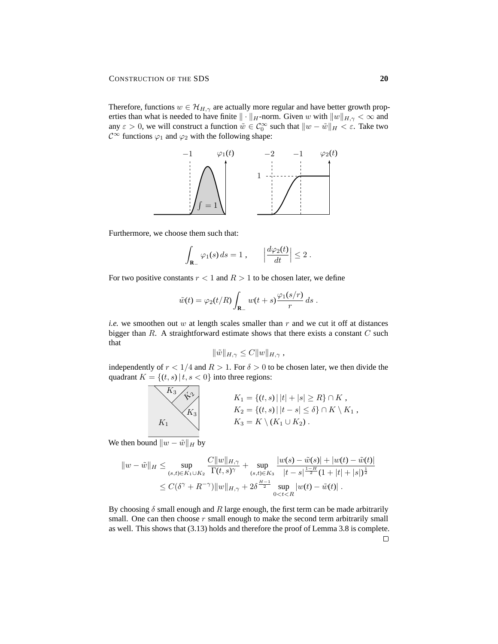Therefore, functions  $w \in \mathcal{H}_{H,\gamma}$  are actually more regular and have better growth properties than what is needed to have finite  $\|\cdot\|_H$ -norm. Given w with  $\|w\|_{H,\gamma} < \infty$  and any  $\varepsilon > 0$ , we will construct a function  $\tilde{w} \in C_0^{\infty}$  such that  $||w - \tilde{w}||_H < \varepsilon$ . Take two  $\mathcal{C}^{\infty}$  functions  $\varphi_1$  and  $\varphi_2$  with the following shape:



Furthermore, we choose them such that:

$$
\int_{\mathbf{R}_{-}} \varphi_1(s) ds = 1 , \qquad \left| \frac{d\varphi_2(t)}{dt} \right| \leq 2 .
$$

For two positive constants  $r < 1$  and  $R > 1$  to be chosen later, we define

$$
\tilde{w}(t) = \varphi_2(t/R) \int_{\mathbf{R}_-} w(t+s) \frac{\varphi_1(s/r)}{r} ds.
$$

*i.e.* we smoothen out w at length scales smaller than  $r$  and we cut it off at distances bigger than  $R$ . A straightforward estimate shows that there exists a constant  $C$  such that

$$
\|\tilde{w}\|_{H,\gamma}\leq C\|w\|_{H,\gamma},
$$

independently of  $r < 1/4$  and  $R > 1$ . For  $\delta > 0$  to be chosen later, we then divide the quadrant  $K = \{(t, s) | t, s < 0\}$  into three regions:

$$
K_1 = \{(t, s) | |t| + |s| \ge R\} \cap K,
$$
  
\n
$$
K_2 = \{(t, s) | |t - s| \le \delta\} \cap K \setminus K_1,
$$
  
\n
$$
K_3 = K \setminus (K_1 \cup K_2).
$$

We then bound  $||w - \tilde{w}||_H$  by

$$
||w - \tilde{w}||_H \le \sup_{(s,t)\in K_1\cup K_2} \frac{C||w||_{H,\gamma}}{\Gamma(t,s)^\gamma} + \sup_{(s,t)\in K_3} \frac{|w(s) - \tilde{w}(s)| + |w(t) - \tilde{w}(t)|}{|t-s|^{\frac{1-H}{2}}(1+|t|+|s|)^{\frac{1}{2}}} \le C(\delta^\gamma + R^{-\gamma}) ||w||_{H,\gamma} + 2\delta^{\frac{H-1}{2}} \sup_{0
$$

By choosing  $\delta$  small enough and R large enough, the first term can be made arbitrarily small. One can then choose  $r$  small enough to make the second term arbitrarily small as well. This shows that (3.13) holds and therefore the proof of Lemma 3.8 is complete.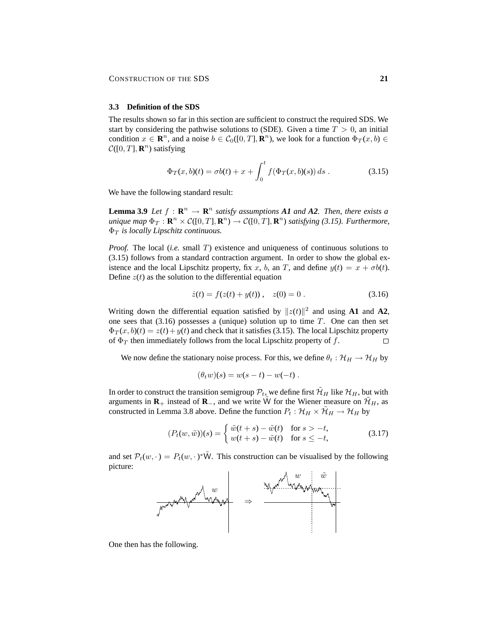#### **3.3 Definition of the SDS**

The results shown so far in this section are sufficient to construct the required SDS. We start by considering the pathwise solutions to (SDE). Given a time  $T > 0$ , an initial condition  $x \in \mathbb{R}^n$ , and a noise  $b \in C_0([0, T], \mathbb{R}^n)$ , we look for a function  $\Phi_T(x, b) \in$  $C([0, T], \mathbf{R}^n)$  satisfying

$$
\Phi_T(x, b)(t) = \sigma b(t) + x + \int_0^t f(\Phi_T(x, b)(s)) ds . \qquad (3.15)
$$

We have the following standard result:

**Lemma 3.9** *Let*  $f : \mathbb{R}^n \to \mathbb{R}^n$  *satisfy assumptions A1 and A2<i>. Then, there exists a*  $u$ *nique map*  $\Phi_T : \mathbf{R}^n \times C([0,T], \mathbf{R}^n) \to C([0,T], \mathbf{R}^n)$  *satisfying* (3.15). *Furthermore*,  $\Phi_T$  *is locally Lipschitz continuous.* 

*Proof.* The local *(i.e.* small T) existence and uniqueness of continuous solutions to (3.15) follows from a standard contraction argument. In order to show the global existence and the local Lipschitz property, fix x, b, an T, and define  $y(t) = x + \sigma b(t)$ . Define  $z(t)$  as the solution to the differential equation

$$
\dot{z}(t) = f(z(t) + y(t)), \quad z(0) = 0.
$$
 (3.16)

Writing down the differential equation satisfied by  $||z(t)||^2$  and using **A1** and **A2**, one sees that  $(3.16)$  possesses a (unique) solution up to time T. One can then set  $\Phi_T(x, b)(t) = z(t) + y(t)$  and check that it satisfies (3.15). The local Lipschitz property of  $\Phi_T$  then immediately follows from the local Lipschitz property of f.  $\Box$ 

We now define the stationary noise process. For this, we define  $\theta_t : \mathcal{H}_H \to \mathcal{H}_H$  by

$$
(\theta_t w)(s) = w(s-t) - w(-t) .
$$

In order to construct the transition semigroup  $\mathcal{P}_t$ , we define first  $\mathcal{H}_H$  like  $\mathcal{H}_H$ , but with arguments in  $\mathbf{R}_+$  instead of  $\mathbf{R}_-$ , and we write  $\tilde{W}$  for the Wiener measure on  $\tilde{\mathcal{H}}_H$ , as constructed in Lemma 3.8 above. Define the function  $P_t : \mathcal{H}_H \times \mathcal{H}_H \rightarrow \mathcal{H}_H$  by

$$
(P_t(w,\tilde{w}))(s) = \begin{cases} \tilde{w}(t+s) - \tilde{w}(t) & \text{for } s > -t, \\ w(t+s) - \tilde{w}(t) & \text{for } s \le -t, \end{cases} \tag{3.17}
$$

and set  $\mathcal{P}_t(w, \cdot) = P_t(w, \cdot) \cdot \tilde{W}$ . This construction can be visualised by the following picture:



One then has the following.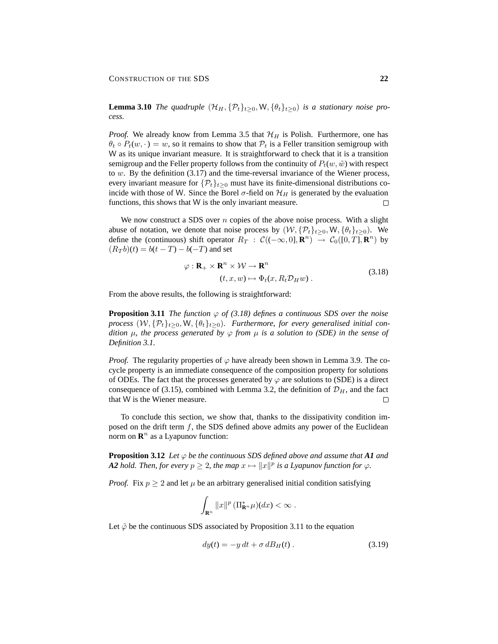**Lemma 3.10** *The quadruple*  $(\mathcal{H}_H, {\mathcal{P}_t}_{t\geq 0}, W, {\theta_t}_{t\geq 0})$  *is a stationary noise process.*

*Proof.* We already know from Lemma 3.5 that  $\mathcal{H}_H$  is Polish. Furthermore, one has  $\theta_t \circ P_t(w, \cdot) = w$ , so it remains to show that  $P_t$  is a Feller transition semigroup with W as its unique invariant measure. It is straightforward to check that it is a transition semigroup and the Feller property follows from the continuity of  $P_t(w, \tilde{w})$  with respect to  $w$ . By the definition  $(3.17)$  and the time-reversal invariance of the Wiener process, every invariant measure for  $\{\mathcal{P}_t\}_{t>0}$  must have its finite-dimensional distributions coincide with those of W. Since the Borel  $\sigma$ -field on  $\mathcal{H}_H$  is generated by the evaluation functions, this shows that W is the only invariant measure.  $\Box$ 

We now construct a SDS over  $n$  copies of the above noise process. With a slight abuse of notation, we denote that noise process by  $(W, \{P_t\}_{t>0}, W, \{\theta_t\}_{t>0})$ . We define the (continuous) shift operator  $R_T : \mathcal{C}((-\infty, 0], \mathbb{R}^n) \to \mathcal{C}_0([0, T], \mathbb{R}^n)$  by  $(R_T b)(t) = b(t - T) - b(-T)$  and set

$$
\varphi : \mathbf{R}_{+} \times \mathbf{R}^{n} \times \mathcal{W} \to \mathbf{R}^{n}
$$
  
(*t*, *x*, *w*)  $\mapsto \Phi_{t}(x, R_{t} \mathcal{D}_{H} w)$ . (3.18)

From the above results, the following is straightforward:

**Proposition 3.11** *The function*  $\varphi$  *of (3.18)* defines a continuous SDS over the noise *process*  $(W, \{P_t\}_{t>0}, W, \{\theta_t\}_{t>0})$ . Furthermore, for every generalised initial con*dition*  $\mu$ *, the process generated by*  $\varphi$  *from*  $\mu$  *is a solution to (SDE) in the sense of Definition 3.1.*

*Proof.* The regularity properties of  $\varphi$  have already been shown in Lemma 3.9. The cocycle property is an immediate consequence of the composition property for solutions of ODEs. The fact that the processes generated by  $\varphi$  are solutions to (SDE) is a direct consequence of (3.15), combined with Lemma 3.2, the definition of  $\mathcal{D}_H$ , and the fact that W is the Wiener measure.  $\Box$ 

To conclude this section, we show that, thanks to the dissipativity condition imposed on the drift term  $f$ , the SDS defined above admits any power of the Euclidean norm on  $\mathbb{R}^n$  as a Lyapunov function:

**Proposition 3.12** *Let*  $\varphi$  *be the continuous SDS defined above and assume that* A1 *and A2 hold. Then, for every*  $p \geq 2$ , the map  $x \mapsto ||x||^p$  is a Lyapunov function for  $\varphi$ .

*Proof.* Fix  $p \geq 2$  and let  $\mu$  be an arbitrary generalised initial condition satisfying

$$
\int_{\mathbf{R}^n} ||x||^p \left( \Pi_{\mathbf{R}^n}^* \mu \right) (dx) < \infty \; .
$$

Let  $\tilde{\varphi}$  be the continuous SDS associated by Proposition 3.11 to the equation

$$
dy(t) = -y dt + \sigma dB_H(t) . \qquad (3.19)
$$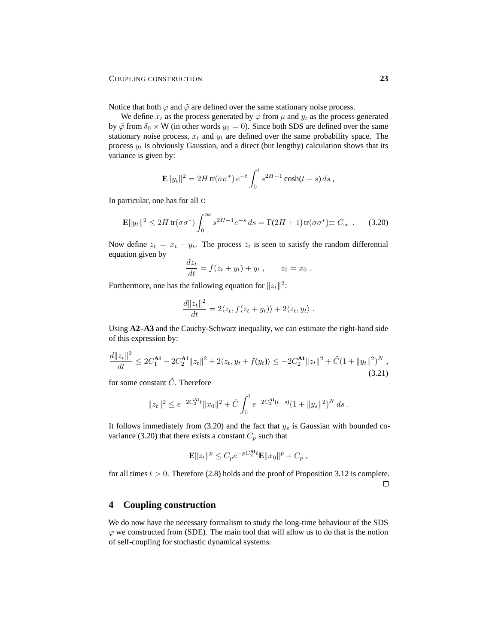Notice that both  $\varphi$  and  $\tilde{\varphi}$  are defined over the same stationary noise process.

We define  $x_t$  as the process generated by  $\varphi$  from  $\mu$  and  $y_t$  as the process generated by  $\tilde{\varphi}$  from  $\delta_0 \times W$  (in other words  $y_0 = 0$ ). Since both SDS are defined over the same stationary noise process,  $x_t$  and  $y_t$  are defined over the same probability space. The process  $y_t$  is obviously Gaussian, and a direct (but lengthy) calculation shows that its variance is given by:

$$
\mathbf{E}||y_t||^2 = 2H \operatorname{tr}(\sigma \sigma^*) e^{-t} \int_0^t s^{2H-1} \cosh(t-s) \, ds ,
$$

In particular, one has for all  $t$ :

$$
\mathbf{E}||y_t||^2 \le 2H \operatorname{tr}(\sigma \sigma^*) \int_0^\infty s^{2H-1} e^{-s} \, ds = \Gamma(2H+1) \operatorname{tr}(\sigma \sigma^*) \equiv C_\infty \,. \tag{3.20}
$$

Now define  $z_t = x_t - y_t$ . The process  $z_t$  is seen to satisfy the random differential equation given by

$$
\frac{dz_t}{dt} = f(z_t + y_t) + y_t, \qquad z_0 = x_0.
$$

Furthermore, one has the following equation for  $||z_t||^2$ :

$$
\frac{d||z_t||^2}{dt} = 2\langle z_t, f(z_t + y_t) \rangle + 2\langle z_t, y_t \rangle.
$$

Using **A2–A3** and the Cauchy-Schwarz inequality, we can estimate the right-hand side of this expression by:

$$
\frac{d||z_t||^2}{dt} \le 2C_1^{\mathbf{A1}} - 2C_2^{\mathbf{A1}}||z_t||^2 + 2\langle z_t, y_t + f(y_t) \rangle \le -2C_2^{\mathbf{A1}}||z_t||^2 + \tilde{C}(1 + ||y_t||^2)^N,
$$
\n(3.21)

for some constant  $\tilde{C}$ . Therefore

$$
||z_t||^2 \le e^{-2C_2^{\Lambda 1}t} ||x_0||^2 + \tilde{C} \int_0^t e^{-2C_2^{\Lambda 1}(t-s)} (1+||y_s||^2)^N ds
$$
.

It follows immediately from (3.20) and the fact that  $y_s$  is Gaussian with bounded covariance (3.20) that there exists a constant  $C_p$  such that

$$
\mathbf{E} \|z_t\|^p \leq C_p e^{-pC_2^{\mathbf{A}1}t} \mathbf{E} \|x_0\|^p + C_p,
$$

for all times  $t > 0$ . Therefore (2.8) holds and the proof of Proposition 3.12 is complete.  $\Box$ 

# **4 Coupling construction**

We do now have the necessary formalism to study the long-time behaviour of the SDS  $\varphi$  we constructed from (SDE). The main tool that will allow us to do that is the notion of self-coupling for stochastic dynamical systems.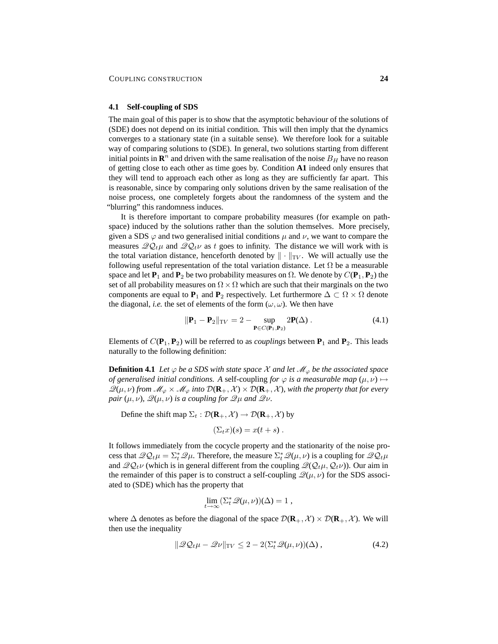### **4.1 Self-coupling of SDS**

The main goal of this paper is to show that the asymptotic behaviour of the solutions of (SDE) does not depend on its initial condition. This will then imply that the dynamics converges to a stationary state (in a suitable sense). We therefore look for a suitable way of comparing solutions to (SDE). In general, two solutions starting from different initial points in  $\mathbb{R}^n$  and driven with the same realisation of the noise  $B_H$  have no reason of getting close to each other as time goes by. Condition **A1** indeed only ensures that they will tend to approach each other as long as they are sufficiently far apart. This is reasonable, since by comparing only solutions driven by the same realisation of the noise process, one completely forgets about the randomness of the system and the "blurring" this randomness induces.

It is therefore important to compare probability measures (for example on pathspace) induced by the solutions rather than the solution themselves. More precisely, given a SDS  $\varphi$  and two generalised initial conditions  $\mu$  and  $\nu$ , we want to compare the measures  $\mathscr{QQ}_t\mu$  and  $\mathscr{QQ}_t\nu$  as t goes to infinity. The distance we will work with is the total variation distance, henceforth denoted by  $\|\cdot\|_{TV}$ . We will actually use the following useful representation of the total variation distance. Let  $\Omega$  be a measurable space and let  $P_1$  and  $P_2$  be two probability measures on  $\Omega$ . We denote by  $C(P_1, P_2)$  the set of all probability measures on  $\Omega \times \Omega$  which are such that their marginals on the two components are equal to **P**<sub>1</sub> and **P**<sub>2</sub> respectively. Let furthermore  $\Delta \subset \Omega \times \Omega$  denote the diagonal, *i.e.* the set of elements of the form  $(\omega, \omega)$ . We then have

$$
\|\mathbf{P}_1 - \mathbf{P}_2\|_{TV} = 2 - \sup_{\mathbf{P} \in C(\mathbf{P}_1, \mathbf{P}_2)} 2\mathbf{P}(\Delta) . \tag{4.1}
$$

Elements of  $C(\mathbf{P}_1, \mathbf{P}_2)$  will be referred to as *couplings* between  $\mathbf{P}_1$  and  $\mathbf{P}_2$ . This leads naturally to the following definition:

**Definition 4.1** *Let*  $\varphi$  *be a SDS with state space*  $\mathcal X$  *and let*  $\mathcal M_{\varphi}$  *be the associated space of generalised initial conditions.* A self-coupling *for*  $\varphi$  *is a measurable map*  $(\mu, \nu) \mapsto$  $\mathscr{Q}(\mu, \nu)$  *from*  $\mathscr{M}_{\varphi} \times \mathscr{M}_{\varphi}$  *into*  $\mathcal{D}(\mathbf{R}_+, \mathcal{X}) \times \mathcal{D}(\mathbf{R}_+, \mathcal{X})$ *, with the property that for every pair*  $(\mu, \nu)$ *,*  $\mathcal{Q}(\mu, \nu)$  *is a coupling for*  $\mathcal{Q}\mu$  *and*  $\mathcal{Q}\nu$ *.* 

Define the shift map  $\Sigma_t : \mathcal{D}(\mathbf{R}_+, \mathcal{X}) \to \mathcal{D}(\mathbf{R}_+, \mathcal{X})$  by

$$
(\Sigma_t x)(s) = x(t+s) .
$$

It follows immediately from the cocycle property and the stationarity of the noise process that  $\mathscr{QQ}_t\mu = \sum_{t}^{*}\mathscr{Q}\mu$ . Therefore, the measure  $\sum_{t}^{*}\mathscr{Q}(\mu,\nu)$  is a coupling for  $\mathscr{QQ}_t\mu$ and  $\mathscr{Q}Q_t\nu$  (which is in general different from the coupling  $\mathscr{Q}(Q_t\mu, Q_t\nu)$ ). Our aim in the remainder of this paper is to construct a self-coupling  $\mathcal{Q}(\mu, \nu)$  for the SDS associated to (SDE) which has the property that

$$
\lim_{t\to\infty} (\Sigma_t^* \mathscr{Q}(\mu,\nu))(\Delta) = 1 ,
$$

where  $\Delta$  denotes as before the diagonal of the space  $\mathcal{D}(\mathbf{R}_+,\mathcal{X}) \times \mathcal{D}(\mathbf{R}_+,\mathcal{X})$ . We will then use the inequality

$$
\|\mathcal{Q}\mathcal{Q}_t\mu - \mathcal{Q}\nu\|_{\text{TV}} \le 2 - 2(\Sigma_t^* \mathcal{Q}(\mu, \nu))(\Delta) ,\tag{4.2}
$$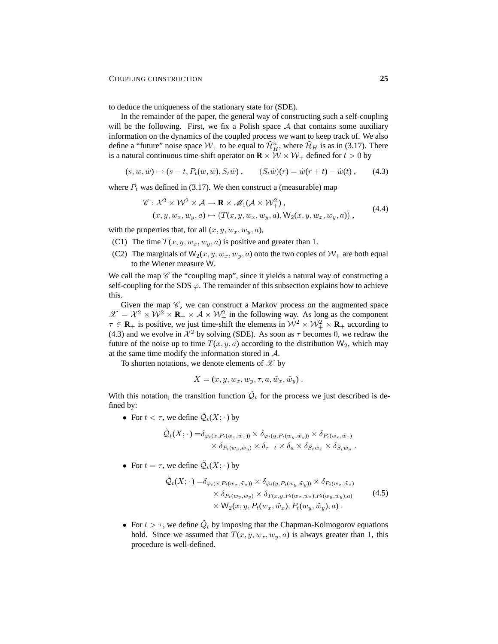to deduce the uniqueness of the stationary state for (SDE).

In the remainder of the paper, the general way of constructing such a self-coupling will be the following. First, we fix a Polish space  $A$  that contains some auxiliary information on the dynamics of the coupled process we want to keep track of. We also define a "future" noise space  $W_+$  to be equal to  $\mathcal{H}_H^n$ , where  $\mathcal{H}_H$  is as in (3.17). There is a natural continuous time-shift operator on  $\mathbf{R} \times W \times W_+$  defined for  $t > 0$  by

 $(s, w, \tilde{w}) \mapsto (s - t, P_t(w, \tilde{w}), S_t \tilde{w})$ ,  $(S_t \tilde{w})(r) = \tilde{w}(r + t) - \tilde{w}(t)$ , (4.3)

where  $P_t$  was defined in (3.17). We then construct a (measurable) map

$$
\mathcal{C}: \mathcal{X}^2 \times \mathcal{W}^2 \times \mathcal{A} \to \mathbf{R} \times \mathcal{M}_1(\mathcal{A} \times \mathcal{W}_+^2),
$$
  
(*x, y, w\_x, w\_y, a*)  $\mapsto$  (*T*(*x, y, w\_x, w\_y, a*), *W*<sub>2</sub>(*x, y, w\_x, w\_y, a*)), (4.4)

with the properties that, for all  $(x, y, w_x, w_y, a)$ ,

- (C1) The time  $T(x, y, w_x, w_y, a)$  is positive and greater than 1.
- (C2) The marginals of  $W_2(x, y, w_x, w_y, a)$  onto the two copies of  $W_+$  are both equal to the Wiener measure W.

We call the map  $\mathscr C$  the "coupling map", since it yields a natural way of constructing a self-coupling for the SDS  $\varphi$ . The remainder of this subsection explains how to achieve this.

Given the map  $\mathscr{C}$ , we can construct a Markov process on the augmented space  $\mathscr{X} = \mathcal{X}^2 \times \mathcal{W}^2 \times \mathbf{R}_+ \times \mathcal{A} \times \mathcal{W}^2_+$  in the following way. As long as the component  $\tau \in \mathbf{R}_+$  is positive, we just time-shift the elements in  $\mathcal{W}^2 \times \mathcal{W}^2_+ \times \mathbf{R}_+$  according to (4.3) and we evolve in  $\mathcal{X}^2$  by solving (SDE). As soon as  $\tau$  becomes 0, we redraw the future of the noise up to time  $T(x, y, a)$  according to the distribution  $W_2$ , which may at the same time modify the information stored in A.

To shorten notations, we denote elements of  $\mathscr X$  by

$$
X = (x, y, w_x, w_y, \tau, a, \tilde{w}_x, \tilde{w}_y).
$$

With this notation, the transition function  $\tilde{Q}_t$  for the process we just described is defined by:

• For  $t < \tau$ , we define  $\tilde{\mathcal{Q}}_t(X; \cdot)$  by

$$
\tilde{Q}_t(X; \cdot) = \delta_{\varphi_t(x, P_t(w_x, \tilde{w}_x))} \times \delta_{\varphi_t(y, P_t(w_y, \tilde{w}_y))} \times \delta_{P_t(w_x, \tilde{w}_x)} \times \delta_{P_t(w_y, \tilde{w}_y)} \times \delta_{\tau-t} \times \delta_a \times \delta_{S_t \tilde{w}_x} \times \delta_{S_t \tilde{w}_y}.
$$

• For  $t = \tau$ , we define  $\tilde{\mathcal{Q}}_t(X; \cdot)$  by

$$
\tilde{Q}_t(X; \cdot) = \delta_{\varphi_t(x, P_t(w_x, \tilde{w}_x))} \times \delta_{\varphi_t(y, P_t(w_y, \tilde{w}_y))} \times \delta_{P_t(w_x, \tilde{w}_x)} \times \delta_{P_t(w_y, \tilde{w}_y)} \times \delta_{T(x, y, P_t(w_x, \tilde{w}_x), P_t(w_y, \tilde{w}_y), a)} \times \mathsf{W}_2(x, y, P_t(w_x, \tilde{w}_x), P_t(w_y, \tilde{w}_y), a).
$$
\n(4.5)

• For  $t > \tau$ , we define  $\tilde{Q}_t$  by imposing that the Chapman-Kolmogorov equations hold. Since we assumed that  $T(x, y, w_x, w_y, a)$  is always greater than 1, this procedure is well-defined.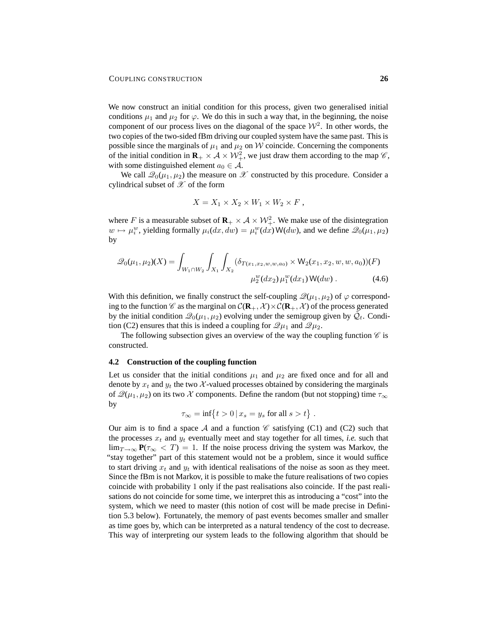We now construct an initial condition for this process, given two generalised initial conditions  $\mu_1$  and  $\mu_2$  for  $\varphi$ . We do this in such a way that, in the beginning, the noise component of our process lives on the diagonal of the space  $\mathcal{W}^2$ . In other words, the two copies of the two-sided fBm driving our coupled system have the same past. This is possible since the marginals of  $\mu_1$  and  $\mu_2$  on W coincide. Concerning the components of the initial condition in  $\mathbf{R}_+ \times \mathcal{A} \times \mathcal{W}_+^2$ , we just draw them according to the map  $\mathscr{C}$ , with some distinguished element  $a_0 \in \mathcal{A}$ .

We call  $\mathscr{Q}_0(\mu_1, \mu_2)$  the measure on  $\mathscr X$  constructed by this procedure. Consider a cylindrical subset of  $\mathscr X$  of the form

$$
X = X_1 \times X_2 \times W_1 \times W_2 \times F
$$

where F is a measurable subset of  $\mathbf{R}_{+} \times \mathcal{A} \times \mathcal{W}_{+}^{2}$ . We make use of the disintegration  $w \mapsto \mu_i^w$ , yielding formally  $\mu_i(dx, dw) = \mu_i^w(dx) \mathsf{W}(dw)$ , and we define  $\mathscr{Q}_0(\mu_1, \mu_2)$ by

$$
\mathcal{Q}_0(\mu_1, \mu_2)(X) = \int_{W_1 \cap W_2} \int_{X_1} \int_{X_2} (\delta_{T(x_1, x_2, w, w, a_0)} \times W_2(x_1, x_2, w, w, a_0)) (F)
$$
  

$$
\mu_2^w(dx_2) \mu_1^w(dx_1) W(dw).
$$
 (4.6)

With this definition, we finally construct the self-coupling  $\mathcal{Q}(\mu_1, \mu_2)$  of  $\varphi$  corresponding to the function  $\mathscr C$  as the marginal on  $\mathcal C(\mathbf R_+, \mathcal X) \times \mathcal C(\mathbf R_+, \mathcal X)$  of the process generated by the initial condition  $\mathcal{Q}_0(\mu_1, \mu_2)$  evolving under the semigroup given by  $\tilde{\mathcal{Q}}_t$ . Condition (C2) ensures that this is indeed a coupling for  $\mathscr{Q}_{\mu_1}$  and  $\mathscr{Q}_{\mu_2}$ .

The following subsection gives an overview of the way the coupling function  $\mathscr C$  is constructed.

#### **4.2 Construction of the coupling function**

Let us consider that the initial conditions  $\mu_1$  and  $\mu_2$  are fixed once and for all and denote by  $x_t$  and  $y_t$  the two X-valued processes obtained by considering the marginals of  $\mathcal{Q}(\mu_1, \mu_2)$  on its two X components. Define the random (but not stopping) time  $\tau_{\infty}$ by

$$
\tau_{\infty} = \inf\{t > 0 \mid x_s = y_s \text{ for all } s > t\}.
$$

Our aim is to find a space A and a function  $\mathscr C$  satisfying (C1) and (C2) such that the processes  $x_t$  and  $y_t$  eventually meet and stay together for all times, *i.e.* such that  $\lim_{T\to\infty} P(\tau_{\infty} < T) = 1$ . If the noise process driving the system was Markov, the "stay together" part of this statement would not be a problem, since it would suffice to start driving  $x_t$  and  $y_t$  with identical realisations of the noise as soon as they meet. Since the fBm is not Markov, it is possible to make the future realisations of two copies coincide with probability 1 only if the past realisations also coincide. If the past realisations do not coincide for some time, we interpret this as introducing a "cost" into the system, which we need to master (this notion of cost will be made precise in Definition 5.3 below). Fortunately, the memory of past events becomes smaller and smaller as time goes by, which can be interpreted as a natural tendency of the cost to decrease. This way of interpreting our system leads to the following algorithm that should be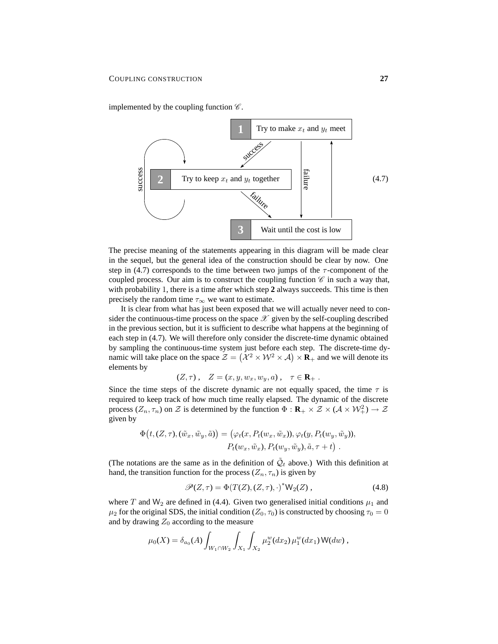implemented by the coupling function  $\mathscr{C}$ .



The precise meaning of the statements appearing in this diagram will be made clear in the sequel, but the general idea of the construction should be clear by now. One step in (4.7) corresponds to the time between two jumps of the  $\tau$ -component of the coupled process. Our aim is to construct the coupling function  $\mathscr C$  in such a way that, with probability 1, there is a time after which step **2** always succeeds. This time is then precisely the random time  $\tau_{\infty}$  we want to estimate.

It is clear from what has just been exposed that we will actually never need to consider the continuous-time process on the space  $\mathscr X$  given by the self-coupling described in the previous section, but it is sufficient to describe what happens at the beginning of each step in (4.7). We will therefore only consider the discrete-time dynamic obtained by sampling the continuous-time system just before each step. The discrete-time dynamic will take place on the space  $\mathcal{Z} = (\mathcal{X}^2 \times \mathcal{W}^2 \times \mathcal{A}) \times \mathbf{R}_+$  and we will denote its elements by

$$
(Z,\tau) , \quad Z = (x,y,w_x,w_y,a) , \quad \tau \in \mathbf{R}_+ .
$$

Since the time steps of the discrete dynamic are not equally spaced, the time  $\tau$  is required to keep track of how much time really elapsed. The dynamic of the discrete process  $(Z_n, \tau_n)$  on Z is determined by the function  $\Phi : \mathbf{R}_+ \times \mathcal{Z} \times (\mathcal{A} \times \mathcal{W}_+^2) \to \mathcal{Z}$ given by

$$
\Phi(t, (Z, \tau), (\tilde{w}_x, \tilde{w}_y, \tilde{a})) = (\varphi_t(x, P_t(w_x, \tilde{w}_x)), \varphi_t(y, P_t(w_y, \tilde{w}_y)),
$$

$$
P_t(w_x, \tilde{w}_x), P_t(w_y, \tilde{w}_y), \tilde{a}, \tau + t).
$$

(The notations are the same as in the definition of  $\tilde{Q}_t$  above.) With this definition at hand, the transition function for the process  $(Z_n, \tau_n)$  is given by

$$
\mathcal{P}(Z,\tau) = \Phi(T(Z),(Z,\tau),\cdot)^* \mathsf{W}_2(Z)\,,\tag{4.8}
$$

where T and W<sub>2</sub> are defined in (4.4). Given two generalised initial conditions  $\mu_1$  and  $\mu_2$  for the original SDS, the initial condition ( $Z_0$ ,  $\tau_0$ ) is constructed by choosing  $\tau_0 = 0$ and by drawing  $Z_0$  according to the measure

$$
\mu_0(X) = \delta_{a_0}(A) \int_{W_1 \cap W_2} \int_{X_1} \int_{X_2} \mu_2^w(dx_2) \mu_1^w(dx_1) W(dw) ,
$$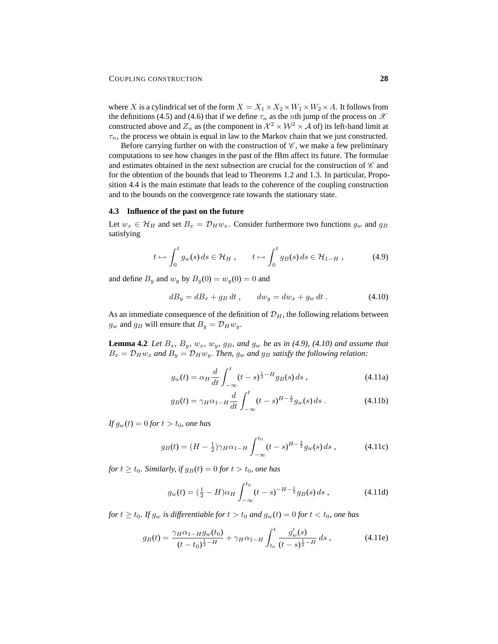where X is a cylindrical set of the form  $X = X_1 \times X_2 \times W_1 \times W_2 \times A$ . It follows from the definitions (4.5) and (4.6) that if we define  $\tau_n$  as the *n*th jump of the process on  $\mathscr X$ constructed above and  $Z_n$  as (the component in  $\mathcal{X}^2 \times \mathcal{W}^2 \times \mathcal{A}$  of) its left-hand limit at  $\tau_n$ , the process we obtain is equal in law to the Markov chain that we just constructed.

Before carrying further on with the construction of  $\mathscr{C}$ , we make a few preliminary computations to see how changes in the past of the fBm affect its future. The formulae and estimates obtained in the next subsection are crucial for the construction of  $\mathscr C$  and for the obtention of the bounds that lead to Theorems 1.2 and 1.3. In particular, Proposition 4.4 is the main estimate that leads to the coherence of the coupling construction and to the bounds on the convergence rate towards the stationary state.

#### **4.3 Influence of the past on the future**

Let  $w_x \in \mathcal{H}_H$  and set  $B_x = \mathcal{D}_H w_x$ . Consider furthermore two functions  $g_w$  and  $g_B$ satisfying

$$
t \mapsto \int_0^t g_w(s) \, ds \in \mathcal{H}_H \;, \qquad t \mapsto \int_0^t g_B(s) \, ds \in \mathcal{H}_{1-H} \;, \tag{4.9}
$$

and define  $B_y$  and  $w_y$  by  $B_y(0) = w_y(0) = 0$  and

$$
dB_y = dB_x + g_B dt, \qquad dw_y = dw_x + g_w dt. \tag{4.10}
$$

As an immediate consequence of the definition of  $\mathcal{D}_H$ , the following relations between  $g_w$  and  $g_B$  will ensure that  $B_y = \mathcal{D}_H w_y$ .

**Lemma 4.2** *Let*  $B_x$ *,*  $B_y$ *,*  $w_x$ *,*  $w_y$ *,*  $g_B$ *,* and  $g_w$  *be as in (4.9), (4.10) and assume that*  $B_x = D_H w_x$  and  $B_y = D_H w_y$ . Then,  $g_w$  and  $g_B$  satisfy the following relation:

$$
g_w(t) = \alpha_H \frac{d}{dt} \int_{-\infty}^t (t-s)^{\frac{1}{2}-H} g_B(s) \, ds \,, \tag{4.11a}
$$

$$
g_B(t) = \gamma_H \alpha_{1-H} \frac{d}{dt} \int_{-\infty}^t (t-s)^{H-\frac{1}{2}} g_w(s) \, ds \,. \tag{4.11b}
$$

*If*  $g_w(t) = 0$  *for*  $t > t_0$ *, one has* 

$$
g_B(t) = (H - \frac{1}{2})\gamma_H \alpha_{1-H} \int_{-\infty}^{t_0} (t - s)^{H - \frac{3}{2}} g_w(s) \, ds \,, \tag{4.11c}
$$

*for*  $t \ge t_0$ *. Similarly, if*  $g_B(t) = 0$  *for*  $t > t_0$ *, one has* 

$$
g_w(t) = \left(\frac{1}{2} - H\right)\alpha_H \int_{-\infty}^{t_0} (t - s)^{-H - \frac{1}{2}} g_B(s) \, ds \,,\tag{4.11d}
$$

*for*  $t \ge t_0$ *. If*  $g_w$  *is differentiable for*  $t > t_0$  *and*  $g_w(t) = 0$  *for*  $t < t_0$ *, one has* 

$$
g_B(t) = \frac{\gamma_H \alpha_{1-H} g_w(t_0)}{(t-t_0)^{\frac{1}{2}-H}} + \gamma_H \alpha_{1-H} \int_{t_0}^t \frac{g'_w(s)}{(t-s)^{\frac{1}{2}-H}} ds , \qquad (4.11e)
$$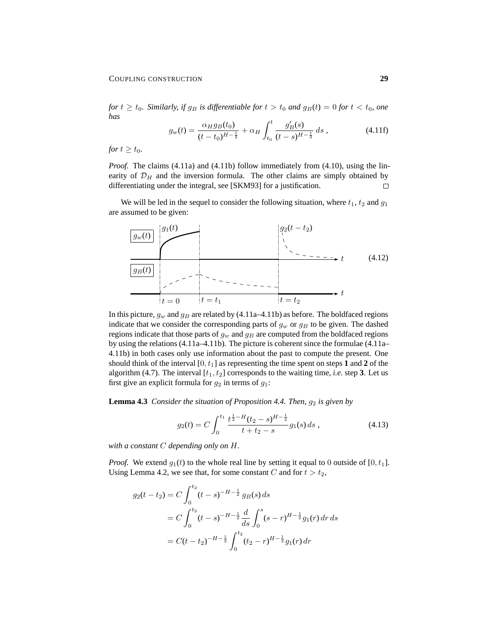*for*  $t \ge t_0$ *. Similarly, if*  $g_B$  *is differentiable for*  $t > t_0$  *and*  $g_B(t) = 0$  *for*  $t < t_0$ *, one has*

$$
g_w(t) = \frac{\alpha_H g_B(t_0)}{(t - t_0)^{H - \frac{1}{2}}} + \alpha_H \int_{t_0}^t \frac{g'_B(s)}{(t - s)^{H - \frac{1}{2}}} ds,
$$
 (4.11f)

*for*  $t \geq t_0$ *.* 

*Proof.* The claims (4.11a) and (4.11b) follow immediately from (4.10), using the linearity of  $\mathcal{D}_H$  and the inversion formula. The other claims are simply obtained by differentiating under the integral, see [SKM93] for a justification.  $\Box$ 

We will be led in the sequel to consider the following situation, where  $t_1, t_2$  and  $q_1$ are assumed to be given:



In this picture,  $g_w$  and  $g_B$  are related by (4.11a–4.11b) as before. The boldfaced regions indicate that we consider the corresponding parts of  $g_w$  or  $g_B$  to be given. The dashed regions indicate that those parts of  $g_w$  and  $g_B$  are computed from the boldfaced regions by using the relations (4.11a–4.11b). The picture is coherent since the formulae (4.11a– 4.11b) in both cases only use information about the past to compute the present. One should think of the interval  $[0, t_1]$  as representing the time spent on steps 1 and 2 of the algorithm (4.7). The interval  $[t_1, t_2]$  corresponds to the waiting time, *i.e.* step 3. Let us first give an explicit formula for  $g_2$  in terms of  $g_1$ :

**Lemma 4.3** *Consider the situation of Proposition 4.4. Then,*  $g_2$  *is given by* 

$$
g_2(t) = C \int_0^{t_1} \frac{t^{\frac{1}{2} - H}(t_2 - s)^{H - \frac{1}{2}}}{t + t_2 - s} g_1(s) \, ds \,, \tag{4.13}
$$

*with a constant* C *depending only on* H*.*

*Proof.* We extend  $g_1(t)$  to the whole real line by setting it equal to 0 outside of [0,  $t_1$ ]. Using Lemma 4.2, we see that, for some constant C and for  $t > t_2$ ,

$$
g_2(t - t_2) = C \int_0^{t_2} (t - s)^{-H - \frac{1}{2}} g_B(s) ds
$$
  
=  $C \int_0^{t_2} (t - s)^{-H - \frac{1}{2}} \frac{d}{ds} \int_0^s (s - r)^{H - \frac{1}{2}} g_1(r) dr ds$   
=  $C(t - t_2)^{-H - \frac{1}{2}} \int_0^{t_2} (t_2 - r)^{H - \frac{1}{2}} g_1(r) dr$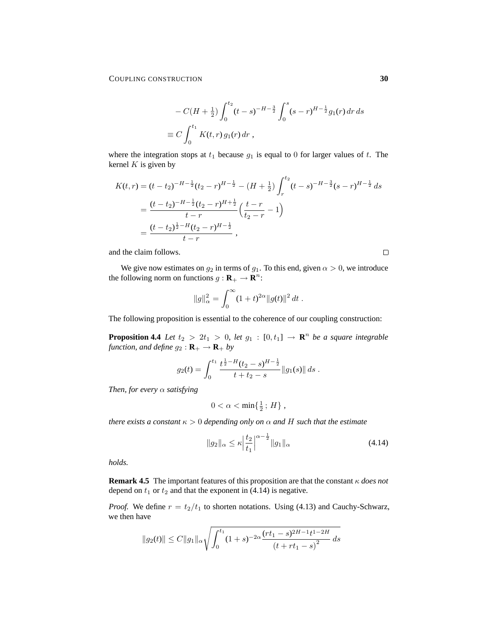$$
-C(H + \frac{1}{2}) \int_0^{t_2} (t - s)^{-H - \frac{3}{2}} \int_0^s (s - r)^{H - \frac{1}{2}} g_1(r) dr ds
$$
  
\n
$$
\equiv C \int_0^{t_1} K(t, r) g_1(r) dr,
$$

where the integration stops at  $t_1$  because  $g_1$  is equal to 0 for larger values of  $t$ . The kernel  $K$  is given by

$$
K(t,r) = (t - t_2)^{-H - \frac{1}{2}} (t_2 - r)^{H - \frac{1}{2}} - (H + \frac{1}{2}) \int_r^{t_2} (t - s)^{-H - \frac{3}{2}} (s - r)^{H - \frac{1}{2}} ds
$$
  
= 
$$
\frac{(t - t_2)^{-H - \frac{1}{2}} (t_2 - r)^{H + \frac{1}{2}}}{t - r} \left(\frac{t - r}{t_2 - r} - 1\right)
$$
  
= 
$$
\frac{(t - t_2)^{\frac{1}{2} - H} (t_2 - r)^{H - \frac{1}{2}}}{t - r},
$$

and the claim follows.

 $\Box$ 

We give now estimates on  $g_2$  in terms of  $g_1$ . To this end, given  $\alpha > 0$ , we introduce the following norm on functions  $g: \mathbf{R}_+ \to \mathbf{R}^n$ :

$$
||g||_{\alpha}^{2} = \int_{0}^{\infty} (1+t)^{2\alpha} ||g(t)||^{2} dt.
$$

The following proposition is essential to the coherence of our coupling construction:

**Proposition 4.4** *Let*  $t_2 > 2t_1 > 0$ , *let*  $g_1 : [0, t_1] \rightarrow \mathbb{R}^n$  *be a square integrable function, and define*  $g_2 : \mathbf{R}_+ \to \mathbf{R}_+$  *by* 

$$
g_2(t) = \int_0^{t_1} \frac{t^{\frac{1}{2}-H}(t_2-s)^{H-\frac{1}{2}}}{t+t_2-s} ||g_1(s)|| ds.
$$

*Then, for every* α *satisfying*

$$
0<\alpha<\min\{\tfrac{1}{2}\,;\,H\}\;,
$$

*there exists a constant*  $\kappa > 0$  *depending only on*  $\alpha$  *and* H *such that the estimate* 

$$
||g_2||_{\alpha} \le \kappa \left| \frac{t_2}{t_1} \right|^{\alpha - \frac{1}{2}} ||g_1||_{\alpha} \tag{4.14}
$$

*holds.*

**Remark 4.5** The important features of this proposition are that the constant κ *does not* depend on  $t_1$  or  $t_2$  and that the exponent in (4.14) is negative.

*Proof.* We define  $r = t_2/t_1$  to shorten notations. Using (4.13) and Cauchy-Schwarz, we then have

$$
||g_2(t)|| \le C||g_1||_{\alpha} \sqrt{\int_0^{t_1} (1+s)^{-2\alpha} \frac{(rt_1-s)^{2H-1}t^{1-2H}}{(t+rt_1-s)^2} ds}
$$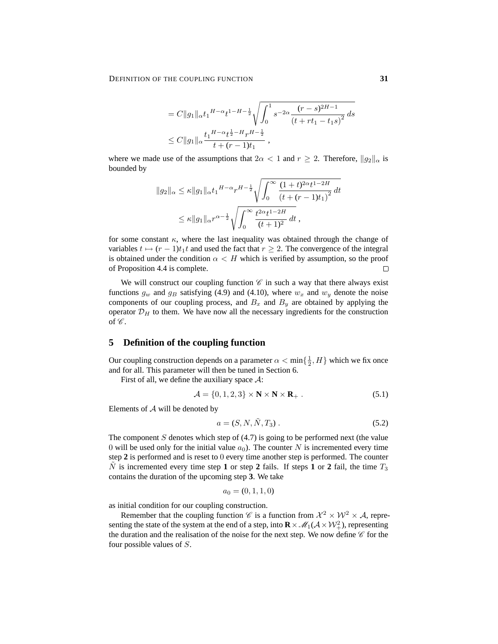$$
= C||g_1||_{\alpha} t_1^{H-\alpha} t^{1-H-\frac{1}{2}} \sqrt{\int_0^1 s^{-2\alpha} \frac{(r-s)^{2H-1}}{(t+rt_1-t_1s)^2}} ds
$$
  
\n
$$
\leq C||g_1||_{\alpha} \frac{t_1^{H-\alpha} t^{\frac{1}{2}-H} r^{H-\frac{1}{2}}}{t+(r-1)t_1},
$$

where we made use of the assumptions that  $2\alpha < 1$  and  $r \geq 2$ . Therefore,  $||q_2||_{\alpha}$  is bounded by

$$
||g_2||_{\alpha} \leq \kappa ||g_1||_{\alpha} t_1^{H-\alpha} r^{H-\frac{1}{2}} \sqrt{\int_0^{\infty} \frac{(1+t)^{2\alpha} t^{1-2H}}{(t+(r-1)t_1)^2}} dt
$$
  

$$
\leq \kappa ||g_1||_{\alpha} r^{\alpha-\frac{1}{2}} \sqrt{\int_0^{\infty} \frac{t^{2\alpha} t^{1-2H}}{(t+1)^2} dt},
$$

for some constant  $\kappa$ , where the last inequality was obtained through the change of variables  $t \mapsto (r - 1)t_1t$  and used the fact that  $r \geq 2$ . The convergence of the integral is obtained under the condition  $\alpha < H$  which is verified by assumption, so the proof of Proposition 4.4 is complete.  $\Box$ 

We will construct our coupling function  $\mathscr C$  in such a way that there always exist functions  $g_w$  and  $g_B$  satisfying (4.9) and (4.10), where  $w_x$  and  $w_y$  denote the noise components of our coupling process, and  $B_x$  and  $B_y$  are obtained by applying the operator  $\mathcal{D}_H$  to them. We have now all the necessary ingredients for the construction of  $\mathscr{C}$ .

# **5 Definition of the coupling function**

Our coupling construction depends on a parameter  $\alpha < \min\{\frac{1}{2}, H\}$  which we fix once and for all. This parameter will then be tuned in Section 6.

First of all, we define the auxiliary space  $\mathcal{A}$ :

$$
\mathcal{A} = \{0, 1, 2, 3\} \times \mathbf{N} \times \mathbf{N} \times \mathbf{R}_{+} .
$$
\n
$$
(5.1)
$$

Elements of  $A$  will be denoted by

$$
a = (S, N, \tilde{N}, T_3). \tag{5.2}
$$

The component  $S$  denotes which step of  $(4.7)$  is going to be performed next (the value 0 will be used only for the initial value  $a_0$ ). The counter N is incremented every time step **2** is performed and is reset to 0 every time another step is performed. The counter N is incremented every time step 1 or step 2 fails. If steps 1 or 2 fail, the time  $T_3$ contains the duration of the upcoming step **3**. We take

$$
a_0 = (0, 1, 1, 0)
$$

as initial condition for our coupling construction.

Remember that the coupling function  $\mathscr C$  is a function from  $\mathcal X^2 \times \mathcal W^2 \times \mathcal A$ , representing the state of the system at the end of a step, into  $\mathbf{R} \times \mathcal{M}_1(\mathcal{A} \times \mathcal{W}_+^2)$ , representing the duration and the realisation of the noise for the next step. We now define  $\mathscr C$  for the four possible values of S.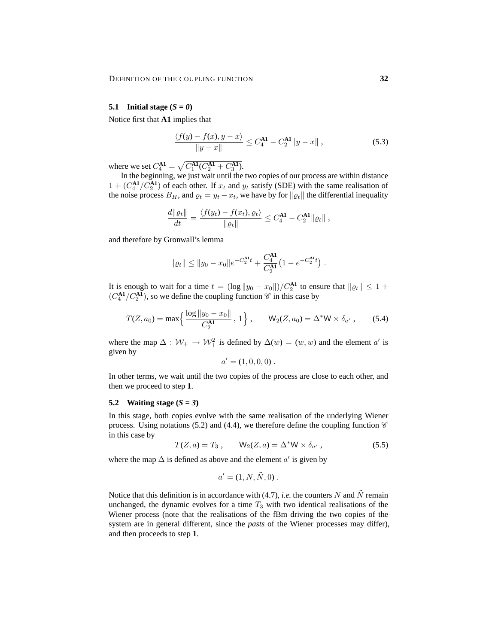#### **5.1** Initial stage  $(S = 0)$

Notice first that **A1** implies that

$$
\frac{\langle f(y) - f(x), y - x \rangle}{\|y - x\|} \le C_4^{\mathbf{A1}} - C_2^{\mathbf{A1}} \|y - x\|,
$$
\n(5.3)

where we set  $C_4^{\mathbf{A1}} = \sqrt{C_1^{\mathbf{A1}} (C_2^{\mathbf{A1}} + C_3^{\mathbf{A1}})}$ .

In the beginning, we just wait until the two copies of our process are within distance  $1 + (C_4^{\mathbf{A1}}/C_2^{\mathbf{A1}})$  of each other. If  $x_t$  and  $y_t$  satisfy (SDE) with the same realisation of the noise process  $B_H$ , and  $\varrho_t = y_t - x_t$ , we have by for  $\|\varrho_t\|$  the differential inequality

$$
\frac{d\|\varrho_t\|}{dt} = \frac{\langle f(y_t) - f(x_t), \varrho_t \rangle}{\|\varrho_t\|} \leq C_4^{\mathbf{A1}} - C_2^{\mathbf{A1}} \|\varrho_t\|,
$$

and therefore by Gronwall's lemma

$$
\|\varrho_t\| \le \|y_0 - x_0\|e^{-C_2^{\mathbf{A}1}t} + \frac{C_4^{\mathbf{A}1}}{C_2^{\mathbf{A}1}} \left(1 - e^{-C_2^{\mathbf{A}1}t}\right).
$$

It is enough to wait for a time  $t = (\log ||y_0 - x_0||)/C_2^{\mathbf{A1}}$  to ensure that  $||\varrho_t|| \leq 1 +$  $(C_4^{\mathbf{A1}}/C_2^{\mathbf{A1}})$ , so we define the coupling function  $\mathscr C$  in this case by

$$
T(Z, a_0) = \max\left\{\frac{\log \|y_0 - x_0\|}{C_2^{\mathbf{A1}}}, 1\right\}, \qquad \mathsf{W}_2(Z, a_0) = \Delta^* \mathsf{W} \times \delta_{a'}, \qquad (5.4)
$$

where the map  $\Delta : \mathcal{W}_+ \to \mathcal{W}_+^2$  is defined by  $\Delta(w) = (w, w)$  and the element a' is given by

$$
a' = (1, 0, 0, 0).
$$

In other terms, we wait until the two copies of the process are close to each other, and then we proceed to step **1**.

#### **5.2 Waiting stage (***S = 3***)**

In this stage, both copies evolve with the same realisation of the underlying Wiener process. Using notations (5.2) and (4.4), we therefore define the coupling function  $\mathscr C$ in this case by

$$
T(Z, a) = T_3, \qquad \mathsf{W}_2(Z, a) = \Delta^* \mathsf{W} \times \delta_{a'}, \qquad (5.5)
$$

where the map  $\Delta$  is defined as above and the element  $a'$  is given by

$$
a' = (1, N, \tilde{N}, 0)
$$
.

Notice that this definition is in accordance with (4.7), *i.e.* the counters N and  $\tilde{N}$  remain unchanged, the dynamic evolves for a time  $T_3$  with two identical realisations of the Wiener process (note that the realisations of the fBm driving the two copies of the system are in general different, since the *pasts* of the Wiener processes may differ), and then proceeds to step **1**.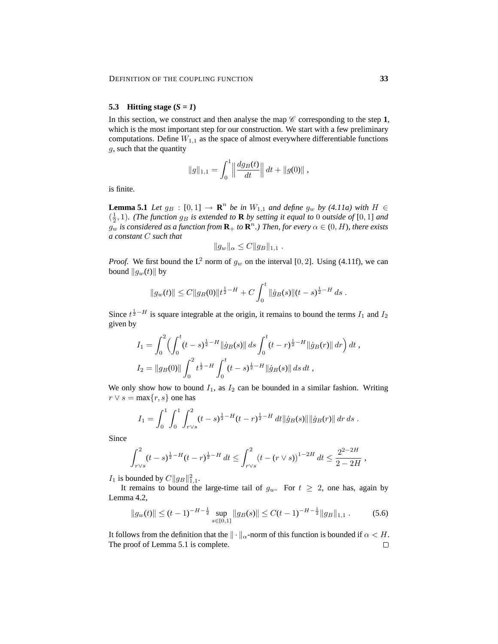## **5.3 Hitting stage (***S = 1***)**

In this section, we construct and then analyse the map  $\mathscr C$  corresponding to the step 1, which is the most important step for our construction. We start with a few preliminary computations. Define  $W_{1,1}$  as the space of almost everywhere differentiable functions g, such that the quantity

$$
||g||_{1,1} = \int_0^1 \left\| \frac{dg_B(t)}{dt} \right\| dt + ||g(0)||,
$$

is finite.

**Lemma 5.1** *Let*  $g_B : [0,1] \rightarrow \mathbb{R}^n$  *be in*  $W_{1,1}$  *and define*  $g_w$  *by (4.11a) with*  $H \in$  $(\frac{1}{2}, 1)$ *. (The function*  $g_B$  *is extended to* **R** *by setting it equal to* 0 *outside of* [0, 1] *and*  $g_w$  is considered as a function from  $\mathbf{R}_+$  to  $\mathbf{R}^n$ .) Then, for every  $\alpha \in (0, H)$ , there exists *a constant* C *such that*

$$
||g_w||_{\alpha} \leq C ||g_B||_{1,1} .
$$

*Proof.* We first bound the L<sup>2</sup> norm of  $g_w$  on the interval [0, 2]. Using (4.11f), we can bound  $\|g_w(t)\|$  by

$$
||g_w(t)|| \leq C ||g_B(0)||t^{\frac{1}{2}-H} + C \int_0^t ||\dot{g}_B(s)||(t-s)^{\frac{1}{2}-H} ds.
$$

Since  $t^{\frac{1}{2}-H}$  is square integrable at the origin, it remains to bound the terms  $I_1$  and  $I_2$ given by

$$
I_1 = \int_0^2 \left( \int_0^t (t-s)^{\frac{1}{2}-H} \|\dot{g}_B(s)\| \, ds \int_0^t (t-r)^{\frac{1}{2}-H} \|\dot{g}_B(r)\| \, dr \right) dt,
$$
  
\n
$$
I_2 = \|g_B(0)\| \int_0^2 t^{\frac{1}{2}-H} \int_0^t (t-s)^{\frac{1}{2}-H} \|\dot{g}_B(s)\| \, ds \, dt,
$$

We only show how to bound  $I_1$ , as  $I_2$  can be bounded in a similar fashion. Writing  $r \vee s = \max\{r, s\}$  one has

$$
I_1 = \int_0^1 \int_0^1 \int_{r \vee s}^2 (t - s)^{\frac{1}{2} - H} (t - r)^{\frac{1}{2} - H} dt ||\dot{g}_B(s)|| ||\dot{g}_B(r)|| \, dr \, ds.
$$

Since

$$
\int_{r\vee s}^{2} (t-s)^{\frac{1}{2}-H} (t-r)^{\frac{1}{2}-H} dt \leq \int_{r\vee s}^{2} (t-(r\vee s))^{1-2H} dt \leq \frac{2^{2-2H}}{2-2H},
$$

 $I_1$  is bounded by  $C||g_B||_{1,1}^2$ .

It remains to bound the large-time tail of  $g_w$ . For  $t \geq 2$ , one has, again by Lemma 4.2,

$$
||g_w(t)|| \le (t-1)^{-H-\frac{1}{2}} \sup_{s \in [0,1]} ||g_B(s)|| \le C(t-1)^{-H-\frac{1}{2}} ||g_B||_{1,1}.
$$
 (5.6)

It follows from the definition that the  $\|\cdot\|_{\alpha}$ -norm of this function is bounded if  $\alpha < H$ . The proof of Lemma 5.1 is complete. $\Box$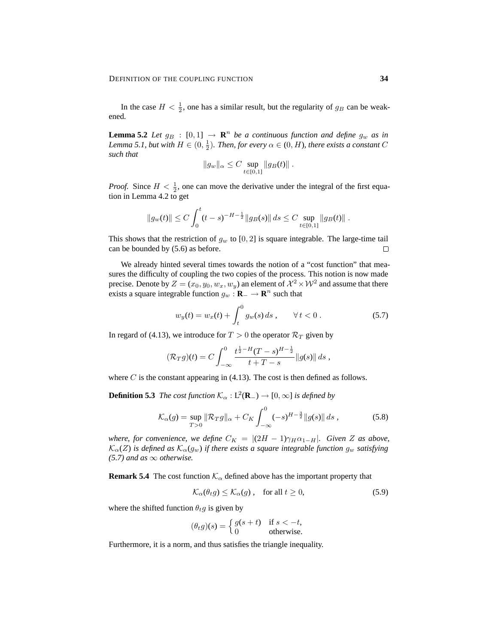In the case  $H < \frac{1}{2}$ , one has a similar result, but the regularity of  $g_B$  can be weakened.

**Lemma 5.2** *Let*  $g_B$  :  $[0, 1] \rightarrow \mathbb{R}^n$  *be a continuous function and define*  $g_w$  *as in* Lemma 5.1, but with  $H \in (0, \frac{1}{2})$ . Then, for every  $\alpha \in (0, H)$ , there exists a constant C *such that*

$$
||g_w||_{\alpha} \leq C \sup_{t \in [0,1]} ||g_B(t)||.
$$

*Proof.* Since  $H < \frac{1}{2}$ , one can move the derivative under the integral of the first equation in Lemma 4.2 to get

$$
||g_w(t)|| \le C \int_0^t (t-s)^{-H-\frac{1}{2}} ||g_B(s)|| ds \le C \sup_{t \in [0,1]} ||g_B(t)||.
$$

This shows that the restriction of  $g_w$  to [0, 2] is square integrable. The large-time tail can be bounded by (5.6) as before.  $\Box$ 

We already hinted several times towards the notion of a "cost function" that measures the difficulty of coupling the two copies of the process. This notion is now made precise. Denote by  $Z = (x_0, y_0, w_x, w_y)$  an element of  $\mathcal{X}^2 \times \mathcal{W}^2$  and assume that there exists a square integrable function  $g_w : \mathbf{R}_- \to \mathbf{R}^n$  such that

$$
w_y(t) = w_x(t) + \int_t^0 g_w(s) \, ds \,, \qquad \forall \, t < 0 \,.
$$
\n(5.7)

In regard of (4.13), we introduce for  $T > 0$  the operator  $\mathcal{R}_T$  given by

$$
(\mathcal{R}_T g)(t) = C \int_{-\infty}^0 \frac{t^{\frac{1}{2}-H} (T-s)^{H-\frac{1}{2}}}{t+T-s} ||g(s)|| ds,
$$

where C is the constant appearing in  $(4.13)$ . The cost is then defined as follows.

**Definition 5.3** *The cost function*  $\mathcal{K}_{\alpha} : L^2(\mathbf{R}_{-}) \to [0, \infty]$  *is defined by* 

$$
\mathcal{K}_{\alpha}(g) = \sup_{T>0} \|\mathcal{R}_T g\|_{\alpha} + C_K \int_{-\infty}^0 (-s)^{H-\frac{3}{2}} \|g(s)\| \, ds \,, \tag{5.8}
$$

*where, for convenience, we define*  $C_K = |(2H - 1)\gamma_H \alpha_{1-H}|$ *. Given* Z as above,  $\mathcal{K}_{\alpha}(Z)$  *is defined as*  $\mathcal{K}_{\alpha}(g_w)$  *if there exists a square integrable function*  $g_w$  *satisfying*  $(5.7)$  *and as*  $\infty$  *otherwise.* 

**Remark 5.4** The cost function  $K_{\alpha}$  defined above has the important property that

$$
\mathcal{K}_{\alpha}(\theta_t g) \le \mathcal{K}_{\alpha}(g) \,, \quad \text{for all } t \ge 0,\tag{5.9}
$$

where the shifted function  $\theta_t g$  is given by

$$
(\theta_t g)(s) = \begin{cases} g(s+t) & \text{if } s < -t, \\ 0 & \text{otherwise.} \end{cases}
$$

Furthermore, it is a norm, and thus satisfies the triangle inequality.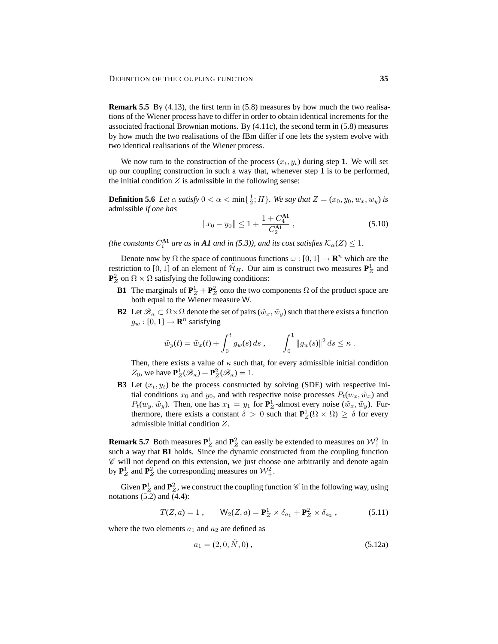**Remark 5.5** By (4.13), the first term in (5.8) measures by how much the two realisations of the Wiener process have to differ in order to obtain identical increments for the associated fractional Brownian motions. By (4.11c), the second term in (5.8) measures by how much the two realisations of the fBm differ if one lets the system evolve with two identical realisations of the Wiener process.

We now turn to the construction of the process  $(x_t, y_t)$  during step 1. We will set up our coupling construction in such a way that, whenever step **1** is to be performed, the initial condition  $Z$  is admissible in the following sense:

**Definition 5.6** *Let*  $\alpha$  *satisfy*  $0 < \alpha < \min\{\frac{1}{2} : H\}$ *. We say that*  $Z = (x_0, y_0, w_x, w_y)$  *is* admissible *if one has*

$$
||x_0 - y_0|| \le 1 + \frac{1 + C_4^{\mathbf{A1}}}{C_2^{\mathbf{A1}}}, \tag{5.10}
$$

(the constants  $C_i^{\mathbf{A1}}$  are as in  $\mathbf{A1}$  and in (5.3)), and its cost satisfies  $\mathcal{K}_\alpha(Z) \leq 1$ .

Denote now by  $\Omega$  the space of continuous functions  $\omega : [0, 1] \to \mathbb{R}^n$  which are the restriction to [0, 1] of an element of  $\tilde{\mathcal{H}}_H$ . Our aim is construct two measures  $\mathbf{P}_Z^1$  and  $\mathbf{P}_Z^2$  on  $\Omega \times \Omega$  satisfying the following conditions:

- **B1** The marginals of  $\mathbf{P}_{Z}^{1} + \mathbf{P}_{Z}^{2}$  onto the two components  $\Omega$  of the product space are both equal to the Wiener measure W.
- **B2** Let  $\mathscr{B}_{\kappa} \subset \Omega \times \Omega$  denote the set of pairs  $(\tilde{w}_x, \tilde{w}_y)$  such that there exists a function  $g_w : [0, 1] \rightarrow \mathbf{R}^n$  satisfying

$$
\tilde{w}_y(t) = \tilde{w}_x(t) + \int_0^t g_w(s) ds
$$
,  $\int_0^1 ||g_w(s)||^2 ds \le \kappa$ .

Then, there exists a value of  $\kappa$  such that, for every admissible initial condition  $Z_0$ , we have  $\mathbf{P}_Z^1(\mathscr{B}_\kappa) + \mathbf{P}_Z^2(\mathscr{B}_\kappa) = 1$ .

**B3** Let  $(x_t, y_t)$  be the process constructed by solving (SDE) with respective initial conditions  $x_0$  and  $y_0$ , and with respective noise processes  $P_t(w_x, \tilde{w}_x)$  and  $P_t(w_y, \tilde{w}_y)$ . Then, one has  $x_1 = y_1$  for  $\mathbf{P}_Z^1$ -almost every noise  $(\tilde{w}_x, \tilde{w}_y)$ . Furthermore, there exists a constant  $\delta > 0$  such that  $P_Z^1(\Omega \times \Omega) \geq \delta$  for every admissible initial condition Z.

**Remark 5.7** Both measures  $P_Z^1$  and  $P_Z^2$  can easily be extended to measures on  $\mathcal{W}_+^2$  in such a way that **B1** holds. Since the dynamic constructed from the coupling function  $\mathscr C$  will not depend on this extension, we just choose one arbitrarily and denote again by  $\mathbf{P}_Z^1$  and  $\mathbf{P}_Z^2$  the corresponding measures on  $\mathcal{W}_+^2$ .

Given  $\mathbf{P}_Z^1$  and  $\mathbf{P}_Z^2$ , we construct the coupling function  $\mathscr C$  in the following way, using notations (5.2) and (4.4):

$$
T(Z, a) = 1, \qquad \mathsf{W}_2(Z, a) = \mathbf{P}_Z^1 \times \delta_{a_1} + \mathbf{P}_Z^2 \times \delta_{a_2}, \tag{5.11}
$$

where the two elements  $a_1$  and  $a_2$  are defined as

$$
a_1 = (2, 0, \tilde{N}, 0), \tag{5.12a}
$$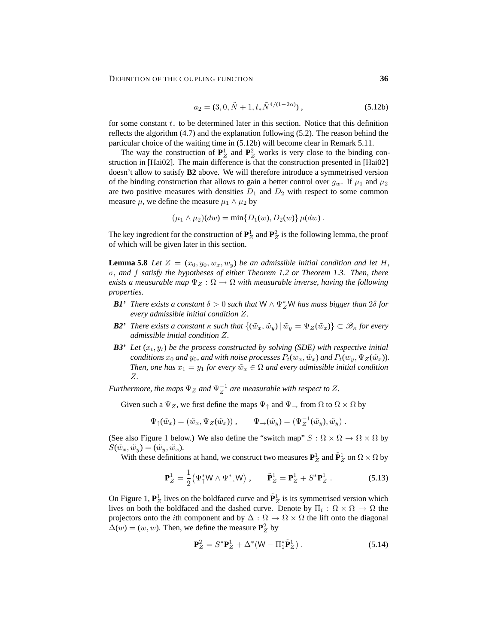$$
a_2 = (3, 0, \tilde{N} + 1, t_* \tilde{N}^{4/(1-2\alpha)}), \qquad (5.12b)
$$

for some constant  $t_*$  to be determined later in this section. Notice that this definition reflects the algorithm (4.7) and the explanation following (5.2). The reason behind the particular choice of the waiting time in (5.12b) will become clear in Remark 5.11.

The way the construction of  $P_Z^1$  and  $P_Z^2$  works is very close to the binding construction in [Hai02]. The main difference is that the construction presented in [Hai02] doesn't allow to satisfy **B2** above. We will therefore introduce a symmetrised version of the binding construction that allows to gain a better control over  $g_w$ . If  $\mu_1$  and  $\mu_2$ are two positive measures with densities  $D_1$  and  $D_2$  with respect to some common measure  $\mu$ , we define the measure  $\mu_1 \wedge \mu_2$  by

$$
(\mu_1 \wedge \mu_2)(dw) = \min\{D_1(w), D_2(w)\} \mu(dw).
$$

The key ingredient for the construction of  $\mathbf{P}_Z^1$  and  $\mathbf{P}_Z^2$  is the following lemma, the proof of which will be given later in this section.

**Lemma 5.8** *Let*  $Z = (x_0, y_0, w_x, w_y)$  *be an admissible initial condition and let* H, σ*, and* f *satisfy the hypotheses of either Theorem 1.2 or Theorem 1.3. Then, there exists a measurable map*  $\Psi_Z : \Omega \to \Omega$  *with measurable inverse, having the following properties.*

- *B1'* There exists a constant  $\delta > 0$  such that  $W \wedge \Psi_Z^*W$  has mass bigger than  $2\delta$  for *every admissible initial condition* Z*.*
- *B2' There exists a constant*  $\kappa$  *such that*  $\{(\tilde{w}_x, \tilde{w}_y) | \tilde{w}_y = \Psi_Z(\tilde{w}_x)\} \subset \mathcal{B}_{\kappa}$  for every *admissible initial condition* Z*.*
- *B3' Let*  $(x_t, y_t)$  *be the process constructed by solving (SDE) with respective initial conditions*  $x_0$  *and*  $y_0$ *, and with noise processes*  $P_t(w_x, \tilde{w}_x)$  *and*  $P_t(w_y, \Psi_Z(\tilde{w}_x))$ *. Then, one has*  $x_1 = y_1$  *for every*  $\tilde{w}_x \in \Omega$  *and every admissible initial condition* Z*.*

*Furthermore, the maps*  $\Psi_Z$  *and*  $\Psi_Z^{-1}$  *are measurable with respect to* Z.

Given such a  $\Psi_Z$ , we first define the maps  $\Psi_\uparrow$  and  $\Psi_\rightarrow$  from  $\Omega$  to  $\Omega \times \Omega$  by

$$
\Psi_{\uparrow}(\tilde{w}_x) = (\tilde{w}_x, \Psi_Z(\tilde{w}_x)), \qquad \Psi_{\rightarrow}(\tilde{w}_y) = (\Psi_Z^{-1}(\tilde{w}_y), \tilde{w}_y).
$$

(See also Figure 1 below.) We also define the "switch map"  $S : \Omega \times \Omega \to \Omega \times \Omega$  by  $S(\tilde{w}_x, \tilde{w}_y) = (\tilde{w}_y, \tilde{w}_x).$ 

With these definitions at hand, we construct two measures  $\mathbf{P}_Z^1$  and  $\tilde{\mathbf{P}}_Z^1$  on  $\Omega \times \Omega$  by

$$
\mathbf{P}_Z^1 = \frac{1}{2} \left( \Psi_{\uparrow}^* \mathsf{W} \wedge \Psi_{\rightarrow}^* \mathsf{W} \right), \qquad \tilde{\mathbf{P}}_Z^1 = \mathbf{P}_Z^1 + S^* \mathbf{P}_Z^1 \,. \tag{5.13}
$$

On Figure 1,  $P_Z^1$  lives on the boldfaced curve and  $\tilde{P}_Z^1$  is its symmetrised version which lives on both the boldfaced and the dashed curve. Denote by  $\Pi_i : \Omega \times \Omega \to \Omega$  the projectors onto the *i*th component and by  $\Delta : \Omega \to \Omega \times \Omega$  the lift onto the diagonal  $\Delta(w) = (w, w)$ . Then, we define the measure  $\mathbf{P}_Z^2$  by

$$
\mathbf{P}_Z^2 = S^* \mathbf{P}_Z^1 + \Delta^* (\mathsf{W} - \Pi_1^* \tilde{\mathbf{P}}_Z^1) \,. \tag{5.14}
$$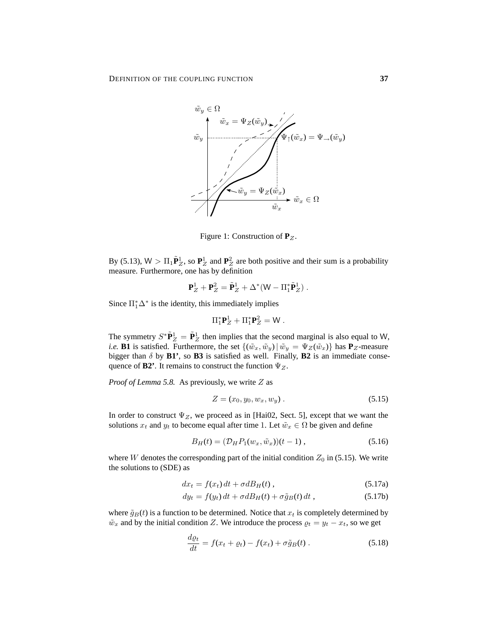

Figure 1: Construction of **P**<sub>Z</sub>.

By (5.13),  $W > \Pi_1 \tilde{P}_Z^1$ , so  $P_Z^1$  and  $P_Z^2$  are both positive and their sum is a probability measure. Furthermore, one has by definition

$$
\mathbf{P}_Z^1 + \mathbf{P}_Z^2 = \tilde{\mathbf{P}}_Z^1 + \Delta^*(\mathsf{W} - \Pi_1^* \tilde{\mathbf{P}}_Z^1) .
$$

Since  $\Pi_1^* \Delta^*$  is the identity, this immediately implies

$$
\Pi_1^* \mathbf{P}_Z^1 + \Pi_1^* \mathbf{P}_Z^2 = W.
$$

The symmetry  $S^* \tilde{P}_Z^1 = \tilde{P}_Z^1$  then implies that the second marginal is also equal to W, *i.e.* **B1** is satisfied. Furthermore, the set  $\{(\tilde{w}_x, \tilde{w}_y) | \tilde{w}_y = \Psi_Z(\tilde{w}_x)\}\$  has **P**<sub>Z</sub>-measure bigger than  $\delta$  by **B1'**, so **B3** is satisfied as well. Finally, **B2** is an immediate consequence of **B2'**. It remains to construct the function  $\Psi_Z$ .

*Proof of Lemma 5.8.* As previously, we write Z as

$$
Z = (x_0, y_0, w_x, w_y). \tag{5.15}
$$

In order to construct  $\Psi_Z$ , we proceed as in [Hai02, Sect. 5], except that we want the solutions  $x_t$  and  $y_t$  to become equal after time 1. Let  $\tilde{w}_x \in \Omega$  be given and define

$$
B_H(t) = (\mathcal{D}_H P_1(w_x, \tilde{w}_x))(t - 1) , \qquad (5.16)
$$

where W denotes the corresponding part of the initial condition  $Z_0$  in (5.15). We write the solutions to (SDE) as

$$
dx_t = f(x_t) dt + \sigma dB_H(t) , \qquad (5.17a)
$$

$$
dy_t = f(y_t) dt + \sigma dB_H(t) + \sigma \tilde{g}_B(t) dt , \qquad (5.17b)
$$

where  $\tilde{g}_B(t)$  is a function to be determined. Notice that  $x_t$  is completely determined by  $\tilde{w}_x$  and by the initial condition Z. We introduce the process  $\varrho_t = y_t - x_t$ , so we get

$$
\frac{d\varrho_t}{dt} = f(x_t + \varrho_t) - f(x_t) + \sigma \tilde{g}_B(t) \,. \tag{5.18}
$$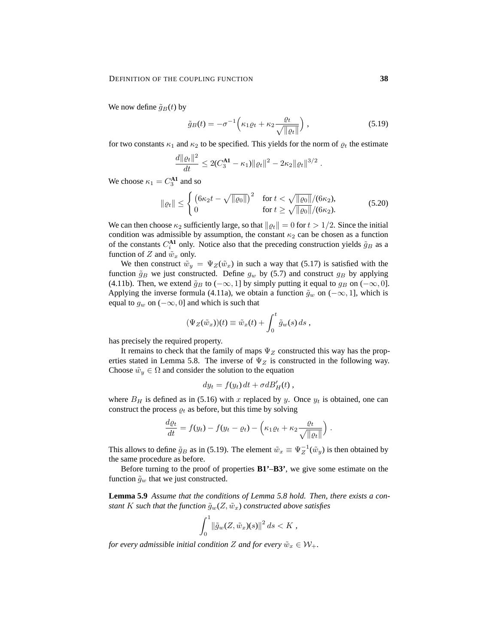We now define  $\tilde{g}_B(t)$  by

$$
\tilde{g}_B(t) = -\sigma^{-1} \left( \kappa_1 \varrho_t + \kappa_2 \frac{\varrho_t}{\sqrt{\|\varrho_t\|}} \right),\tag{5.19}
$$

for two constants  $\kappa_1$  and  $\kappa_2$  to be specified. This yields for the norm of  $\rho_t$  the estimate

$$
\frac{d\|\varrho_t\|^2}{dt} \leq 2(C_3^{\mathbf{A1}} - \kappa_1)\|\varrho_t\|^2 - 2\kappa_2\|\varrho_t\|^{3/2}.
$$

We choose  $\kappa_1 = C_3^{\mathbf{A1}}$  and so

$$
\|\varrho_t\| \le \begin{cases} \left(6\kappa_2 t - \sqrt{\|\varrho_0\|}\right)^2 & \text{for } t < \sqrt{\|\varrho_0\|}/(6\kappa_2), \\ 0 & \text{for } t \ge \sqrt{\|\varrho_0\|}/(6\kappa_2). \end{cases} \tag{5.20}
$$

We can then choose  $\kappa_2$  sufficiently large, so that  $\|\rho_t\| = 0$  for  $t > 1/2$ . Since the initial condition was admissible by assumption, the constant  $\kappa_2$  can be chosen as a function of the constants  $C_i^{\text{A1}}$  only. Notice also that the preceding construction yields  $\tilde{g}_B$  as a function of  $Z$  and  $\tilde{w}_x$  only.

We then construct  $\tilde{w}_y = \Psi_Z(\tilde{w}_x)$  in such a way that (5.17) is satisfied with the function  $\tilde{g}_B$  we just constructed. Define  $g_w$  by (5.7) and construct  $g_B$  by applying (4.11b). Then, we extend  $\tilde{g}_B$  to ( $-\infty$ , 1] by simply putting it equal to  $g_B$  on ( $-\infty$ , 0]. Applying the inverse formula (4.11a), we obtain a function  $\tilde{g}_w$  on ( $-\infty$ , 1], which is equal to  $g_w$  on  $(-\infty, 0]$  and which is such that

$$
(\Psi_Z(\tilde{w}_x))(t) \equiv \tilde{w}_x(t) + \int_0^t \tilde{g}_w(s) \, ds,
$$

has precisely the required property.

It remains to check that the family of maps  $\Psi_Z$  constructed this way has the properties stated in Lemma 5.8. The inverse of  $\Psi_Z$  is constructed in the following way. Choose  $\tilde{w}_y \in \Omega$  and consider the solution to the equation

$$
dy_t = f(y_t) dt + \sigma d B'_H(t) ,
$$

where  $B_H$  is defined as in (5.16) with x replaced by y. Once  $y_t$  is obtained, one can construct the process  $\varrho_t$  as before, but this time by solving

$$
\frac{d\varrho_t}{dt} = f(y_t) - f(y_t - \varrho_t) - \left(\kappa_1 \varrho_t + \kappa_2 \frac{\varrho_t}{\sqrt{\|\varrho_t\|}}\right)
$$

.

This allows to define  $\tilde{g}_B$  as in (5.19). The element  $\tilde{w}_x \equiv \Psi_Z^{-1}(\tilde{w}_y)$  is then obtained by the same procedure as before.

Before turning to the proof of properties **B1'**–**B3'**, we give some estimate on the function  $\tilde{g}_w$  that we just constructed.

**Lemma 5.9** *Assume that the conditions of Lemma 5.8 hold. Then, there exists a constant K such that the function*  $\tilde{g}_w(Z, \tilde{w}_x)$  *constructed above satisfies* 

$$
\int_0^1 \|\tilde{g}_w(Z, \tilde{w}_x)(s)\|^2 ds < K,
$$

*for every admissible initial condition Z and for every*  $\tilde{w}_x \in \mathcal{W}_+$ *.*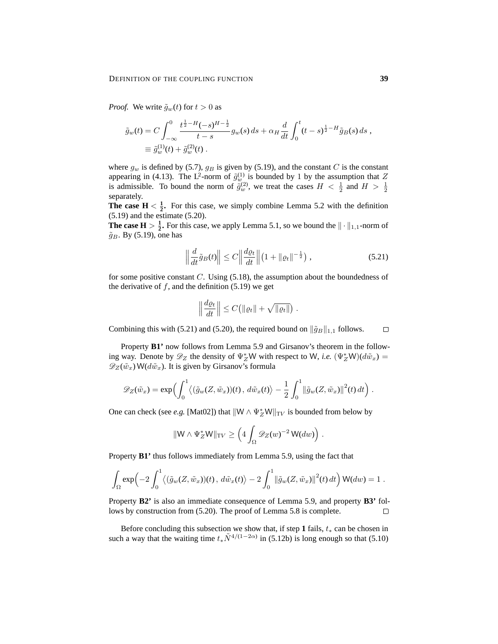*Proof.* We write  $\tilde{g}_w(t)$  for  $t > 0$  as

$$
\tilde{g}_w(t) = C \int_{-\infty}^0 \frac{t^{\frac{1}{2}-H}(-s)^{H-\frac{1}{2}}}{t-s} g_w(s) ds + \alpha_H \frac{d}{dt} \int_0^t (t-s)^{\frac{1}{2}-H} \tilde{g}_B(s) ds,
$$
  
\n
$$
\equiv \tilde{g}_w^{(1)}(t) + \tilde{g}_w^{(2)}(t).
$$

where  $g_w$  is defined by (5.7),  $g_B$  is given by (5.19), and the constant C is the constant appearing in (4.13). The L<sup>2</sup>-norm of  $\tilde{g}_w^{(1)}$  is bounded by 1 by the assumption that Z is admissible. To bound the norm of  $\tilde{g}^{(2)}_w$ , we treat the cases  $H < \frac{1}{2}$  and  $H > \frac{1}{2}$ separately.

**The case**  $H < \frac{1}{2}$ **. For this case, we simply combine Lemma 5.2 with the definition** (5.19) and the estimate (5.20).

**The case**  $H > \frac{1}{2}$ **. For this case, we apply Lemma 5.1, so we bound the**  $\|\cdot\|_{1,1}$ **-norm of**  $\tilde{g}_B$ . By (5.19), one has

$$
\left\| \frac{d}{dt} \tilde{g}_B(t) \right\| \le C \left\| \frac{d\varrho_t}{dt} \right\| \left( 1 + \left\| \varrho_t \right\|^{-\frac{1}{2}} \right), \tag{5.21}
$$

for some positive constant  $C$ . Using  $(5.18)$ , the assumption about the boundedness of the derivative of  $f$ , and the definition (5.19) we get

$$
\left\|\frac{d\varrho_t}{dt}\right\| \leq C\big(\|\varrho_t\| + \sqrt{\|\varrho_t\|}\big) .
$$

Combining this with (5.21) and (5.20), the required bound on  $\|\tilde{g}_B\|_{1,1}$  follows.  $\Box$ 

Property **B1'** now follows from Lemma 5.9 and Girsanov's theorem in the following way. Denote by  $\mathscr{D}_Z$  the density of  $\Psi_Z^*W$  with respect to W, *i.e.*  $(\Psi_Z^*W)(d\tilde{w}_x)$  =  $\mathscr{D}_Z(\tilde{w}_x)$  W( $d\tilde{w}_x$ ). It is given by Girsanov's formula

$$
\mathscr{D}_Z(\tilde{w}_x) = \exp\Bigl(\int_0^1 \langle (\tilde{g}_w(Z, \tilde{w}_x))(t), d\tilde{w}_x(t) \rangle - \frac{1}{2} \int_0^1 ||\tilde{g}_w(Z, \tilde{w}_x)||^2(t) dt\Bigr) .
$$

One can check (see *e.g.* [Mat02]) that  $\|W \wedge \Psi_Z^* W\|_{TV}$  is bounded from below by

$$
\|\mathsf{W}\wedge\Psi_Z^*\mathsf{W}\|_{\mathrm{TV}}\geq \left(4\int_{\Omega}\mathscr{D}_Z(w)^{-2}\,\mathsf{W}(dw)\right).
$$

Property **B1'** thus follows immediately from Lemma 5.9, using the fact that

$$
\int_{\Omega} \exp\left(-2\int_0^1 \langle (\tilde{g}_w(Z, \tilde{w}_x))(t), d\tilde{w}_x(t) \rangle - 2\int_0^1 ||\tilde{g}_w(Z, \tilde{w}_x)||^2(t) dt\right) W(dw) = 1.
$$

Property **B2'** is also an immediate consequence of Lemma 5.9, and property **B3'** follows by construction from (5.20). The proof of Lemma 5.8 is complete.  $\Box$ 

Before concluding this subsection we show that, if step 1 fails,  $t_*$  can be chosen in such a way that the waiting time  $t_*\tilde{N}^{4/(1-2\alpha)}$  in (5.12b) is long enough so that (5.10)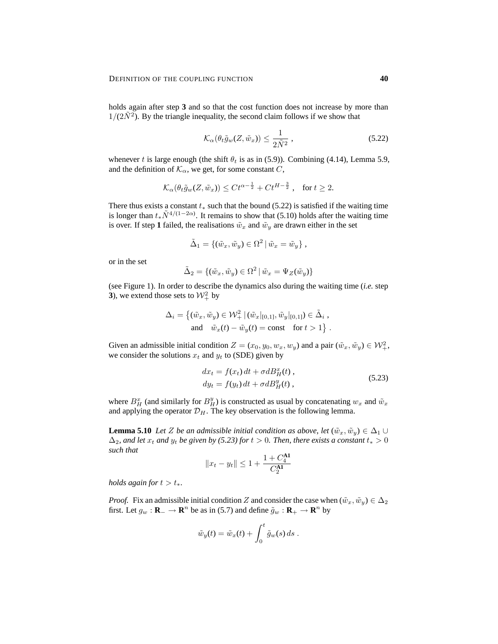holds again after step **3** and so that the cost function does not increase by more than  $1/(2\tilde{N}^2)$ . By the triangle inequality, the second claim follows if we show that

$$
\mathcal{K}_{\alpha}(\theta_t \tilde{g}_w(Z, \tilde{w}_x)) \le \frac{1}{2\tilde{N}^2},\tag{5.22}
$$

whenever t is large enough (the shift  $\theta_t$  is as in (5.9)). Combining (4.14), Lemma 5.9, and the definition of  $\mathcal{K}_{\alpha}$ , we get, for some constant  $C$ ,

$$
\mathcal{K}_{\alpha}(\theta_t \tilde{g}_w(Z, \tilde{w}_x)) \leq C t^{\alpha - \frac{1}{2}} + C t^{H - \frac{3}{2}}, \quad \text{for } t \geq 2.
$$

There thus exists a constant  $t_*$  such that the bound (5.22) is satisfied if the waiting time is longer than  $t_*\tilde{N}^{4/(1-2\alpha)}$ . It remains to show that (5.10) holds after the waiting time is over. If step 1 failed, the realisations  $\tilde{w}_x$  and  $\tilde{w}_y$  are drawn either in the set

$$
\tilde{\Delta}_1 = \{ (\tilde{w}_x, \tilde{w}_y) \in \Omega^2 \mid \tilde{w}_x = \tilde{w}_y \},
$$

or in the set

$$
\tilde{\Delta}_2 = \{ (\tilde{w}_x, \tilde{w}_y) \in \Omega^2 \mid \tilde{w}_x = \Psi_Z(\tilde{w}_y) \}
$$

(see Figure 1). In order to describe the dynamics also during the waiting time (*i.e.* step **3**), we extend those sets to  $\mathcal{W}^2_+$  by

$$
\Delta_i = \left\{ (\tilde{w}_x, \tilde{w}_y) \in \mathcal{W}_+^2 \, | \, (\tilde{w}_x|_{[0,1]}, \tilde{w}_y|_{[0,1]}) \in \tilde{\Delta}_i ,\right\}
$$
\nand\n
$$
\tilde{w}_x(t) - \tilde{w}_y(t) = \text{const} \quad \text{for } t > 1 \right\}.
$$

Given an admissible initial condition  $Z = (x_0, y_0, w_x, w_y)$  and a pair  $(\tilde{w}_x, \tilde{w}_y) \in \mathcal{W}_+^2$ , we consider the solutions  $x_t$  and  $y_t$  to (SDE) given by

$$
dx_t = f(x_t) dt + \sigma dB_H^x(t),
$$
  
\n
$$
dy_t = f(y_t) dt + \sigma dB_H^y(t),
$$
\n(5.23)

where  $B_H^x$  (and similarly for  $B_H^y$ ) is constructed as usual by concatenating  $w_x$  and  $\tilde{w}_x$ and applying the operator  $\mathcal{D}_H$ . The key observation is the following lemma.

**Lemma 5.10** *Let* Z *be an admissible initial condition as above, let*  $(\tilde{w}_x, \tilde{w}_y) \in \Delta_1 \cup$  $\Delta_2$ *, and let*  $x_t$  *and*  $y_t$  *be given by (5.23) for*  $t > 0$ *. Then, there exists a constant*  $t_* > 0$ *such that*

$$
||x_t - y_t|| \leq 1 + \frac{1 + C_4^{\mathbf{A1}}}{C_2^{\mathbf{A1}}}
$$

*holds again for*  $t > t_*$ .

*Proof.* Fix an admissible initial condition Z and consider the case when  $(\tilde{w}_x, \tilde{w}_y) \in \Delta_2$ first. Let  $g_w : \mathbf{R}_+ \to \mathbf{R}^n$  be as in (5.7) and define  $\tilde{g}_w : \mathbf{R}_+ \to \mathbf{R}^n$  by

$$
\tilde{w}_y(t) = \tilde{w}_x(t) + \int_0^t \tilde{g}_w(s) ds.
$$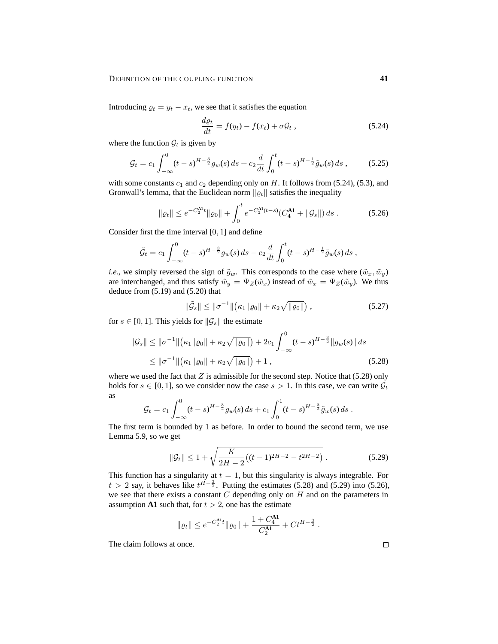Introducing  $\varrho_t = y_t - x_t$ , we see that it satisfies the equation

$$
\frac{d\varrho_t}{dt} = f(y_t) - f(x_t) + \sigma \mathcal{G}_t,
$$
\n(5.24)

where the function  $\mathcal{G}_t$  is given by

$$
\mathcal{G}_t = c_1 \int_{-\infty}^0 (t-s)^{H-\frac{3}{2}} g_w(s) \, ds + c_2 \frac{d}{dt} \int_0^t (t-s)^{H-\frac{1}{2}} \tilde{g}_w(s) \, ds \,, \tag{5.25}
$$

with some constants  $c_1$  and  $c_2$  depending only on H. It follows from (5.24), (5.3), and Gronwall's lemma, that the Euclidean norm  $\|\varrho_t\|$  satisfies the inequality

$$
\|\varrho_t\| \le e^{-C_2^{\mathbf{A}t}} \|\varrho_0\| + \int_0^t e^{-C_2^{\mathbf{A}t}(t-s)} (C_4^{\mathbf{A}t} + \|\mathcal{G}_s\|) ds. \tag{5.26}
$$

Consider first the time interval [0, 1] and define

$$
\tilde{G}_t = c_1 \int_{-\infty}^0 (t-s)^{H-\frac{3}{2}} g_w(s) ds - c_2 \frac{d}{dt} \int_0^t (t-s)^{H-\frac{1}{2}} \tilde{g}_w(s) ds,
$$

*i.e.*, we simply reversed the sign of  $\tilde{g}_w$ . This corresponds to the case where  $(\tilde{w}_x, \tilde{w}_y)$ are interchanged, and thus satisfy  $\tilde{w}_y = \Psi_Z(\tilde{w}_x)$  instead of  $\tilde{w}_x = \Psi_Z(\tilde{w}_y)$ . We thus deduce from (5.19) and (5.20) that

$$
\|\tilde{g}_s\| \le \|\sigma^{-1}\| \big(\kappa_1\| \varrho_0\| + \kappa_2 \sqrt{\|\varrho_0\|} \big) ,\tag{5.27}
$$

for  $s \in [0, 1]$ . This yields for  $\|\mathcal{G}_s\|$  the estimate

$$
\|\mathcal{G}_s\| \le \|\sigma^{-1}\| \big(\kappa_1 \|\varrho_0\| + \kappa_2 \sqrt{\|\varrho_0\|}\big) + 2c_1 \int_{-\infty}^0 (t-s)^{H-\frac{3}{2}} \|g_w(s)\| ds
$$
  
\$\le \|\sigma^{-1}\| \big(\kappa\_1 \|\varrho\_0\| + \kappa\_2 \sqrt{\|\varrho\_0\|}\big) + 1 , \qquad (5.28)\$

where we used the fact that  $Z$  is admissible for the second step. Notice that (5.28) only holds for  $s \in [0, 1]$ , so we consider now the case  $s > 1$ . In this case, we can write  $\mathcal{G}_t$ as

$$
\mathcal{G}_t = c_1 \int_{-\infty}^0 (t-s)^{H-\frac{3}{2}} g_w(s) \, ds + c_1 \int_0^1 (t-s)^{H-\frac{3}{2}} \tilde{g}_w(s) \, ds.
$$

The first term is bounded by 1 as before. In order to bound the second term, we use Lemma 5.9, so we get

$$
\|\mathcal{G}_t\| \le 1 + \sqrt{\frac{K}{2H - 2} \left( (t - 1)^{2H - 2} - t^{2H - 2} \right)}.
$$
\n(5.29)

This function has a singularity at  $t = 1$ , but this singularity is always integrable. For  $t > 2$  say, it behaves like  $t^{\overline{H}-\frac{3}{2}}$ . Putting the estimates (5.28) and (5.29) into (5.26), we see that there exists a constant  $C$  depending only on  $H$  and on the parameters in assumption **A1** such that, for  $t > 2$ , one has the estimate

$$
\|\varrho_t\| \leq e^{-C_2^{\mathbf{A} \mathbf{I}} t} \|\varrho_0\| + \frac{1 + C_4^{\mathbf{A} \mathbf{I}}}{C_2^{\mathbf{A} \mathbf{I}}} + Ct^{H-\frac{3}{2}}.
$$

The claim follows at once.

 $\Box$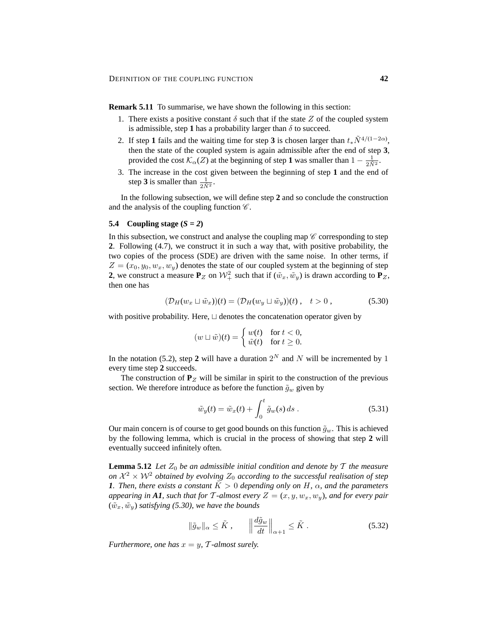**Remark 5.11** To summarise, we have shown the following in this section:

- 1. There exists a positive constant  $\delta$  such that if the state Z of the coupled system is admissible, step 1 has a probability larger than  $\delta$  to succeed.
- 2. If step 1 fails and the waiting time for step 3 is chosen larger than  $t_*\tilde{N}^{4/(1-2\alpha)}$ , then the state of the coupled system is again admissible after the end of step **3**, provided the cost  $\mathcal{K}_{\alpha}(Z)$  at the beginning of step **1** was smaller than  $1 - \frac{1}{2N^2}$ .
- 3. The increase in the cost given between the beginning of step **1** and the end of step **3** is smaller than  $\frac{1}{2\tilde{N}^2}$ .

In the following subsection, we will define step **2** and so conclude the construction and the analysis of the coupling function  $\mathscr{C}$ .

# 5.4 Coupling stage  $(S = 2)$

In this subsection, we construct and analyse the coupling map  $\mathscr C$  corresponding to step **2**. Following (4.7), we construct it in such a way that, with positive probability, the two copies of the process (SDE) are driven with the same noise. In other terms, if  $Z = (x_0, y_0, w_x, w_y)$  denotes the state of our coupled system at the beginning of step **2**, we construct a measure  $P_Z$  on  $\mathcal{W}_+^2$  such that if  $(\tilde{w}_x, \tilde{w}_y)$  is drawn according to  $P_Z$ , then one has

$$
(\mathcal{D}_H(w_x \sqcup \tilde{w}_x))(t) = (\mathcal{D}_H(w_y \sqcup \tilde{w}_y))(t) , \quad t > 0 , \tag{5.30}
$$

with positive probability. Here,  $\sqcup$  denotes the concatenation operator given by

$$
(w \sqcup \tilde{w})(t) = \begin{cases} w(t) & \text{for } t < 0, \\ \tilde{w}(t) & \text{for } t \ge 0. \end{cases}
$$

In the notation (5.2), step 2 will have a duration  $2^N$  and N will be incremented by 1 every time step **2** succeeds.

The construction of  $P_Z$  will be similar in spirit to the construction of the previous section. We therefore introduce as before the function  $\tilde{g}_w$  given by

$$
\tilde{w}_y(t) = \tilde{w}_x(t) + \int_0^t \tilde{g}_w(s) ds . \qquad (5.31)
$$

Our main concern is of course to get good bounds on this function  $\tilde{q}_w$ . This is achieved by the following lemma, which is crucial in the process of showing that step **2** will eventually succeed infinitely often.

**Lemma 5.12** *Let*  $Z_0$  *be an admissible initial condition and denote by*  $T$  *the measure on*  $\mathcal{X}^2 \times \mathcal{W}^2$  *obtained by evolving*  $Z_0$  *according to the successful realisation of step 1. Then, there exists a constant*  $K > 0$  *depending only on*  $H$ *,*  $\alpha$ *, and the parameters appearing in* A1, such that for T-almost every  $Z = (x, y, w_x, w_y)$ , and for every pair  $(\tilde{w}_x, \tilde{w}_y)$  *satisfying (5.30), we have the bounds* 

$$
\|\tilde{g}_w\|_{\alpha} \le \tilde{K}, \qquad \left\|\frac{d\tilde{g}_w}{dt}\right\|_{\alpha+1} \le \tilde{K}.
$$

*Furthermore, one has*  $x = y$ ,  $\mathcal{T}$ -almost surely.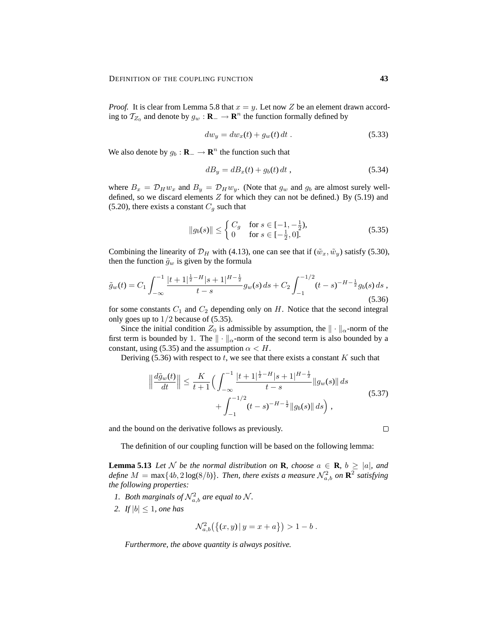*Proof.* It is clear from Lemma 5.8 that  $x = y$ . Let now Z be an element drawn according to  $\mathcal{T}_{Z_0}$  and denote by  $g_w : \mathbf{R}_- \to \mathbf{R}^n$  the function formally defined by

$$
dw_y = dw_x(t) + g_w(t) dt.
$$
 (5.33)

We also denote by  $g_b : \mathbf{R}_+ \to \mathbf{R}^n$  the function such that

$$
dB_y = dB_x(t) + g_b(t) dt , \qquad (5.34)
$$

where  $B_x = \mathcal{D}_H w_x$  and  $B_y = \mathcal{D}_H w_y$ . (Note that  $g_w$  and  $g_b$  are almost surely welldefined, so we discard elements  $Z$  for which they can not be defined.) By (5.19) and (5.20), there exists a constant  $C_g$  such that

$$
||g_b(s)|| \le \begin{cases} C_g & \text{for } s \in [-1, -\frac{1}{2}), \\ 0 & \text{for } s \in [-\frac{1}{2}, 0]. \end{cases}
$$
 (5.35)

Combining the linearity of  $\mathcal{D}_H$  with (4.13), one can see that if  $(\tilde{w}_x, \tilde{w}_y)$  satisfy (5.30), then the function  $\tilde{g}_w$  is given by the formula

$$
\tilde{g}_w(t) = C_1 \int_{-\infty}^{-1} \frac{|t+1|^{\frac{1}{2}-H} |s+1|^{H-\frac{1}{2}}}{t-s} g_w(s) \, ds + C_2 \int_{-1}^{-1/2} (t-s)^{-H-\frac{1}{2}} g_b(s) \, ds \,,\tag{5.36}
$$

for some constants  $C_1$  and  $C_2$  depending only on H. Notice that the second integral only goes up to  $1/2$  because of (5.35).

Since the initial condition  $Z_0$  is admissible by assumption, the  $\|\cdot\|_{\alpha}$ -norm of the first term is bounded by 1. The  $\|\cdot\|_{\alpha}$ -norm of the second term is also bounded by a constant, using (5.35) and the assumption  $\alpha < H$ .

Deriving (5.36) with respect to  $t$ , we see that there exists a constant  $K$  such that

$$
\left\| \frac{d\tilde{g}_w(t)}{dt} \right\| \le \frac{K}{t+1} \Big( \int_{-\infty}^{-1} \frac{|t+1|^{\frac{1}{2}-H} |s+1|^{H-\frac{1}{2}}}{t-s} \|g_w(s)\| ds + \int_{-1}^{-1/2} (t-s)^{-H-\frac{1}{2}} \|g_b(s)\| ds \Big), \tag{5.37}
$$

and the bound on the derivative follows as previously.

The definition of our coupling function will be based on the following lemma:

**Lemma 5.13** Let N be the normal distribution on **R**, choose  $a \in \mathbb{R}$ ,  $b \ge |a|$ , and *define*  $M = \max\{4b, 2\log(8/b)\}$ . Then, there exists a measure  $\mathcal{N}_{a,b}^2$  on  $\mathbb{R}^2$  satisfying *the following properties:*

- *1. Both marginals of*  $\mathcal{N}_{a,b}^2$  *are equal to*  $\mathcal{N}$ *.*
- 2. *If*  $|b| \leq 1$ *, one has*

$$
\mathcal{N}_{a,b}^2(\{(x,y)\,|\,y=x+a\})>1-b.
$$

*Furthermore, the above quantity is always positive.*

 $\Box$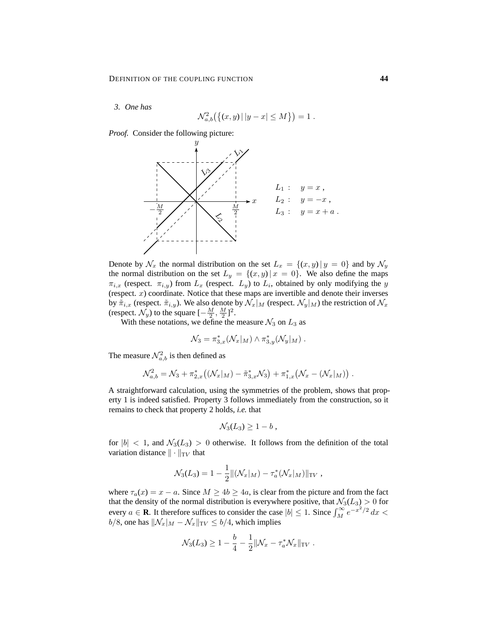*3. One has*

$$
\mathcal{N}_{a,b}^2(\{(x,y) \,|\, |y-x| \le M\}) = 1.
$$

*Proof.* Consider the following picture:



Denote by  $\mathcal{N}_x$  the normal distribution on the set  $L_x = \{(x, y) | y = 0\}$  and by  $\mathcal{N}_y$ the normal distribution on the set  $L_y = \{(x, y) | x = 0\}$ . We also define the maps  $\pi_{i,x}$  (respect.  $\pi_{i,y}$ ) from  $L_x$  (respect.  $L_y$ ) to  $L_i$ , obtained by only modifying the y (respect.  $x$ ) coordinate. Notice that these maps are invertible and denote their inverses by  $\tilde{\pi}_{i,x}$  (respect.  $\tilde{\pi}_{i,y}$ ). We also denote by  $\mathcal{N}_x|_M$  (respect.  $\mathcal{N}_y|_M$ ) the restriction of  $\mathcal{N}_x$ (respect.  $\mathcal{N}_y$ ) to the square  $\left[-\frac{M}{2}, \frac{M}{2}\right]^2$ .

With these notations, we define the measure  $\mathcal{N}_3$  on  $L_3$  as

$$
\mathcal{N}_3 = \pi_{3,x}^*(\mathcal{N}_x|_M) \wedge \pi_{3,y}^*(\mathcal{N}_y|_M) .
$$

The measure  $\mathcal{N}_{a,b}^2$  is then defined as

$$
\mathcal{N}_{a,b}^2 = \mathcal{N}_3 + \pi_{2,x}^* ((\mathcal{N}_x|_M) - \tilde{\pi}_{3,x}^* \mathcal{N}_3) + \pi_{1,x}^* (\mathcal{N}_x - (\mathcal{N}_x|_M)).
$$

A straightforward calculation, using the symmetries of the problem, shows that property 1 is indeed satisfied. Property 3 follows immediately from the construction, so it remains to check that property 2 holds, *i.e.* that

$$
\mathcal{N}_3(L_3) \geq 1 - b,
$$

for  $|b| < 1$ , and  $\mathcal{N}_3(L_3) > 0$  otherwise. It follows from the definition of the total variation distance  $\|\cdot\|_{TV}$  that

$$
\mathcal{N}_3(L_3) = 1 - \frac{1}{2} ||(\mathcal{N}_x|_M) - \tau_a^*(\mathcal{N}_x|_M) ||_{TV},
$$

where  $\tau_a(x) = x - a$ . Since  $M \ge 4b \ge 4a$ , is clear from the picture and from the fact that the density of the normal distribution is everywhere positive, that  $\mathcal{N}_3(L_3) > 0$  for every  $a \in \mathbf{R}$ . It therefore suffices to consider the case  $|b| \leq 1$ . Since  $\int_M^{\infty} e^{-x^2/2} dx$  $b/8$ , one has  $\|\mathcal{N}_x\|_M - \mathcal{N}_x\|_{TV} \le b/4$ , which implies

$$
\mathcal{N}_3(L_3) \ge 1 - \frac{b}{4} - \frac{1}{2} ||\mathcal{N}_x - \tau_a^* \mathcal{N}_x||_{TV}.
$$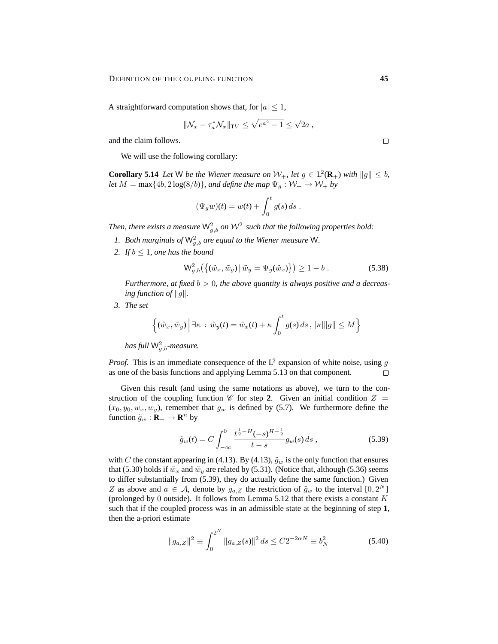A straightforward computation shows that, for  $|a| \leq 1$ ,

$$
\|\mathcal{N}_x - \tau_a^* \mathcal{N}_x\|_{\mathrm{TV}} \le \sqrt{e^{a^2} - 1} \le \sqrt{2}a,
$$

and the claim follows.

We will use the following corollary:

**Corollary 5.14** Let W be the Wiener measure on  $W_+$ , let  $g \in L^2(\mathbf{R}_+)$  with  $||g|| \leq b$ , *let*  $M = \max\{4b, 2\log(8/b)\}\$ , and define the map  $\Psi_g : \mathcal{W}_+ \to \mathcal{W}_+$  by

$$
(\Psi_g w)(t) = w(t) + \int_0^t g(s) ds.
$$

Then, there exists a measure  $\mathsf{W}^2_{g,b}$  on  $\mathcal{W}^2_+$  such that the following properties hold:

- 1. Both marginals of  $\mathsf{W}_{g,b}^2$  are equal to the Wiener measure W.
- 2. *If*  $b \leq 1$ *, one has the bound*

$$
\mathsf{W}_{g,b}^{2}\left(\left\{(\tilde{w}_{x}, \tilde{w}_{y}) \,|\, \tilde{w}_{y} = \Psi_{g}(\tilde{w}_{x})\right\}\right) \geq 1 - b. \tag{5.38}
$$

*Furthermore, at fixed* b > 0*, the above quantity is always positive and a decreasing function of*  $||g||$ *.* 

*3. The set*

$$
\left\{(\tilde{w}_x, \tilde{w}_y) \middle| \exists \kappa \,:\, \tilde{w}_y(t) = \tilde{w}_x(t) + \kappa \int_0^t g(s) \, ds \,, \, |\kappa| \|g\| \le M \right\}
$$

has full  $\mathsf{W}^2_{g,b}$ -measure.

*Proof.* This is an immediate consequence of the  $L^2$  expansion of white noise, using g as one of the basis functions and applying Lemma 5.13 on that component.  $\Box$ 

Given this result (and using the same notations as above), we turn to the construction of the coupling function  $\mathscr C$  for step 2. Given an initial condition  $Z =$  $(x_0, y_0, w_x, w_y)$ , remember that  $g_w$  is defined by (5.7). We furthermore define the function  $\tilde{g}_w : \mathbf{R}_+ \to \mathbf{R}^n$  by

$$
\tilde{g}_w(t) = C \int_{-\infty}^0 \frac{t^{\frac{1}{2} - H}(-s)^{H - \frac{1}{2}}}{t - s} g_w(s) \, ds \,, \tag{5.39}
$$

with C the constant appearing in (4.13). By (4.13),  $\tilde{g}_w$  is the only function that ensures that (5.30) holds if  $\tilde{w}_x$  and  $\tilde{w}_y$  are related by (5.31). (Notice that, although (5.36) seems to differ substantially from (5.39), they do actually define the same function.) Given Z as above and  $a \in \mathcal{A}$ , denote by  $g_{a,Z}$  the restriction of  $\tilde{g}_w$  to the interval  $[0, 2^N]$ (prolonged by 0 outside). It follows from Lemma 5.12 that there exists a constant  $K$ such that if the coupled process was in an admissible state at the beginning of step **1**, then the a-priori estimate

$$
||g_{a,Z}||^2 \equiv \int_0^{2^N} ||g_{a,Z}(s)||^2 ds \le C2^{-2\alpha N} \equiv b_N^2
$$
 (5.40)

 $\Box$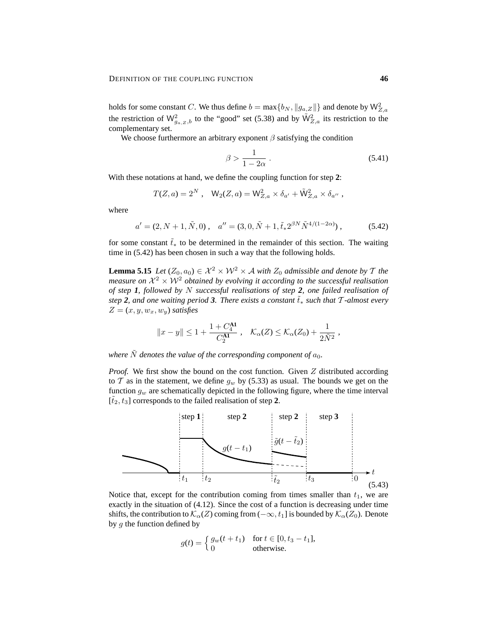holds for some constant C. We thus define  $b = \max\{b_N, \|g_{a,Z}\|\}$  and denote by  $\mathsf{W}_{Z,a}^2$ the restriction of  $\mathsf{W}_{g_a,z,b}^2$  to the "good" set (5.38) and by  $\tilde{\mathsf{W}}_{Z,a}^2$  its restriction to the complementary set.

We choose furthermore an arbitrary exponent  $\beta$  satisfying the condition

$$
\beta > \frac{1}{1 - 2\alpha} \,. \tag{5.41}
$$

With these notations at hand, we define the coupling function for step **2**:

$$
T(Z, a) = 2^N
$$
,  $W_2(Z, a) = W_{Z, a}^2 \times \delta_{a'} + \tilde{W}_{Z, a}^2 \times \delta_{a''}$ ,

where

$$
a' = (2, N+1, \tilde{N}, 0), \quad a'' = (3, 0, \tilde{N}+1, \tilde{t}_* 2^{\beta N} \tilde{N}^{4/(1-2\alpha)}), \tag{5.42}
$$

for some constant  $\tilde{t}_∗$  to be determined in the remainder of this section. The waiting time in (5.42) has been chosen in such a way that the following holds.

**Lemma 5.15** *Let*  $(Z_0, a_0) \in \mathcal{X}^2 \times \mathcal{W}^2 \times \mathcal{A}$  *with*  $Z_0$  *admissible and denote by*  $\mathcal{T}$  *the* measure on  $\mathcal{X}^2 \times \mathcal{W}^2$  obtained by evolving it according to the successful realisation *of step 1, followed by* N *successful realisations of step 2, one failed realisation of step* **2**, and one waiting period 3. There exists a constant  $\bar{t}_*$  *such that*  $\bar{T}$ *-almost every*  $Z = (x, y, w_x, w_y)$  *satisfies* 

$$
||x - y|| \le 1 + \frac{1 + C_4^{\mathbf{A1}}}{C_2^{\mathbf{A1}}}, \quad \mathcal{K}_{\alpha}(Z) \le \mathcal{K}_{\alpha}(Z_0) + \frac{1}{2\tilde{N}^2},
$$

*where*  $\tilde{N}$  *denotes the value of the corresponding component of*  $a_0$ *.* 

*Proof.* We first show the bound on the cost function. Given Z distributed according to T as in the statement, we define  $g_w$  by (5.33) as usual. The bounds we get on the function  $g_w$  are schematically depicted in the following figure, where the time interval  $[t_2, t_3]$  corresponds to the failed realisation of step 2.



Notice that, except for the contribution coming from times smaller than  $t_1$ , we are exactly in the situation of (4.12). Since the cost of a function is decreasing under time shifts, the contribution to  $\mathcal{K}_\alpha(Z)$  coming from  $(-\infty, t_1]$  is bounded by  $\mathcal{K}_\alpha(Z_0)$ . Denote by  $q$  the function defined by

$$
g(t) = \begin{cases} g_w(t+t_1) & \text{for } t \in [0, t_3 - t_1], \\ 0 & \text{otherwise.} \end{cases}
$$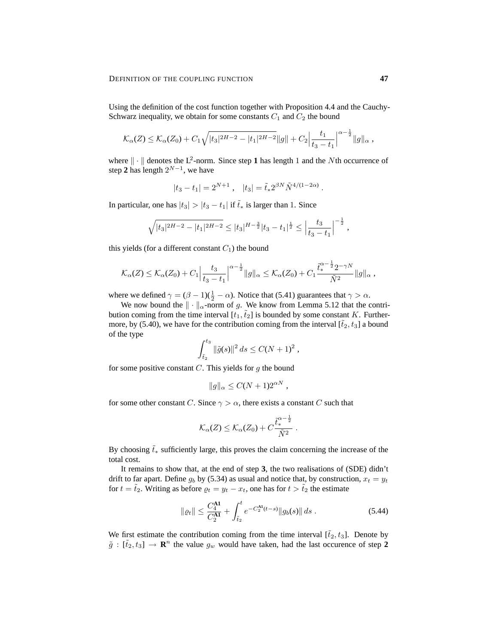Using the definition of the cost function together with Proposition 4.4 and the Cauchy-Schwarz inequality, we obtain for some constants  $C_1$  and  $C_2$  the bound

$$
\mathcal{K}_{\alpha}(Z) \leq \mathcal{K}_{\alpha}(Z_0) + C_1 \sqrt{|t_3|^{2H-2} - |t_1|^{2H-2}} \|g\| + C_2 \Big| \frac{t_1}{t_3 - t_1} \Big|^{\alpha - \frac{1}{2}} \|g\|_{\alpha} ,
$$

where  $\|\cdot\|$  denotes the L<sup>2</sup>-norm. Since step 1 has length 1 and the Nth occurrence of step 2 has length  $2^{N-1}$ , we have

$$
|t_3 - t_1| = 2^{N+1}, \quad |t_3| = \tilde{t}_* 2^{\beta N} \tilde{N}^{4/(1-2\alpha)}
$$

.

In particular, one has  $|t_3| > |t_3 - t_1|$  if  $\tilde{t}_*$  is larger than 1. Since

$$
\sqrt{|t_3|^{2H-2} - |t_1|^{2H-2}} \le |t_3|^{H-\frac{3}{2}} |t_3 - t_1|^{\frac{1}{2}} \le \left|\frac{t_3}{t_3 - t_1}\right|^{-\frac{1}{2}},
$$

this yields (for a different constant  $C_1$ ) the bound

$$
\mathcal{K}_{\alpha}(Z) \leq \mathcal{K}_{\alpha}(Z_0) + C_1 \Big| \frac{t_3}{t_3 - t_1} \Big|^{\alpha - \frac{1}{2}} \|g\|_{\alpha} \leq \mathcal{K}_{\alpha}(Z_0) + C_1 \frac{\tilde{t}_{*}^{\alpha - \frac{1}{2}} 2^{-\gamma N}}{\tilde{N}^2} \|g\|_{\alpha} ,
$$

where we defined  $\gamma = (\beta - 1)(\frac{1}{2} - \alpha)$ . Notice that (5.41) guarantees that  $\gamma > \alpha$ .

We now bound the  $\|\cdot\|_{\alpha}$ -norm of g. We know from Lemma 5.12 that the contribution coming from the time interval  $[t_1,\tilde{t}_2]$  is bounded by some constant K. Furthermore, by (5.40), we have for the contribution coming from the interval  $[\tilde{t}_2, t_3]$  a bound of the type

$$
\int_{\tilde{t}_2}^{t_3} \|\tilde{g}(s)\|^2 ds \le C(N+1)^2 ,
$$

for some positive constant  $C$ . This yields for  $g$  the bound

$$
||g||_{\alpha} \leq C(N+1)2^{\alpha N},
$$

for some other constant C. Since  $\gamma > \alpha$ , there exists a constant C such that

$$
\mathcal{K}_{\alpha}(Z) \leq \mathcal{K}_{\alpha}(Z_0) + C \frac{\tilde{t}_{*}^{\alpha - \frac{1}{2}}}{\tilde{N}^2}.
$$

By choosing  $\tilde{t}_∗$  sufficiently large, this proves the claim concerning the increase of the total cost.

It remains to show that, at the end of step **3**, the two realisations of (SDE) didn't drift to far apart. Define  $g_b$  by (5.34) as usual and notice that, by construction,  $x_t = y_t$ for  $t = \tilde{t}_2$ . Writing as before  $\rho_t = y_t - x_t$ , one has for  $t > \tilde{t}_2$  the estimate

$$
\|\varrho_t\| \le \frac{C_4^{\mathbf{A1}}}{C_2^{\mathbf{A1}}} + \int_{\tilde{t}_2}^t e^{-C_2^{\mathbf{A1}}(t-s)} \|g_b(s)\| \, ds \,. \tag{5.44}
$$

We first estimate the contribution coming from the time interval  $[\tilde{t}_2, t_3]$ . Denote by  $\tilde{g} : [\tilde{t}_2, t_3] \to \mathbf{R}^n$  the value  $g_w$  would have taken, had the last occurence of step 2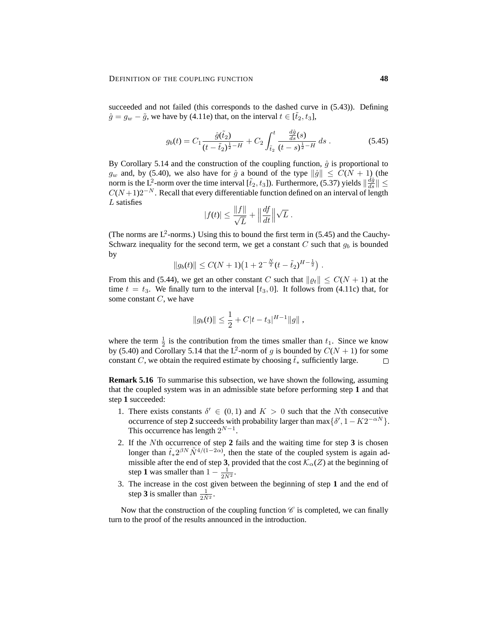succeeded and not failed (this corresponds to the dashed curve in (5.43)). Defining  $\hat{g} = g_w - \tilde{g}$ , we have by (4.11e) that, on the interval  $t \in [\tilde{t}_2, t_3]$ ,

$$
g_b(t) = C_1 \frac{\hat{g}(\tilde{t}_2)}{(t - \tilde{t}_2)^{\frac{1}{2} - H}} + C_2 \int_{\tilde{t}_2}^t \frac{\frac{d\hat{g}}{ds}(s)}{(t - s)^{\frac{1}{2} - H}} ds.
$$
 (5.45)

By Corollary 5.14 and the construction of the coupling function,  $\hat{g}$  is proportional to  $g_w$  and, by (5.40), we also have for  $\hat{g}$  a bound of the type  $\|\hat{g}\| \leq C(N+1)$  (the norm is the L<sup>2</sup>-norm over the time interval  $[\tilde{t}_2, t_3]$ ). Furthermore, (5.37) yields  $\|\frac{d\hat{g}}{ds}\| \leq$  $C(N+1)2^{-N}$ . Recall that every differentiable function defined on an interval of length  $L$  satisfies

$$
|f(t)| \le \frac{\|f\|}{\sqrt{L}} + \left\|\frac{df}{dt}\right\|\sqrt{L}.
$$

(The norms are  $L^2$ -norms.) Using this to bound the first term in (5.45) and the Cauchy-Schwarz inequality for the second term, we get a constant C such that  $g_b$  is bounded by

$$
||g_b(t)|| \le C(N+1)\left(1+2^{-\frac{N}{2}}(t-\tilde{t}_2)^{H-\frac{1}{2}}\right).
$$

From this and (5.44), we get an other constant C such that  $\|\varrho_t\| \leq C(N+1)$  at the time  $t = t_3$ . We finally turn to the interval [ $t_3$ , 0]. It follows from (4.11c) that, for some constant  $C$ , we have

$$
||g_b(t)|| \leq \frac{1}{2} + C|t - t_3|^{H-1}||g||,
$$

where the term  $\frac{1}{2}$  is the contribution from the times smaller than  $t_1$ . Since we know by (5.40) and Corollary 5.14 that the L<sup>2</sup>-norm of g is bounded by  $C(N + 1)$  for some constant C, we obtain the required estimate by choosing  $\tilde{t}_*$  sufficiently large.  $\Box$ 

**Remark 5.16** To summarise this subsection, we have shown the following, assuming that the coupled system was in an admissible state before performing step **1** and that step **1** succeeded:

- 1. There exists constants  $\delta' \in (0,1)$  and  $K > 0$  such that the Nth consecutive occurrence of step 2 succeeds with probability larger than  $\max\{\delta', 1 - K2^{-\alpha N}\}.$ This occurrence has length  $2^{N-1}$ .
- 2. If the Nth occurrence of step **2** fails and the waiting time for step **3** is chosen longer than  $\tilde{t}_* 2^{\beta N} \tilde{N}^{4/(1-2\alpha)}$ , then the state of the coupled system is again admissible after the end of step 3, provided that the cost  $\mathcal{K}_{\alpha}(Z)$  at the beginning of step **1** was smaller than  $1 - \frac{1}{2\tilde{N}^2}$ .
- 3. The increase in the cost given between the beginning of step **1** and the end of step **3** is smaller than  $\frac{1}{2\tilde{N}^2}$ .

Now that the construction of the coupling function  $\mathscr C$  is completed, we can finally turn to the proof of the results announced in the introduction.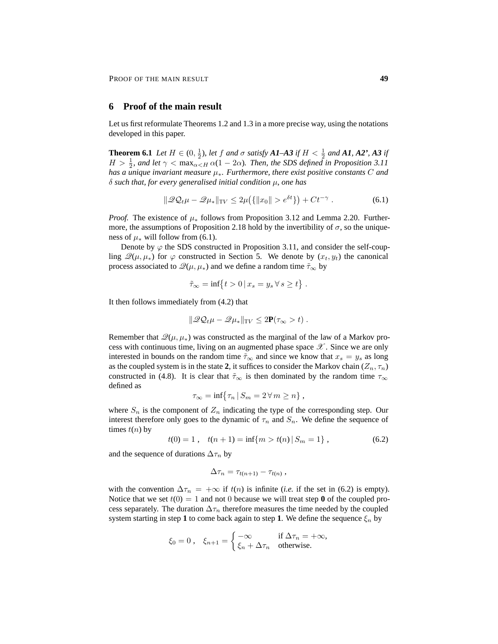# **6 Proof of the main result**

Let us first reformulate Theorems 1.2 and 1.3 in a more precise way, using the notations developed in this paper.

**Theorem 6.1** *Let*  $H \in (0, \frac{1}{2})$ *, let*  $f$  *and*  $\sigma$  *satisfy*  $A1-A3$  *if*  $H < \frac{1}{2}$  *and*  $A1$ *,*  $A2$ <sup>*'*</sup>,  $A3$  *if*  $H > \frac{1}{2}$ , and let  $\gamma < \max_{\alpha \leq H} \alpha(1 - 2\alpha)$ . Then, the SDS defined in Proposition 3.11 *has a unique invariant measure* µ∗*. Furthermore, there exist positive constants* C *and* δ *such that, for every generalised initial condition* µ*, one has*

$$
\|\mathcal{Q}\mathcal{Q}_t\mu - \mathcal{Q}\mu_*\|_{\text{TV}} \le 2\mu\big(\{\|x_0\| > e^{\delta t}\}\big) + Ct^{-\gamma} \tag{6.1}
$$

*Proof.* The existence of  $\mu_*$  follows from Proposition 3.12 and Lemma 2.20. Furthermore, the assumptions of Proposition 2.18 hold by the invertibility of  $\sigma$ , so the uniqueness of  $\mu_*$  will follow from (6.1).

Denote by  $\varphi$  the SDS constructed in Proposition 3.11, and consider the self-coupling  $\mathscr{Q}(\mu, \mu_*)$  for  $\varphi$  constructed in Section 5. We denote by  $(x_t, y_t)$  the canonical process associated to  $\mathcal{Q}(\mu, \mu_*)$  and we define a random time  $\tilde{\tau}_{\infty}$  by

$$
\tilde{\tau}_{\infty} = \inf \{ t > 0 \, | \, x_s = y_s \, \forall \, s \ge t \} .
$$

It then follows immediately from (4.2) that

$$
\|\mathscr{Q}\mathcal{Q}_t\mu-\mathscr{Q}\mu_*\|_{\mathrm{TV}}\leq 2\mathbf{P}(\tau_\infty>t)\ .
$$

Remember that  $\mathcal{Q}(\mu, \mu_*)$  was constructed as the marginal of the law of a Markov process with continuous time, living on an augmented phase space  $\mathscr{X}$ . Since we are only interested in bounds on the random time  $\tilde{\tau}_{\infty}$  and since we know that  $x_s = y_s$  as long as the coupled system is in the state 2, it suffices to consider the Markov chain  $(Z_n, \tau_n)$ constructed in (4.8). It is clear that  $\tilde{\tau}_{\infty}$  is then dominated by the random time  $\tau_{\infty}$ defined as

$$
\tau_{\infty} = \inf \{ \tau_n \, | \, S_m = 2 \, \forall \, m \geq n \},
$$

where  $S_n$  is the component of  $Z_n$  indicating the type of the corresponding step. Our interest therefore only goes to the dynamic of  $\tau_n$  and  $S_n$ . We define the sequence of times  $t(n)$  by

$$
t(0) = 1, \quad t(n+1) = \inf\{m > t(n) | S_m = 1\}, \tag{6.2}
$$

and the sequence of durations  $\Delta \tau_n$  by

$$
\Delta \tau_n = \tau_{t(n+1)} - \tau_{t(n)},
$$

with the convention  $\Delta \tau_n = +\infty$  if  $t(n)$  is infinite (*i.e.* if the set in (6.2) is empty). Notice that we set  $t(0) = 1$  and not 0 because we will treat step **0** of the coupled process separately. The duration  $\Delta \tau_n$  therefore measures the time needed by the coupled system starting in step 1 to come back again to step 1. We define the sequence  $\xi_n$  by

$$
\xi_0 = 0 \,, \quad \xi_{n+1} = \begin{cases} -\infty & \text{if } \Delta \tau_n = +\infty, \\ \xi_n + \Delta \tau_n & \text{otherwise.} \end{cases}
$$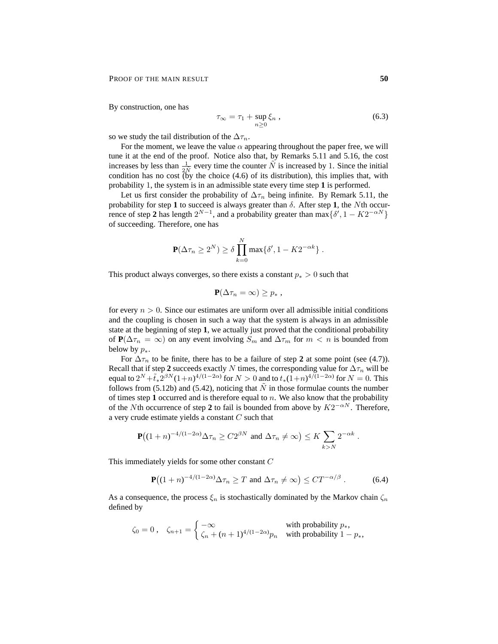By construction, one has

$$
\tau_{\infty} = \tau_1 + \sup_{n \ge 0} \xi_n , \qquad (6.3)
$$

so we study the tail distribution of the  $\Delta \tau_n$ .

For the moment, we leave the value  $\alpha$  appearing throughout the paper free, we will tune it at the end of the proof. Notice also that, by Remarks 5.11 and 5.16, the cost increases by less than  $\frac{1}{2N}$  every time the counter  $\tilde{N}$  is increased by 1. Since the initial condition has no cost  $\tilde{b}$  the choice (4.6) of its distribution), this implies that, with probability 1, the system is in an admissible state every time step **1** is performed.

Let us first consider the probability of  $\Delta \tau_n$  being infinite. By Remark 5.11, the probability for step 1 to succeed is always greater than  $\delta$ . After step 1, the Nth occurrence of step 2 has length  $2^{N-1}$ , and a probability greater than  $\max\{\delta', 1 - K2^{-\alpha N}\}\$ of succeeding. Therefore, one has

$$
\mathbf{P}(\Delta \tau_n \ge 2^N) \ge \delta \prod_{k=0}^N \max\{\delta', 1 - K 2^{-\alpha k}\}.
$$

This product always converges, so there exists a constant  $p_* > 0$  such that

$$
\mathbf{P}(\Delta \tau_n = \infty) \geq p_* \ ,
$$

for every  $n > 0$ . Since our estimates are uniform over all admissible initial conditions and the coupling is chosen in such a way that the system is always in an admissible state at the beginning of step **1**, we actually just proved that the conditional probability of **P**( $\Delta \tau_n = \infty$ ) on any event involving  $S_m$  and  $\Delta \tau_m$  for  $m < n$  is bounded from below by  $p_*$ .

For  $\Delta \tau_n$  to be finite, there has to be a failure of step 2 at some point (see (4.7)). Recall that if step 2 succeeds exactly N times, the corresponding value for  $\Delta \tau_n$  will be equal to  $2^N + \tilde{t}_* 2^{\beta N} (1+n)^{4/(1-2\alpha)}$  for  $N > 0$  and to  $t_*(1+n)^{4/(1-2\alpha)}$  for  $N = 0$ . This follows from (5.12b) and (5.42), noticing that  $\tilde{N}$  in those formulae counts the number of times step 1 occurred and is therefore equal to  $n$ . We also know that the probability of the Nth occurrence of step 2 to fail is bounded from above by  $K2^{-\alpha N}$ . Therefore, a very crude estimate yields a constant  $C$  such that

$$
\mathbf{P}\big((1+n)^{-4/(1-2\alpha)}\Delta\tau_n \ge C2^{\beta N} \text{ and } \Delta\tau_n \neq \infty\big) \le K \sum_{k>N} 2^{-\alpha k}.
$$

This immediately yields for some other constant C

$$
\mathbf{P}\big((1+n)^{-4/(1-2\alpha)}\Delta\tau_n \geq T \text{ and } \Delta\tau_n \neq \infty\big) \leq CT^{-\alpha/\beta}. \tag{6.4}
$$

As a consequence, the process  $\xi_n$  is stochastically dominated by the Markov chain  $\zeta_n$ defined by

$$
\zeta_0 = 0 \,, \quad \zeta_{n+1} = \begin{cases}\n-\infty & \text{with probability } p_*, \\
\zeta_n + (n+1)^{4/(1-2\alpha)} p_n & \text{with probability } 1 - p_*,\n\end{cases}
$$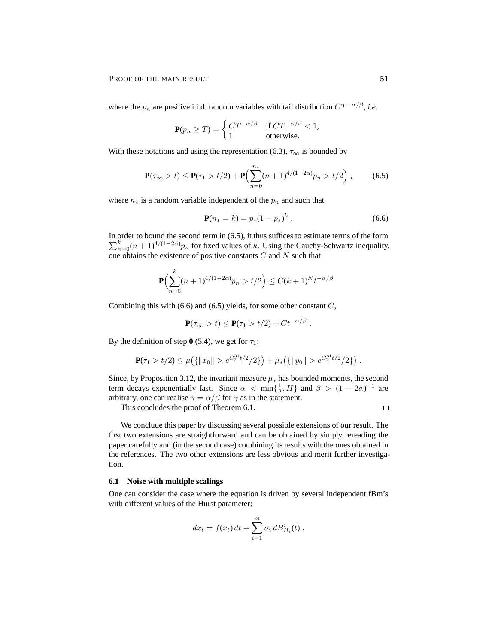where the  $p_n$  are positive i.i.d. random variables with tail distribution  $CT^{-\alpha/\beta}$ , *i.e.* 

$$
\mathbf{P}(p_n \ge T) = \begin{cases} CT^{-\alpha/\beta} & \text{if } CT^{-\alpha/\beta} < 1, \\ 1 & \text{otherwise.} \end{cases}
$$

With these notations and using the representation (6.3),  $\tau_{\infty}$  is bounded by

$$
\mathbf{P}(\tau_{\infty} > t) \le \mathbf{P}(\tau_1 > t/2) + \mathbf{P}\Big(\sum_{n=0}^{n_*} (n+1)^{4/(1-2\alpha)} p_n > t/2\Big) ,\qquad (6.5)
$$

where  $n_*$  is a random variable independent of the  $p_n$  and such that

$$
\mathbf{P}(n_{*}=k) = p_{*}(1-p_{*})^{k} . \tag{6.6}
$$

In order to bound the second term in (6.5), it thus suffices to estimate terms of the form  $\sum_{n=0}^{k} (n+1)^{4/(1-2\alpha)} p_n$  for fixed values of k. Using the Cauchy-Schwartz inequality, one obtains the existence of positive constants C and N such that

$$
\mathbf{P}\Bigl(\sum_{n=0}^k (n+1)^{4/(1-2\alpha)}p_n > t/2\Bigr) \le C(k+1)^N t^{-\alpha/\beta} .
$$

Combining this with  $(6.6)$  and  $(6.5)$  yields, for some other constant  $C$ ,

$$
\mathbf{P}(\tau_{\infty} > t) \leq \mathbf{P}(\tau_1 > t/2) + Ct^{-\alpha/\beta}.
$$

By the definition of step  $\mathbf{0}$  (5.4), we get for  $\tau_1$ :

$$
\mathbf{P}(\tau_1 > t/2) \le \mu\big(\{\|x_0\| > e^{C_2^{\mathbf{A} \mathbf{1}}t/2}/2\}\big) + \mu_*\big(\{\|y_0\| > e^{C_2^{\mathbf{A} \mathbf{1}}t/2}/2\}\big) .
$$

Since, by Proposition 3.12, the invariant measure  $\mu_*$  has bounded moments, the second term decays exponentially fast. Since  $\alpha < \min\{\frac{1}{2}, H\}$  and  $\beta > (1 - 2\alpha)^{-1}$  are arbitrary, one can realise  $\gamma = \alpha/\beta$  for  $\gamma$  as in the statement.

This concludes the proof of Theorem 6.1.

 $\Box$ 

We conclude this paper by discussing several possible extensions of our result. The first two extensions are straightforward and can be obtained by simply rereading the paper carefully and (in the second case) combining its results with the ones obtained in the references. The two other extensions are less obvious and merit further investigation.

## **6.1 Noise with multiple scalings**

One can consider the case where the equation is driven by several independent fBm's with different values of the Hurst parameter:

$$
dx_t = f(x_t) dt + \sum_{i=1}^{m} \sigma_i dB_{H_i}^i(t) .
$$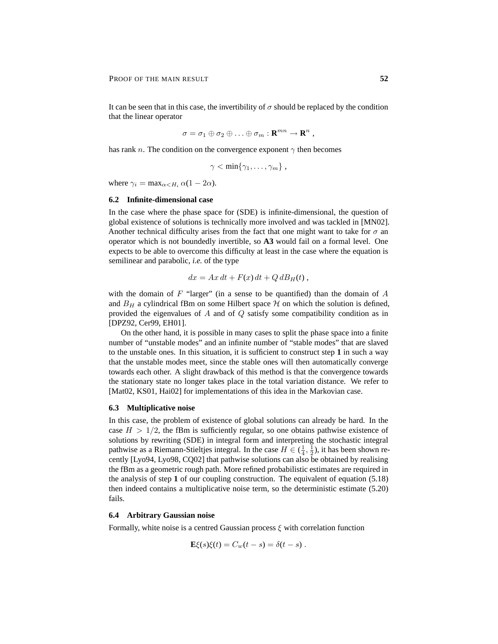It can be seen that in this case, the invertibility of  $\sigma$  should be replaced by the condition that the linear operator

$$
\sigma = \sigma_1 \oplus \sigma_2 \oplus \ldots \oplus \sigma_m : \mathbf{R}^{mn} \to \mathbf{R}^n ,
$$

has rank n. The condition on the convergence exponent  $\gamma$  then becomes

 $\gamma < \min\{\gamma_1, \ldots, \gamma_m\},$ 

where  $\gamma_i = \max_{\alpha < H_i} \alpha(1 - 2\alpha)$ .

#### **6.2 Infinite-dimensional case**

In the case where the phase space for (SDE) is infinite-dimensional, the question of global existence of solutions is technically more involved and was tackled in [MN02]. Another technical difficulty arises from the fact that one might want to take for  $\sigma$  an operator which is not boundedly invertible, so **A3** would fail on a formal level. One expects to be able to overcome this difficulty at least in the case where the equation is semilinear and parabolic, *i.e.* of the type

$$
dx = Ax dt + F(x) dt + Q dB_H(t),
$$

with the domain of  $F$  "larger" (in a sense to be quantified) than the domain of  $A$ and  $B_H$  a cylindrical fBm on some Hilbert space  $H$  on which the solution is defined, provided the eigenvalues of  $A$  and of  $Q$  satisfy some compatibility condition as in [DPZ92, Cer99, EH01].

On the other hand, it is possible in many cases to split the phase space into a finite number of "unstable modes" and an infinite number of "stable modes" that are slaved to the unstable ones. In this situation, it is sufficient to construct step **1** in such a way that the unstable modes meet, since the stable ones will then automatically converge towards each other. A slight drawback of this method is that the convergence towards the stationary state no longer takes place in the total variation distance. We refer to [Mat02, KS01, Hai02] for implementations of this idea in the Markovian case.

#### **6.3 Multiplicative noise**

In this case, the problem of existence of global solutions can already be hard. In the case  $H > 1/2$ , the fBm is sufficiently regular, so one obtains pathwise existence of solutions by rewriting (SDE) in integral form and interpreting the stochastic integral pathwise as a Riemann-Stieltjes integral. In the case  $H \in (\frac{1}{4}, \frac{1}{2})$ , it has been shown recently [Lyo94, Lyo98, CQ02] that pathwise solutions can also be obtained by realising the fBm as a geometric rough path. More refined probabilistic estimates are required in the analysis of step **1** of our coupling construction. The equivalent of equation (5.18) then indeed contains a multiplicative noise term, so the deterministic estimate (5.20) fails.

# **6.4 Arbitrary Gaussian noise**

Formally, white noise is a centred Gaussian process  $\xi$  with correlation function

$$
\mathbf{E}\xi(s)\xi(t) = C_w(t-s) = \delta(t-s).
$$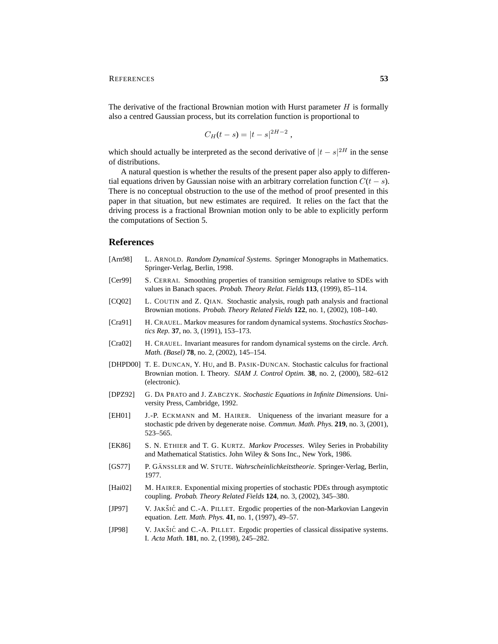The derivative of the fractional Brownian motion with Hurst parameter  $H$  is formally also a centred Gaussian process, but its correlation function is proportional to

$$
C_H(t - s) = |t - s|^{2H - 2}
$$

,

which should actually be interpreted as the second derivative of  $|t - s|^{2H}$  in the sense of distributions.

A natural question is whether the results of the present paper also apply to differential equations driven by Gaussian noise with an arbitrary correlation function  $C(t - s)$ . There is no conceptual obstruction to the use of the method of proof presented in this paper in that situation, but new estimates are required. It relies on the fact that the driving process is a fractional Brownian motion only to be able to explicitly perform the computations of Section 5.

## **References**

- [Arn98] L. ARNOLD. *Random Dynamical Systems*. Springer Monographs in Mathematics. Springer-Verlag, Berlin, 1998.
- [Cer99] S. CERRAI. Smoothing properties of transition semigroups relative to SDEs with values in Banach spaces. *Probab. Theory Relat. Fields* **113**, (1999), 85–114.
- [CQ02] L. COUTIN and Z. QIAN. Stochastic analysis, rough path analysis and fractional Brownian motions. *Probab. Theory Related Fields* **122**, no. 1, (2002), 108–140.
- [Cra91] H. CRAUEL. Markov measures for random dynamical systems. *Stochastics Stochastics Rep.* **37**, no. 3, (1991), 153–173.
- [Cra02] H. CRAUEL. Invariant measures for random dynamical systems on the circle. *Arch. Math. (Basel)* **78**, no. 2, (2002), 145–154.
- [DHPD00] T. E. DUNCAN, Y. HU, and B. PASIK-DUNCAN. Stochastic calculus for fractional Brownian motion. I. Theory. *SIAM J. Control Optim.* **38**, no. 2, (2000), 582–612 (electronic).
- [DPZ92] G. DA PRATO and J. ZABCZYK. *Stochastic Equations in Infinite Dimensions*. University Press, Cambridge, 1992.
- [EH01] J.-P. ECKMANN and M. HAIRER. Uniqueness of the invariant measure for a stochastic pde driven by degenerate noise. *Commun. Math. Phys.* **219**, no. 3, (2001), 523–565.
- [EK86] S. N. ETHIER and T. G. KURTZ. *Markov Processes*. Wiley Series in Probability and Mathematical Statistics. John Wiley & Sons Inc., New York, 1986.
- [GS77] P. GÄNSSLER and W. STUTE. *Wahrscheinlichkeitstheorie*. Springer-Verlag, Berlin, 1977.
- [Hai02] M. HAIRER. Exponential mixing properties of stochastic PDEs through asymptotic coupling. *Probab. Theory Related Fields* **124**, no. 3, (2002), 345–380.
- [JP97] V. JAKŠIĆ and C.-A. PILLET. Ergodic properties of the non-Markovian Langevin equation. *Lett. Math. Phys.* **41**, no. 1, (1997), 49–57.
- [JP98] V. JAKŠIĆ and C.-A. PILLET. Ergodic properties of classical dissipative systems. I. *Acta Math.* **181**, no. 2, (1998), 245–282.